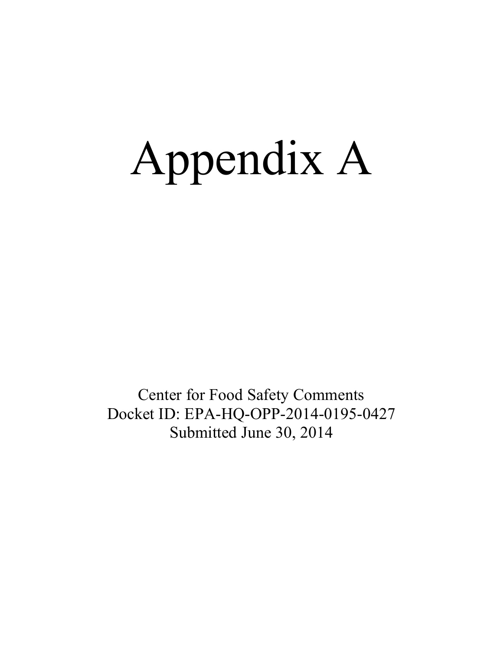# Appendix A

Center for Food Safety Comments Docket ID: EPA-HQ-OPP-2014-0195-0427 Submitted June 30, 2014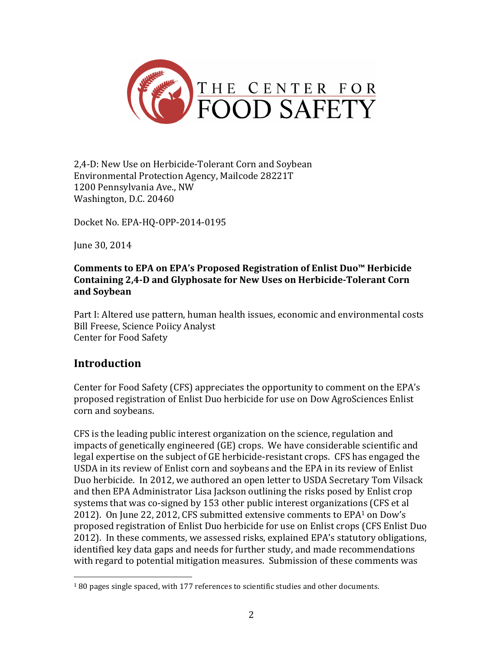

2,4-D: New Use on Herbicide-Tolerant Corn and Soybean Environmental Protection Agency, Mailcode 28221T 1200 Pennsylvania Ave., NW Washington, D.C. 20460

Docket No. EPA-HQ-OPP-2014-0195

June 30, 2014

#### **Comments to EPA on EPA's Proposed Registration of Enlist Duo™ Herbicide** Containing 2,4-D and Glyphosate for New Uses on Herbicide-Tolerant Corn **and Soybean**

Part I: Altered use pattern, human health issues, economic and environmental costs Bill Freese, Science Poiicy Analyst Center for Food Safety

# **Introduction**

 

Center for Food Safety (CFS) appreciates the opportunity to comment on the EPA's proposed registration of Enlist Duo herbicide for use on Dow AgroSciences Enlist corn and soybeans.

CFS is the leading public interest organization on the science, regulation and impacts of genetically engineered  $(GE)$  crops. We have considerable scientific and legal expertise on the subject of GE herbicide-resistant crops. CFS has engaged the USDA in its review of Enlist corn and soybeans and the EPA in its review of Enlist Duo herbicide. In 2012, we authored an open letter to USDA Secretary Tom Vilsack and then EPA Administrator Lisa Jackson outlining the risks posed by Enlist crop systems that was co-signed by 153 other public interest organizations (CFS et al 2012). On June 22, 2012, CFS submitted extensive comments to EPA<sup>1</sup> on Dow's proposed registration of Enlist Duo herbicide for use on Enlist crops (CFS Enlist Duo 2012). In these comments, we assessed risks, explained EPA's statutory obligations, identified key data gaps and needs for further study, and made recommendations with regard to potential mitigation measures. Submission of these comments was

 $180$  pages single spaced, with  $177$  references to scientific studies and other documents.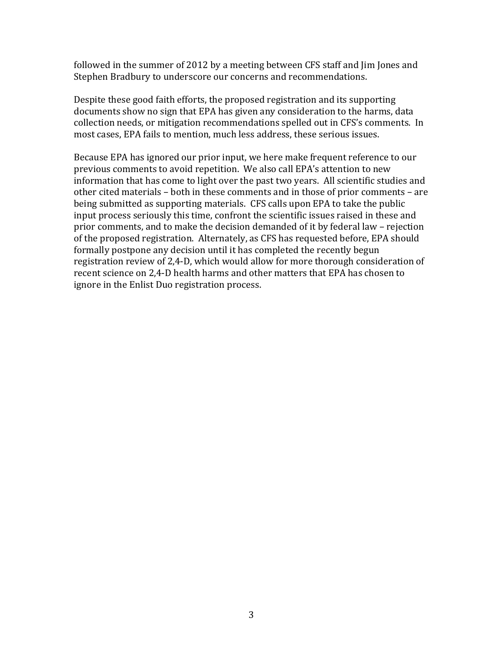followed in the summer of 2012 by a meeting between CFS staff and  $\lim$  Jones and Stephen Bradbury to underscore our concerns and recommendations.

Despite these good faith efforts, the proposed registration and its supporting documents show no sign that EPA has given any consideration to the harms, data collection needs, or mitigation recommendations spelled out in CFS's comments. In most cases, EPA fails to mention, much less address, these serious issues.

Because EPA has ignored our prior input, we here make frequent reference to our previous comments to avoid repetition. We also call EPA's attention to new information that has come to light over the past two years. All scientific studies and other cited materials – both in these comments and in those of prior comments – are being submitted as supporting materials. CFS calls upon EPA to take the public input process seriously this time, confront the scientific issues raised in these and prior comments, and to make the decision demanded of it by federal law – rejection of the proposed registration. Alternately, as CFS has requested before, EPA should formally postpone any decision until it has completed the recently begun registration review of 2,4-D, which would allow for more thorough consideration of recent science on 2,4-D health harms and other matters that EPA has chosen to ignore in the Enlist Duo registration process.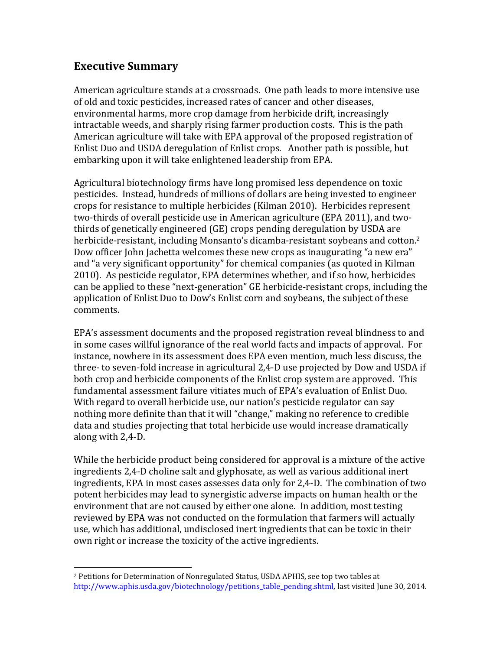# **Executive Summary**

 

American agriculture stands at a crossroads. One path leads to more intensive use of old and toxic pesticides, increased rates of cancer and other diseases, environmental harms, more crop damage from herbicide drift, increasingly intractable weeds, and sharply rising farmer production costs. This is the path American agriculture will take with EPA approval of the proposed registration of Enlist Duo and USDA deregulation of Enlist crops. Another path is possible, but embarking upon it will take enlightened leadership from EPA.

Agricultural biotechnology firms have long promised less dependence on toxic pesticides. Instead, hundreds of millions of dollars are being invested to engineer crops for resistance to multiple herbicides (Kilman 2010). Herbicides represent two-thirds of overall pesticide use in American agriculture (EPA 2011), and twothirds of genetically engineered (GE) crops pending deregulation by USDA are herbicide-resistant, including Monsanto's dicamba-resistant soybeans and cotton.<sup>2</sup> Dow officer John Jachetta welcomes these new crops as inaugurating "a new era" and "a very significant opportunity" for chemical companies (as quoted in Kilman 2010). As pesticide regulator, EPA determines whether, and if so how, herbicides can be applied to these "next-generation" GE herbicide-resistant crops, including the application of Enlist Duo to Dow's Enlist corn and soybeans, the subject of these comments.

EPA's assessment documents and the proposed registration reveal blindness to and in some cases willful ignorance of the real world facts and impacts of approval. For instance, nowhere in its assessment does EPA even mention, much less discuss, the three- to seven-fold increase in agricultural 2,4-D use projected by Dow and USDA if both crop and herbicide components of the Enlist crop system are approved. This fundamental assessment failure vitiates much of EPA's evaluation of Enlist Duo. With regard to overall herbicide use, our nation's pesticide regulator can say nothing more definite than that it will "change," making no reference to credible data and studies projecting that total herbicide use would increase dramatically along with 2,4-D.

While the herbicide product being considered for approval is a mixture of the active ingredients 2,4-D choline salt and glyphosate, as well as various additional inert ingredients, EPA in most cases assesses data only for 2,4-D. The combination of two potent herbicides may lead to synergistic adverse impacts on human health or the environment that are not caused by either one alone. In addition, most testing reviewed by EPA was not conducted on the formulation that farmers will actually use, which has additional, undisclosed inert ingredients that can be toxic in their own right or increase the toxicity of the active ingredients.

<sup>&</sup>lt;sup>2</sup> Petitions for Determination of Nonregulated Status, USDA APHIS, see top two tables at http://www.aphis.usda.gov/biotechnology/petitions\_table\_pending.shtml, last visited June 30, 2014.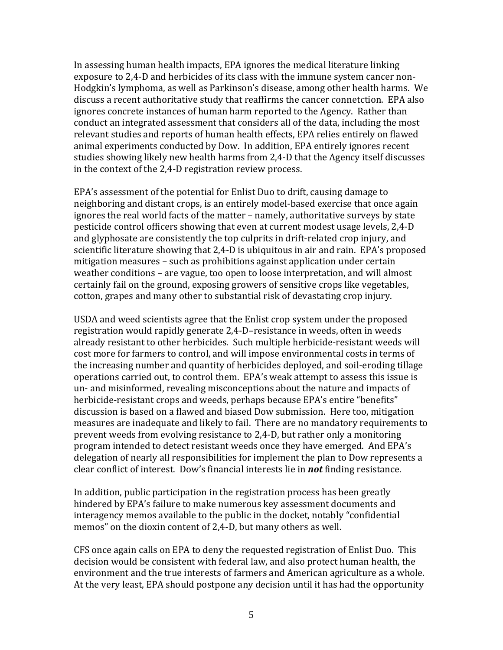In assessing human health impacts, EPA ignores the medical literature linking exposure to 2,4-D and herbicides of its class with the immune system cancer non-Hodgkin's lymphoma, as well as Parkinson's disease, among other health harms. We discuss a recent authoritative study that reaffirms the cancer connetction. EPA also ignores concrete instances of human harm reported to the Agency. Rather than conduct an integrated assessment that considers all of the data, including the most relevant studies and reports of human health effects, EPA relies entirely on flawed animal experiments conducted by Dow. In addition, EPA entirely ignores recent studies showing likely new health harms from 2,4-D that the Agency itself discusses in the context of the 2,4-D registration review process.

EPA's assessment of the potential for Enlist Duo to drift, causing damage to neighboring and distant crops, is an entirely model-based exercise that once again ignores the real world facts of the matter – namely, authoritative surveys by state pesticide control officers showing that even at current modest usage levels, 2.4-D and glyphosate are consistently the top culprits in drift-related crop injury, and scientific literature showing that 2,4-D is ubiquitous in air and rain. EPA's proposed mitigation measures – such as prohibitions against application under certain weather conditions – are vague, too open to loose interpretation, and will almost certainly fail on the ground, exposing growers of sensitive crops like vegetables, cotton, grapes and many other to substantial risk of devastating crop injury.

USDA and weed scientists agree that the Enlist crop system under the proposed registration would rapidly generate 2,4-D-resistance in weeds, often in weeds already resistant to other herbicides. Such multiple herbicide-resistant weeds will cost more for farmers to control, and will impose environmental costs in terms of the increasing number and quantity of herbicides deployed, and soil-eroding tillage operations carried out, to control them. EPA's weak attempt to assess this issue is un- and misinformed, revealing misconceptions about the nature and impacts of herbicide-resistant crops and weeds, perhaps because EPA's entire "benefits" discussion is based on a flawed and biased Dow submission. Here too, mitigation measures are inadequate and likely to fail. There are no mandatory requirements to prevent weeds from evolving resistance to 2,4-D, but rather only a monitoring program intended to detect resistant weeds once they have emerged. And EPA's delegation of nearly all responsibilities for implement the plan to Dow represents a clear conflict of interest. Dow's financial interests lie in **not** finding resistance.

In addition, public participation in the registration process has been greatly hindered by EPA's failure to make numerous key assessment documents and interagency memos available to the public in the docket, notably "confidential memos" on the dioxin content of 2,4-D, but many others as well.

CFS once again calls on EPA to deny the requested registration of Enlist Duo. This decision would be consistent with federal law, and also protect human health, the environment and the true interests of farmers and American agriculture as a whole. At the very least, EPA should postpone any decision until it has had the opportunity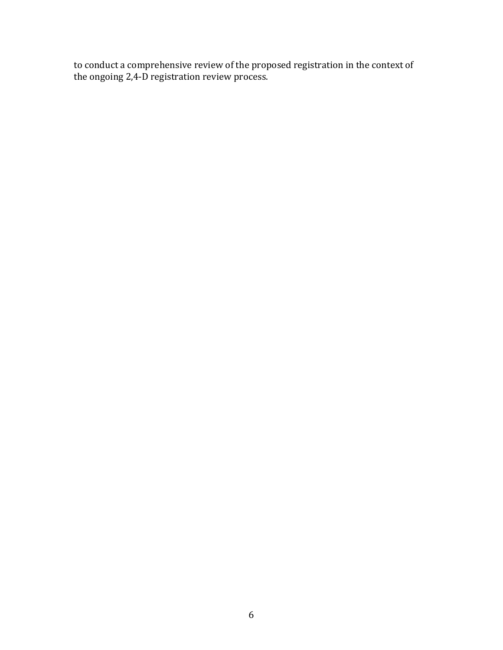to conduct a comprehensive review of the proposed registration in the context of the ongoing 2,4-D registration review process.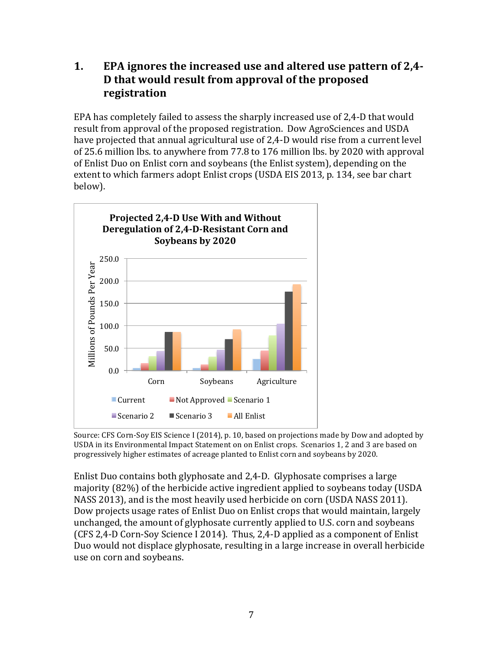# **1.** EPA ignores the increased use and altered use pattern of 2,4-**D** that would result from approval of the proposed **registration**

EPA has completely failed to assess the sharply increased use of 2,4-D that would result from approval of the proposed registration. Dow AgroSciences and USDA have projected that annual agricultural use of 2,4-D would rise from a current level of 25.6 million lbs. to anywhere from 77.8 to 176 million lbs. by 2020 with approval of Enlist Duo on Enlist corn and soybeans (the Enlist system), depending on the extent to which farmers adopt Enlist crops (USDA EIS 2013, p. 134, see bar chart below). 



Source: CFS Corn-Soy EIS Science I (2014), p. 10, based on projections made by Dow and adopted by USDA in its Environmental Impact Statement on on Enlist crops. Scenarios 1, 2 and 3 are based on progressively higher estimates of acreage planted to Enlist corn and soybeans by 2020.

Enlist Duo contains both glyphosate and 2,4-D. Glyphosate comprises a large majority (82%) of the herbicide active ingredient applied to soybeans today (USDA NASS 2013), and is the most heavily used herbicide on corn (USDA NASS 2011). Dow projects usage rates of Enlist Duo on Enlist crops that would maintain, largely unchanged, the amount of glyphosate currently applied to U.S. corn and soybeans (CFS 2,4-D Corn-Soy Science I 2014). Thus, 2,4-D applied as a component of Enlist Duo would not displace glyphosate, resulting in a large increase in overall herbicide use on corn and soybeans.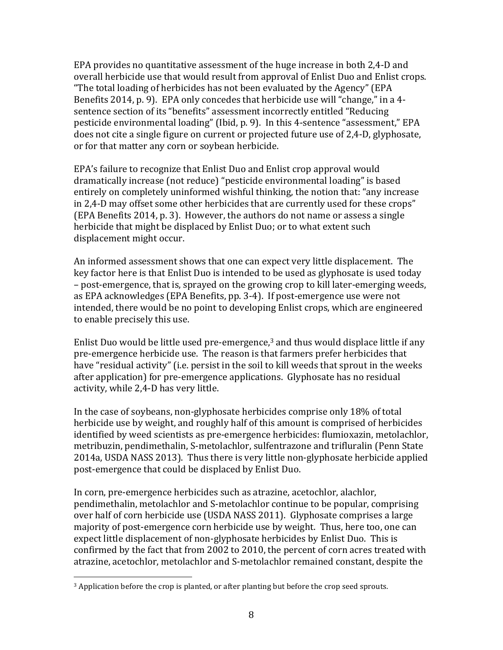EPA provides no quantitative assessment of the huge increase in both 2,4-D and overall herbicide use that would result from approval of Enlist Duo and Enlist crops. "The total loading of herbicides has not been evaluated by the Agency" (EPA) Benefits 2014, p. 9). EPA only concedes that herbicide use will "change," in a 4sentence section of its "benefits" assessment incorrectly entitled "Reducing pesticide environmental loading" (Ibid, p. 9). In this 4-sentence "assessment," EPA does not cite a single figure on current or projected future use of 2,4-D, glyphosate, or for that matter any corn or soybean herbicide.

EPA's failure to recognize that Enlist Duo and Enlist crop approval would dramatically increase (not reduce) "pesticide environmental loading" is based entirely on completely uninformed wishful thinking, the notion that: "any increase in 2,4-D may offset some other herbicides that are currently used for these crops" (EPA Benefits 2014, p. 3). However, the authors do not name or assess a single herbicide that might be displaced by Enlist Duo; or to what extent such displacement might occur.

An informed assessment shows that one can expect very little displacement. The key factor here is that Enlist Duo is intended to be used as glyphosate is used today – post-emergence, that is, sprayed on the growing crop to kill later-emerging weeds, as EPA acknowledges (EPA Benefits, pp. 3-4). If post-emergence use were not intended, there would be no point to developing Enlist crops, which are engineered to enable precisely this use.

Enlist Duo would be little used pre-emergence, $3$  and thus would displace little if any pre-emergence herbicide use. The reason is that farmers prefer herbicides that have "residual activity" (i.e. persist in the soil to kill weeds that sprout in the weeks after application) for pre-emergence applications. Glyphosate has no residual activity, while 2,4-D has very little.

In the case of soybeans, non-glyphosate herbicides comprise only 18% of total herbicide use by weight, and roughly half of this amount is comprised of herbicides identified by weed scientists as pre-emergence herbicides: flumioxazin, metolachlor, metribuzin, pendimethalin, S-metolachlor, sulfentrazone and trifluralin (Penn State 2014a, USDA NASS 2013). Thus there is very little non-glyphosate herbicide applied post-emergence that could be displaced by Enlist Duo.

In corn, pre-emergence herbicides such as atrazine, acetochlor, alachlor, pendimethalin, metolachlor and S-metolachlor continue to be popular, comprising over half of corn herbicide use (USDA NASS 2011). Glyphosate comprises a large majority of post-emergence corn herbicide use by weight. Thus, here too, one can expect little displacement of non-glyphosate herbicides by Enlist Duo. This is confirmed by the fact that from 2002 to 2010, the percent of corn acres treated with atrazine, acetochlor, metolachlor and S-metolachlor remained constant, despite the

 

 $3$  Application before the crop is planted, or after planting but before the crop seed sprouts.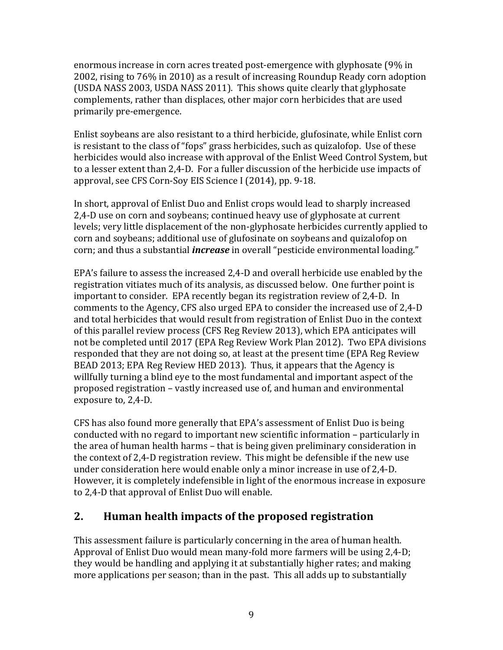enormous increase in corn acres treated post-emergence with glyphosate  $(9\%$  in 2002, rising to 76% in 2010) as a result of increasing Roundup Ready corn adoption (USDA NASS 2003, USDA NASS 2011). This shows quite clearly that glyphosate complements, rather than displaces, other major corn herbicides that are used primarily pre-emergence.

Enlist soybeans are also resistant to a third herbicide, glufosinate, while Enlist corn is resistant to the class of "fops" grass herbicides, such as quizalofop. Use of these herbicides would also increase with approval of the Enlist Weed Control System, but to a lesser extent than 2,4-D. For a fuller discussion of the herbicide use impacts of approval, see CFS Corn-Soy EIS Science I (2014), pp. 9-18.

In short, approval of Enlist Duo and Enlist crops would lead to sharply increased 2,4-D use on corn and soybeans; continued heavy use of glyphosate at current levels; very little displacement of the non-glyphosate herbicides currently applied to corn and soybeans; additional use of glufosinate on soybeans and quizalofop on corn; and thus a substantial *increase* in overall "pesticide environmental loading."

EPA's failure to assess the increased 2,4-D and overall herbicide use enabled by the registration vitiates much of its analysis, as discussed below. One further point is important to consider. EPA recently began its registration review of 2,4-D. In comments to the Agency, CFS also urged EPA to consider the increased use of 2,4-D and total herbicides that would result from registration of Enlist Duo in the context of this parallel review process (CFS Reg Review 2013), which EPA anticipates will not be completed until 2017 (EPA Reg Review Work Plan 2012). Two EPA divisions responded that they are not doing so, at least at the present time (EPA Reg Review BEAD 2013; EPA Reg Review HED 2013). Thus, it appears that the Agency is willfully turning a blind eye to the most fundamental and important aspect of the proposed registration – vastly increased use of, and human and environmental exposure to, 2,4-D.

CFS has also found more generally that EPA's assessment of Enlist Duo is being conducted with no regard to important new scientific information – particularly in the area of human health harms – that is being given preliminary consideration in the context of 2,4-D registration review. This might be defensible if the new use under consideration here would enable only a minor increase in use of 2,4-D. However, it is completely indefensible in light of the enormous increase in exposure to 2,4-D that approval of Enlist Duo will enable.

# **2. Human health impacts of the proposed registration**

This assessment failure is particularly concerning in the area of human health. Approval of Enlist Duo would mean many-fold more farmers will be using 2,4-D; they would be handling and applying it at substantially higher rates; and making more applications per season; than in the past. This all adds up to substantially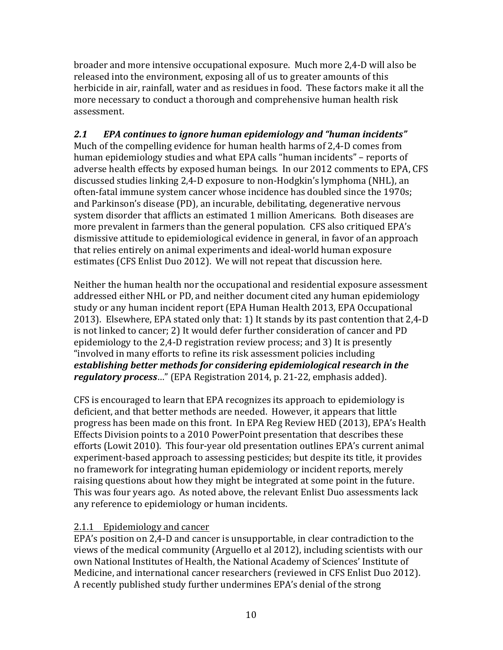broader and more intensive occupational exposure. Much more 2,4-D will also be released into the environment, exposing all of us to greater amounts of this herbicide in air, rainfall, water and as residues in food. These factors make it all the more necessary to conduct a thorough and comprehensive human health risk assessment.

#### 2.1 *EPA continues to ignore human epidemiology and "human incidents"* Much of the compelling evidence for human health harms of  $2,4$ -D comes from human epidemiology studies and what EPA calls "human incidents" – reports of adverse health effects by exposed human beings. In our 2012 comments to EPA, CFS discussed studies linking 2,4-D exposure to non-Hodgkin's lymphoma (NHL), an often-fatal immune system cancer whose incidence has doubled since the 1970s; and Parkinson's disease (PD), an incurable, debilitating, degenerative nervous system disorder that afflicts an estimated 1 million Americans. Both diseases are more prevalent in farmers than the general population. CFS also critiqued EPA's dismissive attitude to epidemiological evidence in general, in favor of an approach that relies entirely on animal experiments and ideal-world human exposure estimates (CFS Enlist Duo 2012). We will not repeat that discussion here.

Neither the human health nor the occupational and residential exposure assessment addressed either NHL or PD, and neither document cited any human epidemiology study or any human incident report (EPA Human Health 2013, EPA Occupational 2013). Elsewhere, EPA stated only that: 1) It stands by its past contention that 2,4-D is not linked to cancer; 2) It would defer further consideration of cancer and PD epidemiology to the  $2,4$ -D registration review process; and  $3$ ) It is presently "involved in many efforts to refine its risk assessment policies including establishing better methods for considering epidemiological research in the *regulatory process...*" (EPA Registration 2014, p. 21-22, emphasis added).

CFS is encouraged to learn that EPA recognizes its approach to epidemiology is deficient, and that better methods are needed. However, it appears that little progress has been made on this front. In EPA Reg Review HED (2013), EPA's Health Effects Division points to a 2010 PowerPoint presentation that describes these efforts (Lowit 2010). This four-year old presentation outlines EPA's current animal experiment-based approach to assessing pesticides; but despite its title, it provides no framework for integrating human epidemiology or incident reports, merely raising questions about how they might be integrated at some point in the future. This was four years ago. As noted above, the relevant Enlist Duo assessments lack any reference to epidemiology or human incidents.

# 2.1.1 Epidemiology and cancer

EPA's position on 2,4-D and cancer is unsupportable, in clear contradiction to the views of the medical community (Arguello et al 2012), including scientists with our own National Institutes of Health, the National Academy of Sciences' Institute of Medicine, and international cancer researchers (reviewed in CFS Enlist Duo 2012). A recently published study further undermines EPA's denial of the strong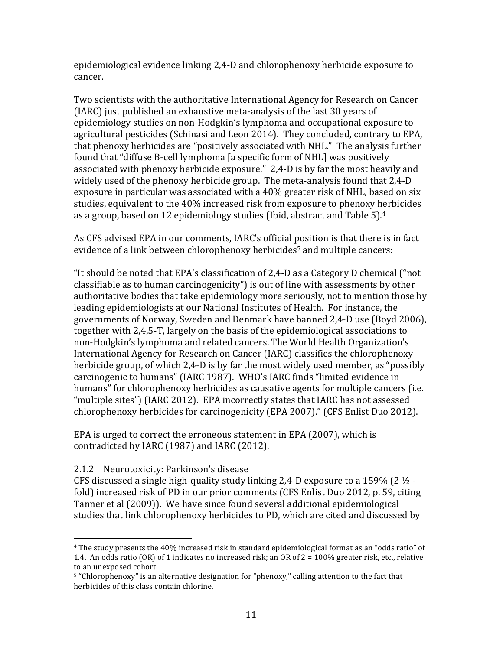epidemiological evidence linking 2,4-D and chlorophenoxy herbicide exposure to cancer.

Two scientists with the authoritative International Agency for Research on Cancer (IARC) just published an exhaustive meta-analysis of the last 30 years of epidemiology studies on non-Hodgkin's lymphoma and occupational exposure to agricultural pesticides (Schinasi and Leon 2014). They concluded, contrary to EPA, that phenoxy herbicides are "positively associated with NHL." The analysis further found that "diffuse B-cell lymphoma [a specific form of NHL] was positively associated with phenoxy herbicide exposure." 2,4-D is by far the most heavily and widely used of the phenoxy herbicide group. The meta-analysis found that 2,4-D exposure in particular was associated with a  $40\%$  greater risk of NHL, based on six studies, equivalent to the 40% increased risk from exposure to phenoxy herbicides as a group, based on 12 epidemiology studies (Ibid, abstract and Table  $5$ ).<sup>4</sup>

As CFS advised EPA in our comments, IARC's official position is that there is in fact evidence of a link between chlorophenoxy herbicides<sup>5</sup> and multiple cancers:

"It should be noted that EPA's classification of  $2,4$ -D as a Category D chemical ("not classifiable as to human carcinogenicity") is out of line with assessments by other authoritative bodies that take epidemiology more seriously, not to mention those by leading epidemiologists at our National Institutes of Health. For instance, the governments of Norway, Sweden and Denmark have banned 2,4-D use (Boyd 2006), together with 2,4,5-T, largely on the basis of the epidemiological associations to non-Hodgkin's lymphoma and related cancers. The World Health Organization's International Agency for Research on Cancer (IARC) classifies the chlorophenoxy herbicide group, of which 2,4-D is by far the most widely used member, as "possibly carcinogenic to humans" (IARC 1987). WHO's IARC finds "limited evidence in humans" for chlorophenoxy herbicides as causative agents for multiple cancers (i.e. "multiple sites") (IARC 2012). EPA incorrectly states that IARC has not assessed chlorophenoxy herbicides for carcinogenicity (EPA 2007)." (CFS Enlist Duo 2012).

EPA is urged to correct the erroneous statement in EPA (2007), which is contradicted by IARC (1987) and IARC (2012).

#### 2.1.2 Neurotoxicity: Parkinson's disease

 

CFS discussed a single high-quality study linking 2,4-D exposure to a 159% (2  $\frac{1}{2}$  fold) increased risk of PD in our prior comments (CFS Enlist Duo 2012, p. 59, citing Tanner et al (2009)). We have since found several additional epidemiological studies that link chlorophenoxy herbicides to PD, which are cited and discussed by

 $4$  The study presents the 40% increased risk in standard epidemiological format as an "odds ratio" of 1.4. An odds ratio (OR) of 1 indicates no increased risk; an OR of  $2 = 100\%$  greater risk, etc., relative to an unexposed cohort.

<sup>&</sup>lt;sup>5</sup> "Chlorophenoxy" is an alternative designation for "phenoxy," calling attention to the fact that herbicides of this class contain chlorine.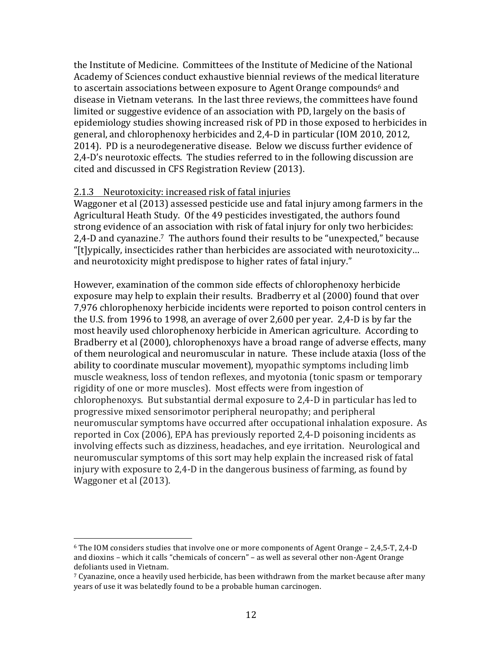the Institute of Medicine. Committees of the Institute of Medicine of the National Academy of Sciences conduct exhaustive biennial reviews of the medical literature to ascertain associations between exposure to Agent Orange compounds<sup>6</sup> and disease in Vietnam veterans. In the last three reviews, the committees have found limited or suggestive evidence of an association with PD, largely on the basis of epidemiology studies showing increased risk of PD in those exposed to herbicides in general, and chlorophenoxy herbicides and 2,4-D in particular (IOM 2010, 2012, 2014). PD is a neurodegenerative disease. Below we discuss further evidence of 2,4-D's neurotoxic effects. The studies referred to in the following discussion are cited and discussed in CFS Registration Review (2013).

#### 2.1.3 Neurotoxicity: increased risk of fatal injuries

Waggoner et al (2013) assessed pesticide use and fatal injury among farmers in the Agricultural Heath Study. Of the 49 pesticides investigated, the authors found strong evidence of an association with risk of fatal injury for only two herbicides: 2.4-D and cyanazine.<sup>7</sup> The authors found their results to be "unexpected," because "[t]ypically, insecticides rather than herbicides are associated with neurotoxicity... and neurotoxicity might predispose to higher rates of fatal injury."

However, examination of the common side effects of chlorophenoxy herbicide exposure may help to explain their results. Bradberry et al (2000) found that over 7,976 chlorophenoxy herbicide incidents were reported to poison control centers in the U.S. from 1996 to 1998, an average of over  $2,600$  per year.  $2,4$ -D is by far the most heavily used chlorophenoxy herbicide in American agriculture. According to Bradberry et al (2000), chlorophenoxys have a broad range of adverse effects, many of them neurological and neuromuscular in nature. These include ataxia (loss of the ability to coordinate muscular movement), myopathic symptoms including limb muscle weakness, loss of tendon reflexes, and myotonia (tonic spasm or temporary rigidity of one or more muscles). Most effects were from ingestion of chlorophenoxys. But substantial dermal exposure to 2,4-D in particular has led to progressive mixed sensorimotor peripheral neuropathy; and peripheral neuromuscular symptoms have occurred after occupational inhalation exposure. As reported in Cox (2006), EPA has previously reported 2,4-D poisoning incidents as involving effects such as dizziness, headaches, and eye irritation. Neurological and neuromuscular symptoms of this sort may help explain the increased risk of fatal injury with exposure to 2,4-D in the dangerous business of farming, as found by Waggoner et al (2013).

 

 $6$  The IOM considers studies that involve one or more components of Agent Orange – 2,4,5-T, 2,4-D and  $dioxins$  – which it calls "chemicals of concern" – as well as several other non-Agent Orange defoliants used in Vietnam.

 $\frac{7}{2}$  Cyanazine, once a heavily used herbicide, has been withdrawn from the market because after many years of use it was belatedly found to be a probable human carcinogen.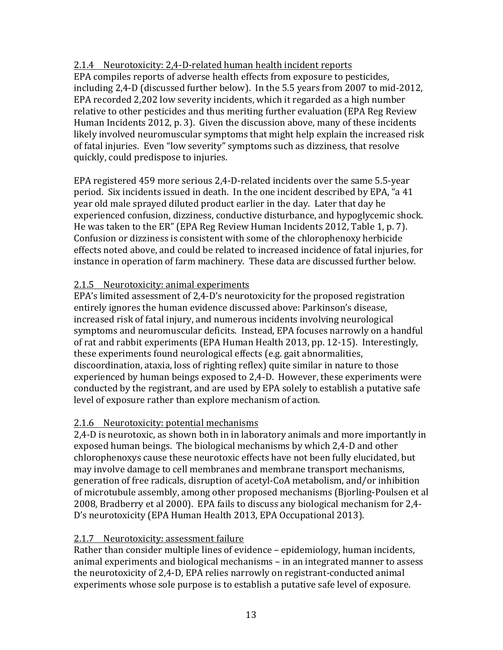# 2.1.4 Neurotoxicity: 2,4-D-related human health incident reports

EPA compiles reports of adverse health effects from exposure to pesticides, including  $2.4$ -D (discussed further below). In the  $5.5$  years from  $2007$  to mid- $2012$ , EPA recorded 2,202 low severity incidents, which it regarded as a high number relative to other pesticides and thus meriting further evaluation (EPA Reg Review) Human Incidents 2012, p. 3). Given the discussion above, many of these incidents likely involved neuromuscular symptoms that might help explain the increased risk of fatal injuries. Even "low severity" symptoms such as dizziness, that resolve quickly, could predispose to injuries.

EPA registered 459 more serious 2,4-D-related incidents over the same 5.5-year period. Six incidents issued in death. In the one incident described by EPA, "a 41 year old male sprayed diluted product earlier in the day. Later that day he experienced confusion, dizziness, conductive disturbance, and hypoglycemic shock. He was taken to the ER" (EPA Reg Review Human Incidents 2012, Table 1, p. 7). Confusion or dizziness is consistent with some of the chlorophenoxy herbicide effects noted above, and could be related to increased incidence of fatal injuries, for instance in operation of farm machinery. These data are discussed further below.

# 2.1.5 Neurotoxicity: animal experiments

EPA's limited assessment of  $2.4$ -D's neurotoxicity for the proposed registration entirely ignores the human evidence discussed above: Parkinson's disease, increased risk of fatal injury, and numerous incidents involving neurological symptoms and neuromuscular deficits. Instead, EPA focuses narrowly on a handful of rat and rabbit experiments (EPA Human Health 2013, pp. 12-15). Interestingly, these experiments found neurological effects (e.g. gait abnormalities, discoordination, ataxia, loss of righting reflex) quite similar in nature to those experienced by human beings exposed to 2,4-D. However, these experiments were conducted by the registrant, and are used by EPA solely to establish a putative safe level of exposure rather than explore mechanism of action.

# 2.1.6 Neurotoxicity: potential mechanisms

2.4-D is neurotoxic, as shown both in in laboratory animals and more importantly in exposed human beings. The biological mechanisms by which 2,4-D and other chlorophenoxys cause these neurotoxic effects have not been fully elucidated, but may involve damage to cell membranes and membrane transport mechanisms, generation of free radicals, disruption of acetyl-CoA metabolism, and/or inhibition of microtubule assembly, among other proposed mechanisms (Bjorling-Poulsen et al 2008, Bradberry et al 2000). EPA fails to discuss any biological mechanism for 2,4-D's neurotoxicity (EPA Human Health 2013, EPA Occupational 2013).

# 2.1.7 Neurotoxicity: assessment failure

Rather than consider multiple lines of evidence  $-$  epidemiology, human incidents, animal experiments and biological mechanisms – in an integrated manner to assess the neurotoxicity of 2,4-D, EPA relies narrowly on registrant-conducted animal experiments whose sole purpose is to establish a putative safe level of exposure.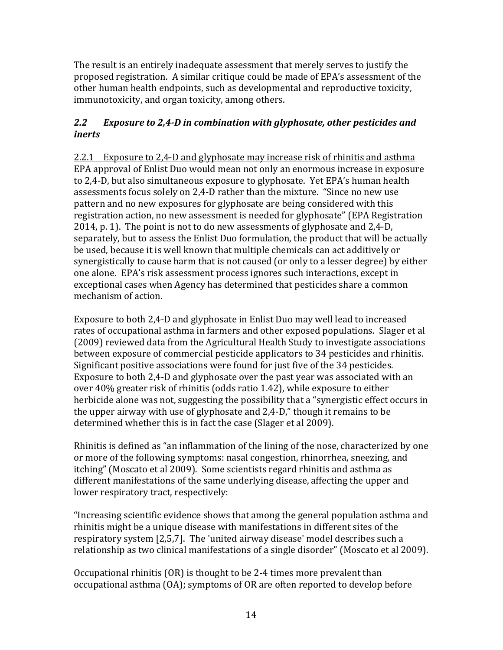The result is an entirely inadequate assessment that merely serves to justify the proposed registration. A similar critique could be made of EPA's assessment of the other human health endpoints, such as developmental and reproductive toxicity, immunotoxicity, and organ toxicity, among others.

# 2.2 *Exposure to 2,4-D* in combination with glyphosate, other pesticides and *inerts*

2.2.1 Exposure to 2,4-D and glyphosate may increase risk of rhinitis and asthma EPA approval of Enlist Duo would mean not only an enormous increase in exposure to 2,4-D, but also simultaneous exposure to glyphosate. Yet EPA's human health assessments focus solely on 2,4-D rather than the mixture. "Since no new use pattern and no new exposures for glyphosate are being considered with this registration action, no new assessment is needed for glyphosate" (EPA Registration  $2014$ , p. 1). The point is not to do new assessments of glyphosate and  $2.4$ -D. separately, but to assess the Enlist Duo formulation, the product that will be actually be used, because it is well known that multiple chemicals can act additively or synergistically to cause harm that is not caused (or only to a lesser degree) by either one alone. EPA's risk assessment process ignores such interactions, except in exceptional cases when Agency has determined that pesticides share a common mechanism of action.

Exposure to both 2,4-D and glyphosate in Enlist Duo may well lead to increased rates of occupational asthma in farmers and other exposed populations. Slager et al (2009) reviewed data from the Agricultural Health Study to investigate associations between exposure of commercial pesticide applicators to 34 pesticides and rhinitis. Significant positive associations were found for just five of the 34 pesticides. Exposure to both  $2.4$ -D and glyphosate over the past year was associated with an over 40% greater risk of rhinitis (odds ratio 1.42), while exposure to either herbicide alone was not, suggesting the possibility that a "synergistic effect occurs in the upper airway with use of glyphosate and 2.4-D," though it remains to be determined whether this is in fact the case (Slager et al 2009).

Rhinitis is defined as "an inflammation of the lining of the nose, characterized by one or more of the following symptoms: nasal congestion, rhinorrhea, sneezing, and itching" (Moscato et al 2009). Some scientists regard rhinitis and asthma as different manifestations of the same underlying disease, affecting the upper and lower respiratory tract, respectively:

"Increasing scientific evidence shows that among the general population asthma and rhinitis might be a unique disease with manifestations in different sites of the respiratory system [2,5,7]. The 'united airway disease' model describes such a relationship as two clinical manifestations of a single disorder" (Moscato et al 2009).

Occupational rhinitis  $(OR)$  is thought to be 2-4 times more prevalent than occupational asthma (OA); symptoms of OR are often reported to develop before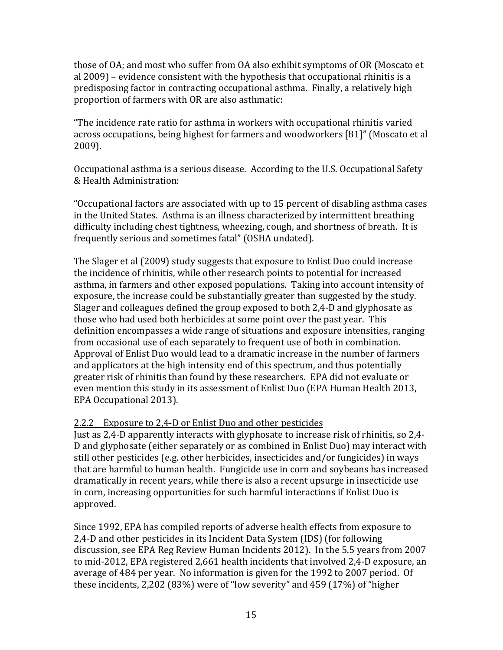those of OA; and most who suffer from OA also exhibit symptoms of OR (Moscato et al  $2009$ ) – evidence consistent with the hypothesis that occupational rhinitis is a predisposing factor in contracting occupational asthma. Finally, a relatively high proportion of farmers with OR are also asthmatic:

"The incidence rate ratio for asthma in workers with occupational rhinitis varied across occupations, being highest for farmers and woodworkers [81]" (Moscato et al 2009).

Occupational asthma is a serious disease. According to the U.S. Occupational Safety & Health Administration:

"Occupational factors are associated with up to 15 percent of disabling asthma cases in the United States. Asthma is an illness characterized by intermittent breathing difficulty including chest tightness, wheezing, cough, and shortness of breath. It is frequently serious and sometimes fatal" (OSHA undated).

The Slager et al (2009) study suggests that exposure to Enlist Duo could increase the incidence of rhinitis, while other research points to potential for increased asthma, in farmers and other exposed populations. Taking into account intensity of exposure, the increase could be substantially greater than suggested by the study. Slager and colleagues defined the group exposed to both 2,4-D and glyphosate as those who had used both herbicides at some point over the past year. This definition encompasses a wide range of situations and exposure intensities, ranging from occasional use of each separately to frequent use of both in combination. Approval of Enlist Duo would lead to a dramatic increase in the number of farmers and applicators at the high intensity end of this spectrum, and thus potentially greater risk of rhinitis than found by these researchers. EPA did not evaluate or even mention this study in its assessment of Enlist Duo (EPA Human Health 2013, EPA Occupational 2013).

# 2.2.2 Exposure to 2,4-D or Enlist Duo and other pesticides

Just as 2,4-D apparently interacts with glyphosate to increase risk of rhinitis, so 2,4-D and glyphosate (either separately or as combined in Enlist Duo) may interact with still other pesticides (e.g. other herbicides, insecticides and/or fungicides) in ways that are harmful to human health. Fungicide use in corn and soybeans has increased dramatically in recent years, while there is also a recent upsurge in insecticide use in corn, increasing opportunities for such harmful interactions if Enlist Duo is approved.

Since 1992, EPA has compiled reports of adverse health effects from exposure to 2,4-D and other pesticides in its Incident Data System (IDS) (for following discussion, see EPA Reg Review Human Incidents 2012). In the 5.5 years from 2007 to mid-2012, EPA registered 2,661 health incidents that involved 2,4-D exposure, an average of 484 per year. No information is given for the 1992 to 2007 period. Of these incidents, 2,202 (83%) were of "low severity" and 459 (17%) of "higher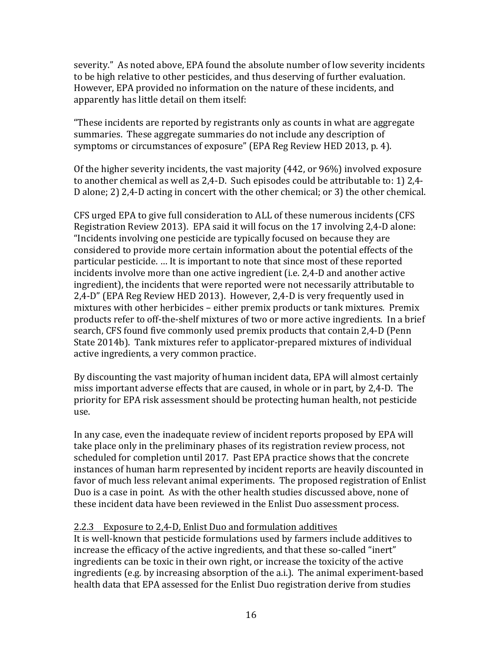severity." As noted above, EPA found the absolute number of low severity incidents to be high relative to other pesticides, and thus deserving of further evaluation. However, EPA provided no information on the nature of these incidents, and apparently has little detail on them itself:

"These incidents are reported by registrants only as counts in what are aggregate summaries. These aggregate summaries do not include any description of symptoms or circumstances of exposure" (EPA Reg Review HED 2013, p. 4).

Of the higher severity incidents, the vast majority  $(442, \text{or } 96\%)$  involved exposure to another chemical as well as  $2,4$ -D. Such episodes could be attributable to: 1)  $2,4$ -D alone; 2)  $2,4$ -D acting in concert with the other chemical; or 3) the other chemical.

CFS urged EPA to give full consideration to ALL of these numerous incidents (CFS Registration Review 2013). EPA said it will focus on the 17 involving  $2.4$ -D alone: "Incidents involving one pesticide are typically focused on because they are considered to provide more certain information about the potential effects of the particular pesticide. ... It is important to note that since most of these reported incidents involve more than one active ingredient (i.e. 2,4-D and another active ingredient), the incidents that were reported were not necessarily attributable to 2,4-D" (EPA Reg Review HED 2013). However, 2,4-D is very frequently used in mixtures with other herbicides – either premix products or tank mixtures. Premix products refer to off-the-shelf mixtures of two or more active ingredients. In a brief search, CFS found five commonly used premix products that contain 2,4-D (Penn State 2014b). Tank mixtures refer to applicator-prepared mixtures of individual active ingredients, a very common practice.

By discounting the vast majority of human incident data, EPA will almost certainly miss important adverse effects that are caused, in whole or in part, by 2,4-D. The priority for EPA risk assessment should be protecting human health, not pesticide use.

In any case, even the inadequate review of incident reports proposed by EPA will take place only in the preliminary phases of its registration review process, not scheduled for completion until 2017. Past EPA practice shows that the concrete instances of human harm represented by incident reports are heavily discounted in favor of much less relevant animal experiments. The proposed registration of Enlist Duo is a case in point. As with the other health studies discussed above, none of these incident data have been reviewed in the Enlist Duo assessment process.

# 2.2.3 Exposure to 2,4-D, Enlist Duo and formulation additives

It is well-known that pesticide formulations used by farmers include additives to increase the efficacy of the active ingredients, and that these so-called "inert" ingredients can be toxic in their own right, or increase the toxicity of the active ingredients (e.g. by increasing absorption of the a.i.). The animal experiment-based health data that EPA assessed for the Enlist Duo registration derive from studies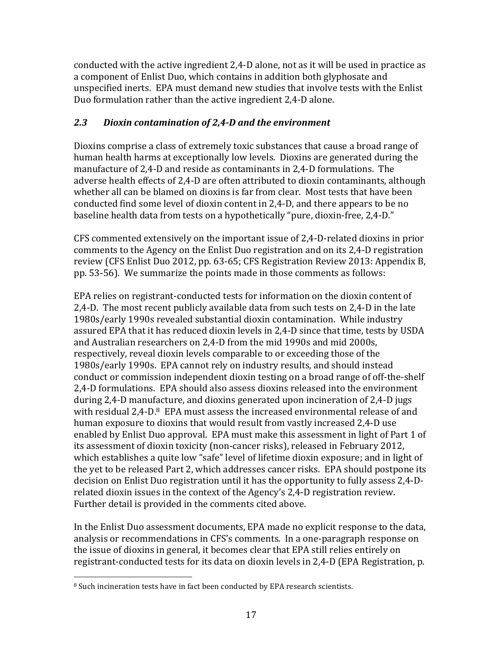conducted with the active ingredient 2,4-D alone, not as it will be used in practice as a component of Enlist Duo, which contains in addition both glyphosate and unspecified inerts. EPA must demand new studies that involve tests with the Enlist Duo formulation rather than the active ingredient 2,4-D alone.

# *2.3 Dioxin contamination of 2,4-D and the environment*

Dioxins comprise a class of extremely toxic substances that cause a broad range of human health harms at exceptionally low levels. Dioxins are generated during the manufacture of  $2.4$ -D and reside as contaminants in  $2.4$ -D formulations. The adverse health effects of 2,4-D are often attributed to dioxin contaminants, although whether all can be blamed on dioxins is far from clear. Most tests that have been conducted find some level of dioxin content in 2,4-D, and there appears to be no baseline health data from tests on a hypothetically "pure, dioxin-free, 2,4-D."

CFS commented extensively on the important issue of 2,4-D-related dioxins in prior comments to the Agency on the Enlist Duo registration and on its 2,4-D registration review (CFS Enlist Duo 2012, pp. 63-65; CFS Registration Review 2013: Appendix B, pp. 53-56). We summarize the points made in those comments as follows:

EPA relies on registrant-conducted tests for information on the dioxin content of 2,4-D. The most recent publicly available data from such tests on 2,4-D in the late 1980s/early 1990s revealed substantial dioxin contamination. While industry assured EPA that it has reduced dioxin levels in 2,4-D since that time, tests by USDA and Australian researchers on 2,4-D from the mid 1990s and mid 2000s, respectively, reveal dioxin levels comparable to or exceeding those of the 1980s/early 1990s. EPA cannot rely on industry results, and should instead conduct or commission independent dioxin testing on a broad range of off-the-shelf 2,4-D formulations. EPA should also assess dioxins released into the environment during 2,4-D manufacture, and dioxins generated upon incineration of 2,4-D jugs with residual  $2.4$ -D. $8$  EPA must assess the increased environmental release of and human exposure to dioxins that would result from vastly increased 2,4-D use enabled by Enlist Duo approval. EPA must make this assessment in light of Part 1 of its assessment of dioxin toxicity (non-cancer risks), released in February 2012, which establishes a quite low "safe" level of lifetime dioxin exposure; and in light of the yet to be released Part 2, which addresses cancer risks. EPA should postpone its decision on Enlist Duo registration until it has the opportunity to fully assess 2,4-Drelated dioxin issues in the context of the Agency's  $2,4$ -D registration review. Further detail is provided in the comments cited above.

In the Enlist Duo assessment documents, EPA made no explicit response to the data, analysis or recommendations in CFS's comments. In a one-paragraph response on the issue of dioxins in general, it becomes clear that EPA still relies entirely on registrant-conducted tests for its data on dioxin levels in 2,4-D (EPA Registration, p.

  $8$  Such incineration tests have in fact been conducted by EPA research scientists.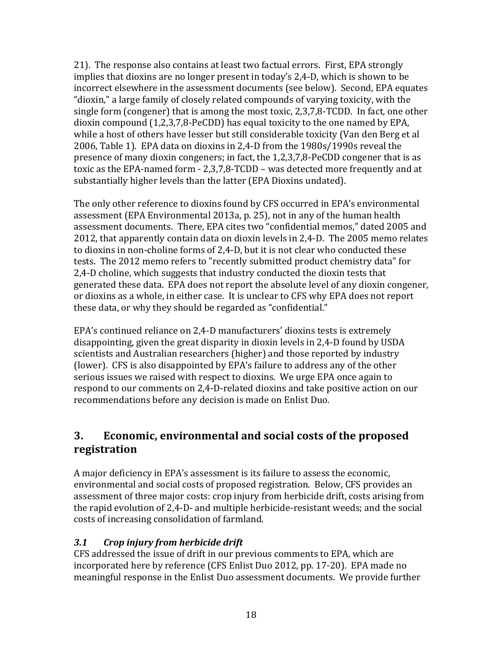21). The response also contains at least two factual errors. First, EPA strongly implies that dioxins are no longer present in today's 2,4-D, which is shown to be incorrect elsewhere in the assessment documents (see below). Second, EPA equates "dioxin," a large family of closely related compounds of varying toxicity, with the single form (congener) that is among the most toxic,  $2,3,7,8$ -TCDD. In fact, one other dioxin compound  $(1.2.3.7.8$ -PeCDD) has equal toxicity to the one named by EPA. while a host of others have lesser but still considerable toxicity (Van den Berg et al 2006, Table 1). EPA data on dioxins in 2,4-D from the 1980s/1990s reveal the presence of many dioxin congeners; in fact, the  $1,2,3,7,8$ -PeCDD congener that is as toxic as the EPA-named form  $- 2,3,7,8-$ TCDD – was detected more frequently and at substantially higher levels than the latter (EPA Dioxins undated).

The only other reference to dioxins found by CFS occurred in EPA's environmental assessment (EPA Environmental 2013a, p. 25), not in any of the human health assessment documents. There, EPA cites two "confidential memos," dated 2005 and 2012, that apparently contain data on dioxin levels in 2,4-D. The 2005 memo relates to dioxins in non-choline forms of  $2,4$ -D, but it is not clear who conducted these tests. The 2012 memo refers to "recently submitted product chemistry data" for 2,4-D choline, which suggests that industry conducted the dioxin tests that generated these data. EPA does not report the absolute level of any dioxin congener, or dioxins as a whole, in either case. It is unclear to CFS why EPA does not report these data, or why they should be regarded as "confidential."

EPA's continued reliance on 2,4-D manufacturers' dioxins tests is extremely disappointing, given the great disparity in dioxin levels in 2,4-D found by USDA scientists and Australian researchers (higher) and those reported by industry (lower). CFS is also disappointed by EPA's failure to address any of the other serious issues we raised with respect to dioxins. We urge EPA once again to respond to our comments on 2,4-D-related dioxins and take positive action on our recommendations before any decision is made on Enlist Duo.

# **3. Economic, environmental and social costs of the proposed registration**

A major deficiency in EPA's assessment is its failure to assess the economic, environmental and social costs of proposed registration. Below, CFS provides an assessment of three major costs: crop injury from herbicide drift, costs arising from the rapid evolution of  $2,4$ -D- and multiple herbicide-resistant weeds; and the social costs of increasing consolidation of farmland.

# *3.1 Crop injury from herbicide drift*

CFS addressed the issue of drift in our previous comments to EPA, which are incorporated here by reference (CFS Enlist Duo 2012, pp. 17-20). EPA made no meaningful response in the Enlist Duo assessment documents. We provide further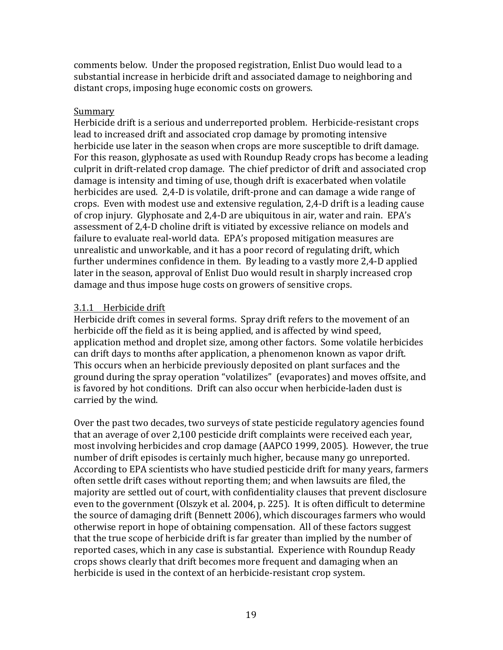comments below. Under the proposed registration, Enlist Duo would lead to a substantial increase in herbicide drift and associated damage to neighboring and distant crops, imposing huge economic costs on growers.

#### Summary

Herbicide drift is a serious and underreported problem. Herbicide-resistant crops lead to increased drift and associated crop damage by promoting intensive herbicide use later in the season when crops are more susceptible to drift damage. For this reason, glyphosate as used with Roundup Ready crops has become a leading culprit in drift-related crop damage. The chief predictor of drift and associated crop damage is intensity and timing of use, though drift is exacerbated when volatile herbicides are used. 2,4-D is volatile, drift-prone and can damage a wide range of crops. Even with modest use and extensive regulation, 2,4-D drift is a leading cause of crop injury. Glyphosate and 2,4-D are ubiquitous in air, water and rain. EPA's assessment of 2.4-D choline drift is vitiated by excessive reliance on models and failure to evaluate real-world data. EPA's proposed mitigation measures are unrealistic and unworkable, and it has a poor record of regulating drift, which further undermines confidence in them. By leading to a vastly more 2,4-D applied later in the season, approval of Enlist Duo would result in sharply increased crop damage and thus impose huge costs on growers of sensitive crops.

# 3.1.1 Herbicide drift

Herbicide drift comes in several forms. Spray drift refers to the movement of an herbicide off the field as it is being applied, and is affected by wind speed, application method and droplet size, among other factors. Some volatile herbicides can drift days to months after application, a phenomenon known as vapor drift. This occurs when an herbicide previously deposited on plant surfaces and the ground during the spray operation "volatilizes" (evaporates) and moves offsite, and is favored by hot conditions. Drift can also occur when herbicide-laden dust is carried by the wind.

Over the past two decades, two surveys of state pesticide regulatory agencies found that an average of over 2,100 pesticide drift complaints were received each year, most involving herbicides and crop damage (AAPCO 1999, 2005). However, the true number of drift episodes is certainly much higher, because many go unreported. According to EPA scientists who have studied pesticide drift for many years, farmers often settle drift cases without reporting them; and when lawsuits are filed, the majority are settled out of court, with confidentiality clauses that prevent disclosure even to the government (Olszyk et al. 2004, p. 225). It is often difficult to determine the source of damaging drift (Bennett 2006), which discourages farmers who would otherwise report in hope of obtaining compensation. All of these factors suggest that the true scope of herbicide drift is far greater than implied by the number of reported cases, which in any case is substantial. Experience with Roundup Ready crops shows clearly that drift becomes more frequent and damaging when an herbicide is used in the context of an herbicide-resistant crop system.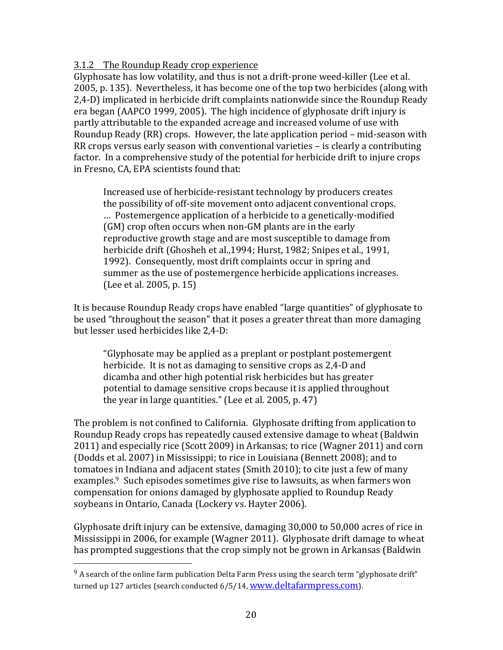#### 3.1.2 The Roundup Ready crop experience

Glyphosate has low volatility, and thus is not a drift-prone weed-killer (Lee et al. 2005, p. 135). Nevertheless, it has become one of the top two herbicides (along with 2,4-D) implicated in herbicide drift complaints nationwide since the Roundup Ready era began (AAPCO 1999, 2005). The high incidence of glyphosate drift injury is partly attributable to the expanded acreage and increased volume of use with Roundup Ready  $(RR)$  crops. However, the late application period – mid-season with RR crops versus early season with conventional varieties  $-$  is clearly a contributing factor. In a comprehensive study of the potential for herbicide drift to injure crops in Fresno, CA, EPA scientists found that:

Increased use of herbicide-resistant technology by producers creates the possibility of off-site movement onto adjacent conventional crops. ... Postemergence application of a herbicide to a genetically-modified (GM) crop often occurs when non-GM plants are in the early reproductive growth stage and are most susceptible to damage from herbicide drift (Ghosheh et al.,1994; Hurst, 1982; Snipes et al., 1991, 1992). Consequently, most drift complaints occur in spring and summer as the use of postemergence herbicide applications increases. (Lee et al. 2005, p. 15)

It is because Roundup Ready crops have enabled "large quantities" of glyphosate to be used "throughout the season" that it poses a greater threat than more damaging but lesser used herbicides like 2,4-D:

"Glyphosate may be applied as a preplant or postplant postemergent herbicide. It is not as damaging to sensitive crops as 2,4-D and dicamba and other high potential risk herbicides but has greater potential to damage sensitive crops because it is applied throughout the year in large quantities." (Lee et al.  $2005$ , p. 47)

The problem is not confined to California. Glyphosate drifting from application to Roundup Ready crops has repeatedly caused extensive damage to wheat (Baldwin 2011) and especially rice (Scott 2009) in Arkansas; to rice (Wagner 2011) and corn (Dodds et al. 2007) in Mississippi; to rice in Louisiana (Bennett 2008); and to tomatoes in Indiana and adjacent states (Smith 2010); to cite just a few of many examples.<sup>9</sup> Such episodes sometimes give rise to lawsuits, as when farmers won compensation for onions damaged by glyphosate applied to Roundup Ready soybeans in Ontario, Canada (Lockery vs. Hayter 2006).

Glyphosate drift injury can be extensive, damaging  $30,000$  to  $50,000$  acres of rice in Mississippi in 2006, for example (Wagner 2011). Glyphosate drift damage to wheat has prompted suggestions that the crop simply not be grown in Arkansas (Baldwin

 

 $9$  A search of the online farm publication Delta Farm Press using the search term "glyphosate drift" turned up 127 articles (search conducted 6/5/14, www.deltafarmpress.com).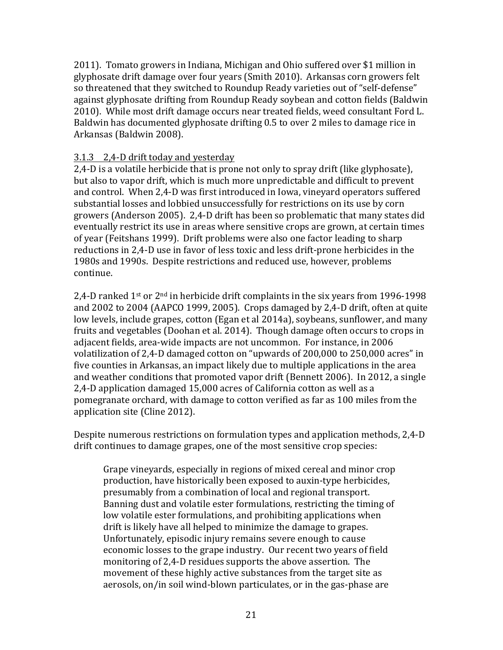2011). Tomato growers in Indiana, Michigan and Ohio suffered over \$1 million in glyphosate drift damage over four years (Smith 2010). Arkansas corn growers felt so threatened that they switched to Roundup Ready varieties out of "self-defense" against glyphosate drifting from Roundup Ready soybean and cotton fields (Baldwin 2010). While most drift damage occurs near treated fields, weed consultant Ford L. Baldwin has documented glyphosate drifting 0.5 to over 2 miles to damage rice in Arkansas (Baldwin 2008).

#### 3.1.3 2,4-D drift today and yesterday

2,4-D is a volatile herbicide that is prone not only to spray drift (like glyphosate), but also to vapor drift, which is much more unpredictable and difficult to prevent and control. When 2,4-D was first introduced in Iowa, vinevard operators suffered substantial losses and lobbied unsuccessfully for restrictions on its use by corn growers (Anderson 2005). 2,4-D drift has been so problematic that many states did eventually restrict its use in areas where sensitive crops are grown, at certain times of year (Feitshans 1999). Drift problems were also one factor leading to sharp reductions in 2,4-D use in favor of less toxic and less drift-prone herbicides in the 1980s and 1990s. Despite restrictions and reduced use, however, problems continue.

2,4-D ranked  $1^{st}$  or  $2^{nd}$  in herbicide drift complaints in the six years from 1996-1998 and  $2002$  to  $2004$  (AAPCO 1999, 2005). Crops damaged by  $2,4$ -D drift, often at quite low levels, include grapes, cotton (Egan et al 2014a), soybeans, sunflower, and many fruits and vegetables (Doohan et al. 2014). Though damage often occurs to crops in adjacent fields, area-wide impacts are not uncommon. For instance, in 2006 volatilization of 2,4-D damaged cotton on "upwards of 200,000 to 250,000 acres" in five counties in Arkansas, an impact likely due to multiple applications in the area and weather conditions that promoted vapor drift (Bennett 2006). In 2012, a single 2,4-D application damaged 15,000 acres of California cotton as well as a pomegranate orchard, with damage to cotton verified as far as 100 miles from the application site (Cline 2012).

Despite numerous restrictions on formulation types and application methods, 2,4-D drift continues to damage grapes, one of the most sensitive crop species:

Grape vineyards, especially in regions of mixed cereal and minor crop production, have historically been exposed to auxin-type herbicides, presumably from a combination of local and regional transport. Banning dust and volatile ester formulations, restricting the timing of low volatile ester formulations, and prohibiting applications when drift is likely have all helped to minimize the damage to grapes. Unfortunately, episodic injury remains severe enough to cause economic losses to the grape industry. Our recent two years of field monitoring of 2,4-D residues supports the above assertion. The movement of these highly active substances from the target site as aerosols, on/in soil wind-blown particulates, or in the gas-phase are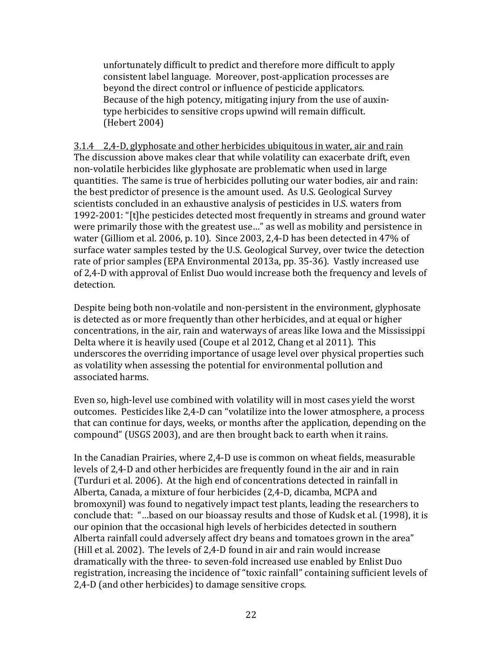unfortunately difficult to predict and therefore more difficult to apply consistent label language. Moreover, post-application processes are beyond the direct control or influence of pesticide applicators. Because of the high potency, mitigating injury from the use of auxintype herbicides to sensitive crops upwind will remain difficult. (Hebert 2004)

 $3.1.4$   $2.4$ -D, glyphosate and other herbicides ubiquitous in water, air and rain The discussion above makes clear that while volatility can exacerbate drift, even non-volatile herbicides like glyphosate are problematic when used in large quantities. The same is true of herbicides polluting our water bodies, air and rain: the best predictor of presence is the amount used. As U.S. Geological Survey scientists concluded in an exhaustive analysis of pesticides in U.S. waters from 1992-2001: "[t]he pesticides detected most frequently in streams and ground water were primarily those with the greatest use..." as well as mobility and persistence in water (Gilliom et al. 2006, p. 10). Since 2003, 2,4-D has been detected in 47% of surface water samples tested by the U.S. Geological Survey, over twice the detection rate of prior samples (EPA Environmental 2013a, pp. 35-36). Vastly increased use of 2,4-D with approval of Enlist Duo would increase both the frequency and levels of detection.

Despite being both non-volatile and non-persistent in the environment, glyphosate is detected as or more frequently than other herbicides, and at equal or higher concentrations, in the air, rain and waterways of areas like Iowa and the Mississippi Delta where it is heavily used (Coupe et al 2012, Chang et al 2011). This underscores the overriding importance of usage level over physical properties such as volatility when assessing the potential for environmental pollution and associated harms.

Even so, high-level use combined with volatility will in most cases yield the worst outcomes. Pesticides like 2,4-D can "volatilize into the lower atmosphere, a process that can continue for days, weeks, or months after the application, depending on the compound" (USGS 2003), and are then brought back to earth when it rains.

In the Canadian Prairies, where 2,4-D use is common on wheat fields, measurable levels of 2,4-D and other herbicides are frequently found in the air and in rain (Turduri et al. 2006). At the high end of concentrations detected in rainfall in Alberta, Canada, a mixture of four herbicides (2,4-D, dicamba, MCPA and bromoxynil) was found to negatively impact test plants, leading the researchers to conclude that: "...based on our bioassay results and those of Kudsk et al. (1998), it is our opinion that the occasional high levels of herbicides detected in southern Alberta rainfall could adversely affect dry beans and tomatoes grown in the area" (Hill et al. 2002). The levels of 2,4-D found in air and rain would increase dramatically with the three- to seven-fold increased use enabled by Enlist Duo registration, increasing the incidence of "toxic rainfall" containing sufficient levels of 2,4-D (and other herbicides) to damage sensitive crops.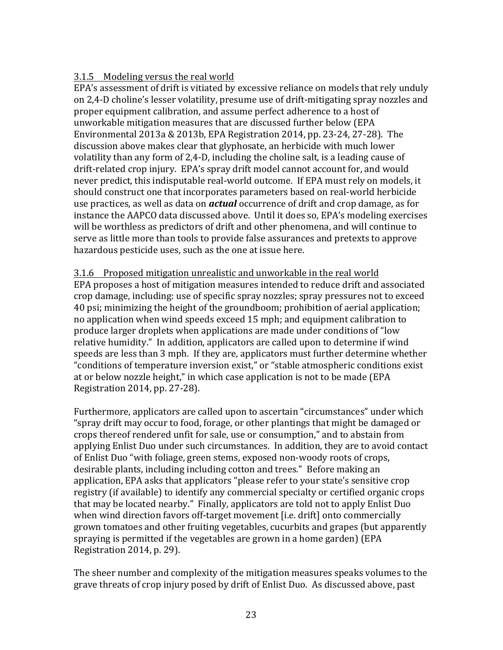# 3.1.5 Modeling versus the real world

EPA's assessment of drift is vitiated by excessive reliance on models that rely unduly on 2.4-D choline's lesser volatility, presume use of drift-mitigating spray nozzles and proper equipment calibration, and assume perfect adherence to a host of unworkable mitigation measures that are discussed further below (EPA Environmental  $2013a \& 2013b$ , EPA Registration  $2014$ , pp. 23-24, 27-28). The discussion above makes clear that glyphosate, an herbicide with much lower volatility than any form of  $2,4$ -D, including the choline salt, is a leading cause of drift-related crop injury. EPA's spray drift model cannot account for, and would never predict, this indisputable real-world outcome. If EPA must rely on models, it should construct one that incorporates parameters based on real-world herbicide use practices, as well as data on *actual* occurrence of drift and crop damage, as for instance the AAPCO data discussed above. Until it does so, EPA's modeling exercises will be worthless as predictors of drift and other phenomena, and will continue to serve as little more than tools to provide false assurances and pretexts to approve hazardous pesticide uses, such as the one at issue here.

3.1.6 Proposed mitigation unrealistic and unworkable in the real world EPA proposes a host of mitigation measures intended to reduce drift and associated crop damage, including: use of specific spray nozzles; spray pressures not to exceed 40 psi; minimizing the height of the groundboom; prohibition of aerial application; no application when wind speeds exceed 15 mph; and equipment calibration to produce larger droplets when applications are made under conditions of "low relative humidity." In addition, applicators are called upon to determine if wind speeds are less than 3 mph. If they are, applicators must further determine whether "conditions of temperature inversion exist," or "stable atmospheric conditions exist at or below nozzle height," in which case application is not to be made (EPA Registration 2014, pp. 27-28).

Furthermore, applicators are called upon to ascertain "circumstances" under which "spray drift may occur to food, forage, or other plantings that might be damaged or crops thereof rendered unfit for sale, use or consumption," and to abstain from applying Enlist Duo under such circumstances. In addition, they are to avoid contact of Enlist Duo "with foliage, green stems, exposed non-woody roots of crops, desirable plants, including including cotton and trees." Before making an application, EPA asks that applicators "please refer to your state's sensitive crop registry (if available) to identify any commercial specialty or certified organic crops that may be located nearby." Finally, applicators are told not to apply Enlist Duo when wind direction favors off-target movement [i.e. drift] onto commercially grown tomatoes and other fruiting vegetables, cucurbits and grapes (but apparently spraying is permitted if the vegetables are grown in a home garden) (EPA Registration 2014, p. 29).

The sheer number and complexity of the mitigation measures speaks volumes to the grave threats of crop injury posed by drift of Enlist Duo. As discussed above, past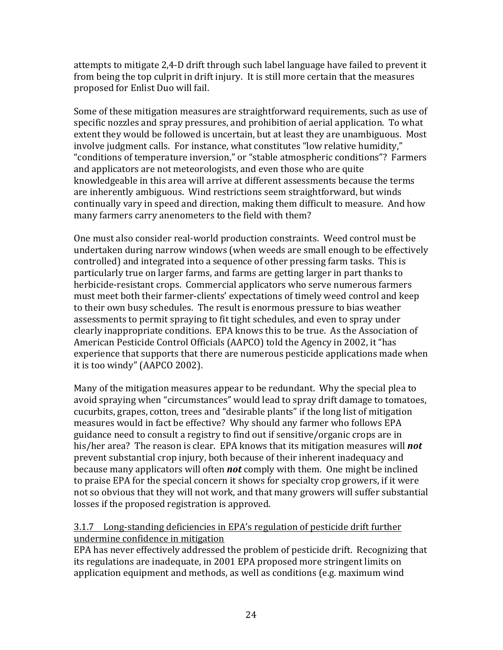attempts to mitigate 2,4-D drift through such label language have failed to prevent it from being the top culprit in drift injury. It is still more certain that the measures proposed for Enlist Duo will fail.

Some of these mitigation measures are straightforward requirements, such as use of specific nozzles and spray pressures, and prohibition of aerial application. To what extent they would be followed is uncertain, but at least they are unambiguous. Most involve judgment calls. For instance, what constitutes "low relative humidity," "conditions of temperature inversion," or "stable atmospheric conditions"? Farmers and applicators are not meteorologists, and even those who are quite knowledgeable in this area will arrive at different assessments because the terms are inherently ambiguous. Wind restrictions seem straightforward, but winds continually vary in speed and direction, making them difficult to measure. And how many farmers carry anenometers to the field with them?

One must also consider real-world production constraints. Weed control must be undertaken during narrow windows (when weeds are small enough to be effectively controlled) and integrated into a sequence of other pressing farm tasks. This is particularly true on larger farms, and farms are getting larger in part thanks to herbicide-resistant crops. Commercial applicators who serve numerous farmers must meet both their farmer-clients' expectations of timely weed control and keep to their own busy schedules. The result is enormous pressure to bias weather assessments to permit spraying to fit tight schedules, and even to spray under clearly inappropriate conditions. EPA knows this to be true. As the Association of American Pesticide Control Officials (AAPCO) told the Agency in 2002, it "has experience that supports that there are numerous pesticide applications made when it is too windy" (AAPCO 2002).

Many of the mitigation measures appear to be redundant. Why the special plea to avoid spraying when "circumstances" would lead to spray drift damage to tomatoes, cucurbits, grapes, cotton, trees and "desirable plants" if the long list of mitigation measures would in fact be effective? Why should any farmer who follows EPA guidance need to consult a registry to find out if sensitive/organic crops are in his/her area? The reason is clear. EPA knows that its mitigation measures will **not** prevent substantial crop injury, both because of their inherent inadequacy and because many applicators will often **not** comply with them. One might be inclined to praise EPA for the special concern it shows for specialty crop growers, if it were not so obvious that they will not work, and that many growers will suffer substantial losses if the proposed registration is approved.

# 3.1.7 Long-standing deficiencies in EPA's regulation of pesticide drift further undermine confidence in mitigation

EPA has never effectively addressed the problem of pesticide drift. Recognizing that its regulations are inadequate, in 2001 EPA proposed more stringent limits on application equipment and methods, as well as conditions (e.g. maximum wind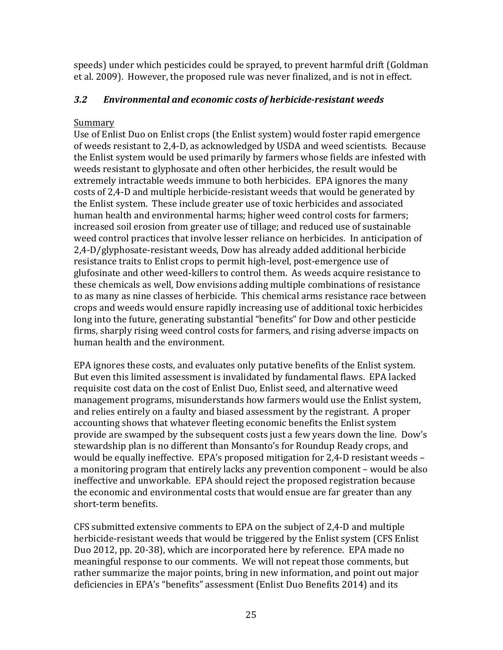speeds) under which pesticides could be sprayed, to prevent harmful drift (Goldman et al. 2009). However, the proposed rule was never finalized, and is not in effect.

# *3.2 Environmental and economic costs of herbicide-resistant weeds*

# Summary

Use of Enlist Duo on Enlist crops (the Enlist system) would foster rapid emergence of weeds resistant to 2,4-D, as acknowledged by USDA and weed scientists. Because the Enlist system would be used primarily by farmers whose fields are infested with weeds resistant to glyphosate and often other herbicides, the result would be extremely intractable weeds immune to both herbicides. EPA ignores the many costs of 2,4-D and multiple herbicide-resistant weeds that would be generated by the Enlist system. These include greater use of toxic herbicides and associated human health and environmental harms; higher weed control costs for farmers; increased soil erosion from greater use of tillage; and reduced use of sustainable weed control practices that involve lesser reliance on herbicides. In anticipation of  $2,4-D/glyphosate-resistant$  weeds, Dow has already added additional herbicide resistance traits to Enlist crops to permit high-level, post-emergence use of glufosinate and other weed-killers to control them. As weeds acquire resistance to these chemicals as well, Dow envisions adding multiple combinations of resistance to as many as nine classes of herbicide. This chemical arms resistance race between crops and weeds would ensure rapidly increasing use of additional toxic herbicides long into the future, generating substantial "benefits" for Dow and other pesticide firms, sharply rising weed control costs for farmers, and rising adverse impacts on human health and the environment.

EPA ignores these costs, and evaluates only putative benefits of the Enlist system. But even this limited assessment is invalidated by fundamental flaws. EPA lacked requisite cost data on the cost of Enlist Duo, Enlist seed, and alternative weed management programs, misunderstands how farmers would use the Enlist system, and relies entirely on a faulty and biased assessment by the registrant. A proper accounting shows that whatever fleeting economic benefits the Enlist system provide are swamped by the subsequent costs just a few years down the line. Dow's stewardship plan is no different than Monsanto's for Roundup Ready crops, and would be equally ineffective. EPA's proposed mitigation for 2,4-D resistant weeds – a monitoring program that entirely lacks any prevention component – would be also ineffective and unworkable. EPA should reject the proposed registration because the economic and environmental costs that would ensue are far greater than any short-term benefits.

CFS submitted extensive comments to EPA on the subject of 2,4-D and multiple herbicide-resistant weeds that would be triggered by the Enlist system (CFS Enlist Duo 2012, pp. 20-38), which are incorporated here by reference. EPA made no meaningful response to our comments. We will not repeat those comments, but rather summarize the major points, bring in new information, and point out major deficiencies in EPA's "benefits" assessment (Enlist Duo Benefits 2014) and its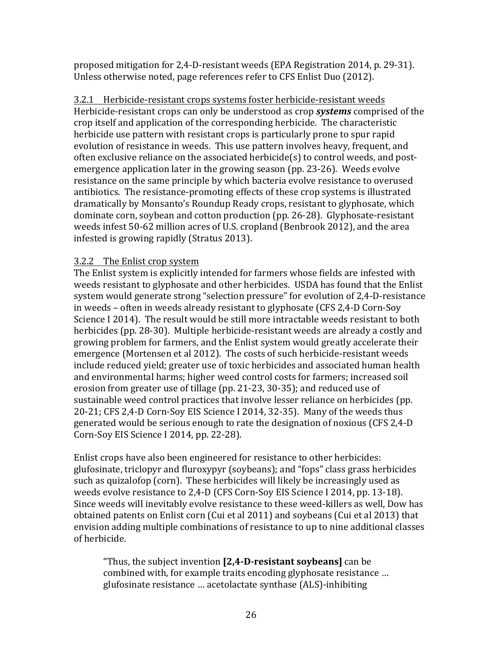proposed mitigation for  $2,4$ -D-resistant weeds (EPA Registration 2014, p. 29-31). Unless otherwise noted, page references refer to CFS Enlist Duo (2012).

3.2.1 Herbicide-resistant crops systems foster herbicide-resistant weeds Herbicide-resistant crops can only be understood as crop *systems* comprised of the crop itself and application of the corresponding herbicide. The characteristic herbicide use pattern with resistant crops is particularly prone to spur rapid evolution of resistance in weeds. This use pattern involves heavy, frequent, and often exclusive reliance on the associated herbicide(s) to control weeds, and postemergence application later in the growing season (pp. 23-26). Weeds evolve resistance on the same principle by which bacteria evolve resistance to overused antibiotics. The resistance-promoting effects of these crop systems is illustrated dramatically by Monsanto's Roundup Ready crops, resistant to glyphosate, which dominate corn, soybean and cotton production (pp. 26-28). Glyphosate-resistant weeds infest 50-62 million acres of U.S. cropland (Benbrook 2012), and the area infested is growing rapidly (Stratus 2013).

# 3.2.2 The Enlist crop system

The Enlist system is explicitly intended for farmers whose fields are infested with weeds resistant to glyphosate and other herbicides. USDA has found that the Enlist system would generate strong "selection pressure" for evolution of 2,4-D-resistance in weeds – often in weeds already resistant to glyphosate (CFS 2,4-D Corn-Soy Science I 2014). The result would be still more intractable weeds resistant to both herbicides (pp. 28-30). Multiple herbicide-resistant weeds are already a costly and growing problem for farmers, and the Enlist system would greatly accelerate their emergence (Mortensen et al 2012). The costs of such herbicide-resistant weeds include reduced yield; greater use of toxic herbicides and associated human health and environmental harms; higher weed control costs for farmers; increased soil erosion from greater use of tillage (pp. 21-23, 30-35); and reduced use of sustainable weed control practices that involve lesser reliance on herbicides (pp. 20-21; CFS 2.4-D Corn-Soy EIS Science I 2014, 32-35). Many of the weeds thus generated would be serious enough to rate the designation of noxious (CFS 2,4-D) Corn-Soy EIS Science I 2014, pp. 22-28).

Enlist crops have also been engineered for resistance to other herbicides: glufosinate, triclopyr and fluroxypyr (soybeans); and "fops" class grass herbicides such as quizalofop (corn). These herbicides will likely be increasingly used as weeds evolve resistance to 2,4-D (CFS Corn-Soy EIS Science I 2014, pp. 13-18). Since weeds will inevitably evolve resistance to these weed-killers as well, Dow has obtained patents on Enlist corn (Cui et al 2011) and soybeans (Cui et al 2013) that envision adding multiple combinations of resistance to up to nine additional classes of herbicide.

"Thus, the subject invention **[2,4-D-resistant soybeans]** can be combined with, for example traits encoding glyphosate resistance ... glufosinate resistance ... acetolactate synthase (ALS)-inhibiting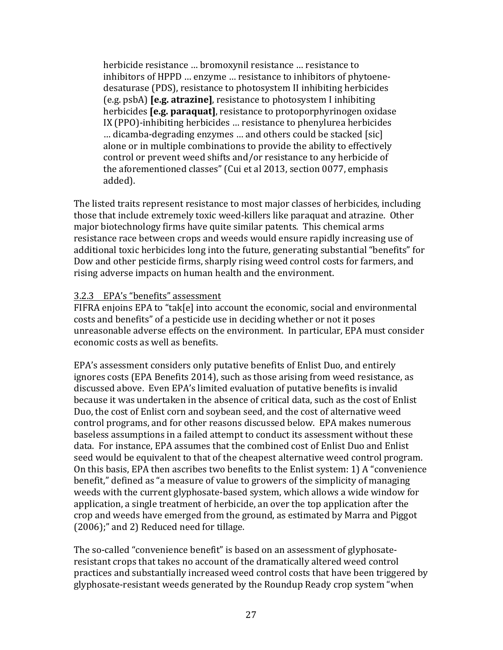herbicide resistance ... bromoxynil resistance ... resistance to inhibitors of HPPD ... enzyme ... resistance to inhibitors of phytoenedesaturase (PDS), resistance to photosystem II inhibiting herbicides **(e.g.** psbA) **[e.g. atrazine]**, resistance to photosystem I inhibiting herbicides **[e.g. paraquat]**, resistance to protoporphyrinogen oxidase IX (PPO)-inhibiting herbicides ... resistance to phenylurea herbicides ... dicamba-degrading enzymes ... and others could be stacked [sic] alone or in multiple combinations to provide the ability to effectively control or prevent weed shifts and/or resistance to any herbicide of the aforementioned classes" (Cui et al 2013, section 0077, emphasis added).

The listed traits represent resistance to most major classes of herbicides, including those that include extremely toxic weed-killers like paraquat and atrazine. Other major biotechnology firms have quite similar patents. This chemical arms resistance race between crops and weeds would ensure rapidly increasing use of additional toxic herbicides long into the future, generating substantial "benefits" for Dow and other pesticide firms, sharply rising weed control costs for farmers, and rising adverse impacts on human health and the environment.

#### 3.2.3 EPA's "benefits" assessment

FIFRA enioins EPA to "tak[e] into account the economic, social and environmental costs and benefits" of a pesticide use in deciding whether or not it poses unreasonable adverse effects on the environment. In particular, EPA must consider economic costs as well as benefits.

EPA's assessment considers only putative benefits of Enlist Duo, and entirely ignores costs (EPA Benefits 2014), such as those arising from weed resistance, as discussed above. Even EPA's limited evaluation of putative benefits is invalid because it was undertaken in the absence of critical data, such as the cost of Enlist Duo, the cost of Enlist corn and soybean seed, and the cost of alternative weed control programs, and for other reasons discussed below. EPA makes numerous baseless assumptions in a failed attempt to conduct its assessment without these data. For instance, EPA assumes that the combined cost of Enlist Duo and Enlist seed would be equivalent to that of the cheapest alternative weed control program. On this basis, EPA then ascribes two benefits to the Enlist system: 1) A "convenience benefit," defined as "a measure of value to growers of the simplicity of managing weeds with the current glyphosate-based system, which allows a wide window for application, a single treatment of herbicide, an over the top application after the crop and weeds have emerged from the ground, as estimated by Marra and Piggot  $(2006)$ ;" and 2) Reduced need for tillage.

The so-called "convenience benefit" is based on an assessment of glyphosateresistant crops that takes no account of the dramatically altered weed control practices and substantially increased weed control costs that have been triggered by glyphosate-resistant weeds generated by the Roundup Ready crop system "when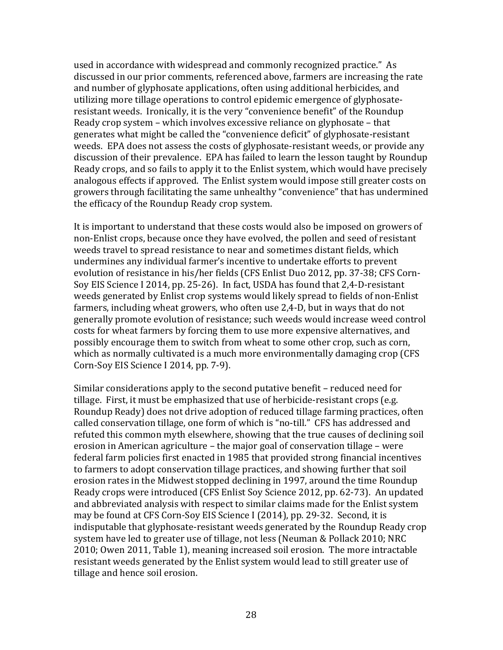used in accordance with widespread and commonly recognized practice." As discussed in our prior comments, referenced above, farmers are increasing the rate and number of glyphosate applications, often using additional herbicides, and utilizing more tillage operations to control epidemic emergence of glyphosateresistant weeds. Ironically, it is the very "convenience benefit" of the Roundup Ready crop system  $-$  which involves excessive reliance on glyphosate  $-$  that generates what might be called the "convenience deficit" of glyphosate-resistant weeds. EPA does not assess the costs of glyphosate-resistant weeds, or provide any discussion of their prevalence. EPA has failed to learn the lesson taught by Roundup Ready crops, and so fails to apply it to the Enlist system, which would have precisely analogous effects if approved. The Enlist system would impose still greater costs on growers through facilitating the same unhealthy "convenience" that has undermined the efficacy of the Roundup Ready crop system.

It is important to understand that these costs would also be imposed on growers of non-Enlist crops, because once they have evolved, the pollen and seed of resistant weeds travel to spread resistance to near and sometimes distant fields, which undermines any individual farmer's incentive to undertake efforts to prevent evolution of resistance in his/her fields (CFS Enlist Duo 2012, pp. 37-38; CFS Corn-Soy EIS Science I 2014, pp. 25-26). In fact, USDA has found that 2,4-D-resistant weeds generated by Enlist crop systems would likely spread to fields of non-Enlist farmers, including wheat growers, who often use 2,4-D, but in ways that do not generally promote evolution of resistance; such weeds would increase weed control costs for wheat farmers by forcing them to use more expensive alternatives, and possibly encourage them to switch from wheat to some other crop, such as corn, which as normally cultivated is a much more environmentally damaging crop (CFS Corn-Soy EIS Science I 2014, pp. 7-9).

Similar considerations apply to the second putative benefit - reduced need for tillage. First, it must be emphasized that use of herbicide-resistant crops (e.g. Roundup Ready) does not drive adoption of reduced tillage farming practices, often called conservation tillage, one form of which is "no-till." CFS has addressed and refuted this common myth elsewhere, showing that the true causes of declining soil erosion in American agriculture  $-$  the major goal of conservation tillage  $-$  were federal farm policies first enacted in 1985 that provided strong financial incentives to farmers to adopt conservation tillage practices, and showing further that soil erosion rates in the Midwest stopped declining in 1997, around the time Roundup Ready crops were introduced (CFS Enlist Soy Science 2012, pp. 62-73). An updated and abbreviated analysis with respect to similar claims made for the Enlist system may be found at CFS Corn-Soy EIS Science I (2014), pp. 29-32. Second, it is indisputable that glyphosate-resistant weeds generated by the Roundup Ready crop system have led to greater use of tillage, not less (Neuman & Pollack 2010; NRC 2010; Owen 2011, Table 1), meaning increased soil erosion. The more intractable resistant weeds generated by the Enlist system would lead to still greater use of tillage and hence soil erosion.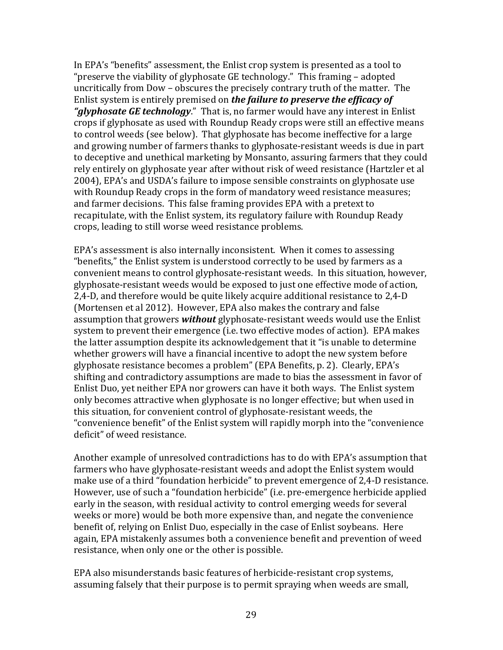In EPA's "benefits" assessment, the Enlist crop system is presented as a tool to "preserve the viability of glyphosate  $GE$  technology." This framing  $-$  adopted uncritically from Dow – obscures the precisely contrary truth of the matter. The Enlist system is entirely premised on *the failure to preserve the efficacy of* "glyphosate GE technology." That is, no farmer would have any interest in Enlist crops if glyphosate as used with Roundup Ready crops were still an effective means to control weeds (see below). That glyphosate has become ineffective for a large and growing number of farmers thanks to glyphosate-resistant weeds is due in part to deceptive and unethical marketing by Monsanto, assuring farmers that they could rely entirely on glyphosate year after without risk of weed resistance (Hartzler et al 2004), EPA's and USDA's failure to impose sensible constraints on glyphosate use with Roundup Ready crops in the form of mandatory weed resistance measures; and farmer decisions. This false framing provides EPA with a pretext to recapitulate, with the Enlist system, its regulatory failure with Roundup Ready crops, leading to still worse weed resistance problems.

EPA's assessment is also internally inconsistent. When it comes to assessing "benefits," the Enlist system is understood correctly to be used by farmers as a convenient means to control glyphosate-resistant weeds. In this situation, however, glyphosate-resistant weeds would be exposed to just one effective mode of action, 2,4-D, and therefore would be quite likely acquire additional resistance to 2,4-D (Mortensen et al 2012). However, EPA also makes the contrary and false assumption that growers **without** glyphosate-resistant weeds would use the Enlist system to prevent their emergence (i.e. two effective modes of action). EPA makes the latter assumption despite its acknowledgement that it "is unable to determine whether growers will have a financial incentive to adopt the new system before glyphosate resistance becomes a problem" (EPA Benefits, p. 2). Clearly, EPA's shifting and contradictory assumptions are made to bias the assessment in favor of Enlist Duo, yet neither EPA nor growers can have it both ways. The Enlist system only becomes attractive when glyphosate is no longer effective; but when used in this situation, for convenient control of glyphosate-resistant weeds, the "convenience benefit" of the Enlist system will rapidly morph into the "convenience" deficit" of weed resistance.

Another example of unresolved contradictions has to do with EPA's assumption that farmers who have glyphosate-resistant weeds and adopt the Enlist system would make use of a third "foundation herbicide" to prevent emergence of 2,4-D resistance. However, use of such a "foundation herbicide" (i.e. pre-emergence herbicide applied early in the season, with residual activity to control emerging weeds for several weeks or more) would be both more expensive than, and negate the convenience benefit of, relying on Enlist Duo, especially in the case of Enlist soybeans. Here again, EPA mistakenly assumes both a convenience benefit and prevention of weed resistance, when only one or the other is possible.

EPA also misunderstands basic features of herbicide-resistant crop systems, assuming falsely that their purpose is to permit spraying when weeds are small,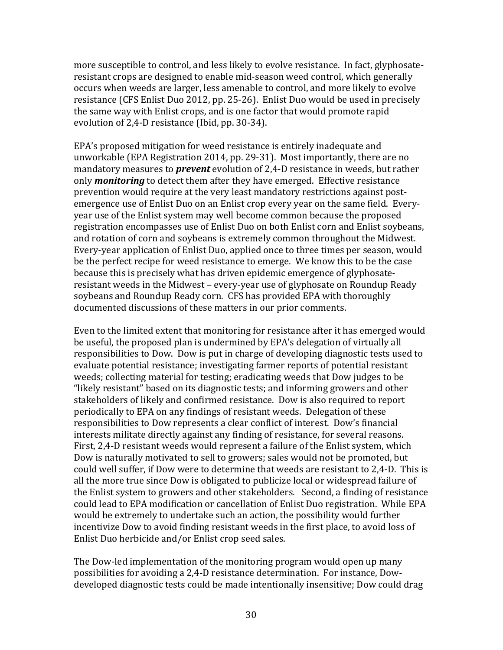more susceptible to control, and less likely to evolve resistance. In fact, glyphosateresistant crops are designed to enable mid-season weed control, which generally occurs when weeds are larger, less amenable to control, and more likely to evolve resistance (CFS Enlist Duo 2012, pp. 25-26). Enlist Duo would be used in precisely the same way with Enlist crops, and is one factor that would promote rapid evolution of 2.4-D resistance (Ibid, pp. 30-34).

EPA's proposed mitigation for weed resistance is entirely inadequate and unworkable (EPA Registration 2014, pp. 29-31). Most importantly, there are no mandatory measures to *prevent* evolution of 2,4-D resistance in weeds, but rather only **monitoring** to detect them after they have emerged. Effective resistance prevention would require at the very least mandatory restrictions against postemergence use of Enlist Duo on an Enlist crop every year on the same field. Everyyear use of the Enlist system may well become common because the proposed registration encompasses use of Enlist Duo on both Enlist corn and Enlist soybeans, and rotation of corn and soybeans is extremely common throughout the Midwest. Every-year application of Enlist Duo, applied once to three times per season, would be the perfect recipe for weed resistance to emerge. We know this to be the case because this is precisely what has driven epidemic emergence of glyphosateresistant weeds in the Midwest – every-year use of glyphosate on Roundup Ready soybeans and Roundup Ready corn. CFS has provided EPA with thoroughly documented discussions of these matters in our prior comments.

Even to the limited extent that monitoring for resistance after it has emerged would be useful, the proposed plan is undermined by EPA's delegation of virtually all responsibilities to Dow. Dow is put in charge of developing diagnostic tests used to evaluate potential resistance; investigating farmer reports of potential resistant weeds; collecting material for testing; eradicating weeds that Dow judges to be "likely resistant" based on its diagnostic tests; and informing growers and other stakeholders of likely and confirmed resistance. Dow is also required to report periodically to EPA on any findings of resistant weeds. Delegation of these responsibilities to Dow represents a clear conflict of interest. Dow's financial interests militate directly against any finding of resistance, for several reasons. First, 2,4-D resistant weeds would represent a failure of the Enlist system, which Dow is naturally motivated to sell to growers; sales would not be promoted, but could well suffer, if Dow were to determine that weeds are resistant to 2,4-D. This is all the more true since Dow is obligated to publicize local or widespread failure of the Enlist system to growers and other stakeholders. Second, a finding of resistance could lead to EPA modification or cancellation of Enlist Duo registration. While EPA would be extremely to undertake such an action, the possibility would further incentivize Dow to avoid finding resistant weeds in the first place, to avoid loss of Enlist Duo herbicide and/or Enlist crop seed sales.

The Dow-led implementation of the monitoring program would open up many possibilities for avoiding a 2,4-D resistance determination. For instance, Dowdeveloped diagnostic tests could be made intentionally insensitive; Dow could drag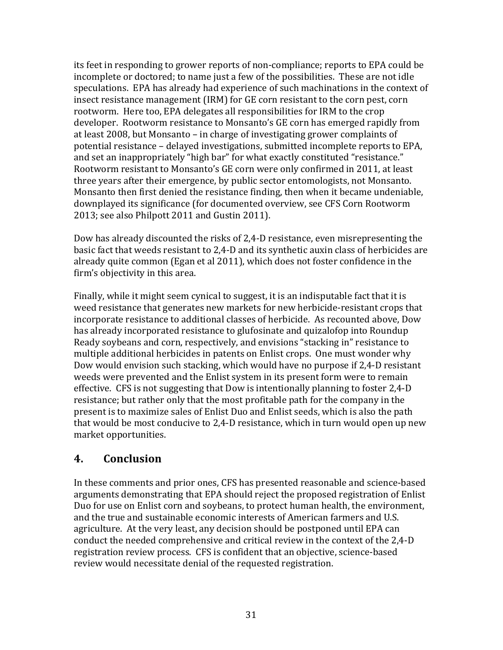its feet in responding to grower reports of non-compliance; reports to EPA could be incomplete or doctored; to name just a few of the possibilities. These are not idle speculations. EPA has already had experience of such machinations in the context of insect resistance management (IRM) for GE corn resistant to the corn pest, corn rootworm. Here too, EPA delegates all responsibilities for IRM to the crop developer. Rootworm resistance to Monsanto's GE corn has emerged rapidly from at least 2008, but Monsanto  $-$  in charge of investigating grower complaints of potential resistance – delayed investigations, submitted incomplete reports to EPA, and set an inappropriately "high bar" for what exactly constituted "resistance." Rootworm resistant to Monsanto's GE corn were only confirmed in 2011, at least three years after their emergence, by public sector entomologists, not Monsanto. Monsanto then first denied the resistance finding, then when it became undeniable, downplayed its significance (for documented overview, see CFS Corn Rootworm 2013; see also Philpott 2011 and Gustin 2011).

Dow has already discounted the risks of 2,4-D resistance, even misrepresenting the basic fact that weeds resistant to 2,4-D and its synthetic auxin class of herbicides are already quite common (Egan et al  $2011$ ), which does not foster confidence in the firm's objectivity in this area.

Finally, while it might seem cynical to suggest, it is an indisputable fact that it is weed resistance that generates new markets for new herbicide-resistant crops that incorporate resistance to additional classes of herbicide. As recounted above, Dow has already incorporated resistance to glufosinate and quizalofop into Roundup Ready soybeans and corn, respectively, and envisions "stacking in" resistance to multiple additional herbicides in patents on Enlist crops. One must wonder why Dow would envision such stacking, which would have no purpose if 2,4-D resistant weeds were prevented and the Enlist system in its present form were to remain effective. CFS is not suggesting that Dow is intentionally planning to foster 2,4-D resistance; but rather only that the most profitable path for the company in the present is to maximize sales of Enlist Duo and Enlist seeds, which is also the path that would be most conducive to 2,4-D resistance, which in turn would open up new market opportunities.

# **4. Conclusion**

In these comments and prior ones, CFS has presented reasonable and science-based arguments demonstrating that EPA should reject the proposed registration of Enlist Duo for use on Enlist corn and soybeans, to protect human health, the environment, and the true and sustainable economic interests of American farmers and U.S. agriculture. At the very least, any decision should be postponed until EPA can conduct the needed comprehensive and critical review in the context of the 2,4-D registration review process. CFS is confident that an objective, science-based review would necessitate denial of the requested registration.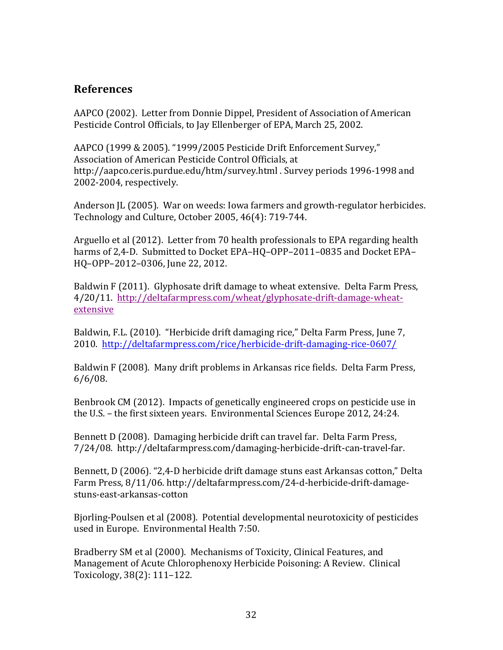# **References**

AAPCO (2002). Letter from Donnie Dippel, President of Association of American Pesticide Control Officials, to Jay Ellenberger of EPA, March 25, 2002.

AAPCO (1999 & 2005). "1999/2005 Pesticide Drift Enforcement Survey," Association of American Pesticide Control Officials, at http://aapco.ceris.purdue.edu/htm/survey.html . Survey periods 1996-1998 and 2002-2004, respectively.

Anderson IL (2005). War on weeds: Iowa farmers and growth-regulator herbicides. Technology and Culture, October 2005, 46(4): 719-744.

Arguello et al (2012). Letter from 70 health professionals to EPA regarding health harms of 2,4-D. Submitted to Docket EPA-HQ-OPP-2011-0835 and Docket EPA-HQ-OPP-2012-0306, June 22, 2012.

Baldwin F (2011). Glyphosate drift damage to wheat extensive. Delta Farm Press, 4/20/11. http://deltafarmpress.com/wheat/glyphosate-drift-damage-wheatextensive

Baldwin, F.L. (2010). "Herbicide drift damaging rice," Delta Farm Press, June 7, 2010. http://deltafarmpress.com/rice/herbicide-drift-damaging-rice-0607/

Baldwin F (2008). Many drift problems in Arkansas rice fields. Delta Farm Press, 6/6/08.

Benbrook CM (2012). Impacts of genetically engineered crops on pesticide use in the U.S. – the first sixteen years. Environmental Sciences Europe 2012, 24:24.

Bennett D (2008). Damaging herbicide drift can travel far. Delta Farm Press, 7/24/08. http://deltafarmpress.com/damaging-herbicide-drift-can-travel-far.

Bennett, D (2006). "2,4-D herbicide drift damage stuns east Arkansas cotton," Delta Farm Press, 8/11/06. http://deltafarmpress.com/24-d-herbicide-drift-damagestuns-east-arkansas-cotton

Bjorling-Poulsen et al (2008). Potential developmental neurotoxicity of pesticides used in Europe. Environmental Health 7:50.

Bradberry SM et al (2000). Mechanisms of Toxicity, Clinical Features, and Management of Acute Chlorophenoxy Herbicide Poisoning: A Review. Clinical Toxicology, 38(2): 111-122.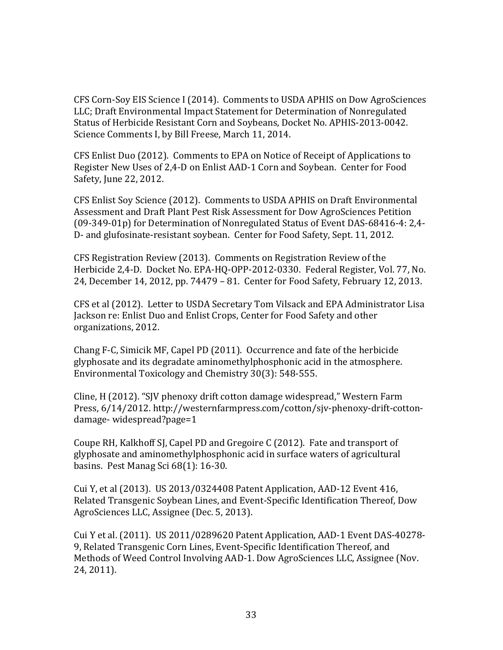CFS Corn-Soy EIS Science I (2014). Comments to USDA APHIS on Dow AgroSciences LLC; Draft Environmental Impact Statement for Determination of Nonregulated Status of Herbicide Resistant Corn and Sovbeans, Docket No. APHIS-2013-0042. Science Comments I, by Bill Freese, March 11, 2014.

CFS Enlist Duo (2012). Comments to EPA on Notice of Receipt of Applications to Register New Uses of 2,4-D on Enlist AAD-1 Corn and Soybean. Center for Food Safety, June 22, 2012.

CFS Enlist Soy Science (2012). Comments to USDA APHIS on Draft Environmental Assessment and Draft Plant Pest Risk Assessment for Dow AgroSciences Petition  $(09-349-01p)$  for Determination of Nonregulated Status of Event DAS-68416-4: 2,4-D- and glufosinate-resistant soybean. Center for Food Safety, Sept. 11, 2012.

CFS Registration Review (2013). Comments on Registration Review of the Herbicide 2,4-D. Docket No. EPA-HQ-OPP-2012-0330. Federal Register, Vol. 77, No. 24, December 14, 2012, pp. 74479 – 81. Center for Food Safety, February 12, 2013.

CFS et al (2012). Letter to USDA Secretary Tom Vilsack and EPA Administrator Lisa Jackson re: Enlist Duo and Enlist Crops, Center for Food Safety and other organizations, 2012.

Chang F-C, Simicik MF, Capel PD (2011). Occurrence and fate of the herbicide glyphosate and its degradate aminomethylphosphonic acid in the atmosphere. Environmental Toxicology and Chemistry 30(3): 548-555.

Cline, H (2012). "SJV phenoxy drift cotton damage widespread," Western Farm Press, 6/14/2012. http://westernfarmpress.com/cotton/sjv-phenoxy-drift-cottondamage- widespread?page=1

Coupe RH, Kalkhoff SJ, Capel PD and Gregoire C (2012). Fate and transport of glyphosate and aminomethylphosphonic acid in surface waters of agricultural basins. Pest Manag Sci  $68(1)$ : 16-30.

Cui Y, et al (2013). US 2013/0324408 Patent Application, AAD-12 Event 416, Related Transgenic Soybean Lines, and Event-Specific Identification Thereof, Dow AgroSciences LLC, Assignee (Dec. 5, 2013).

Cui Y et al.  $(2011)$ . US  $2011/0289620$  Patent Application, AAD-1 Event DAS-40278-9, Related Transgenic Corn Lines, Event-Specific Identification Thereof, and Methods of Weed Control Involving AAD-1. Dow AgroSciences LLC, Assignee (Nov. 24, 2011).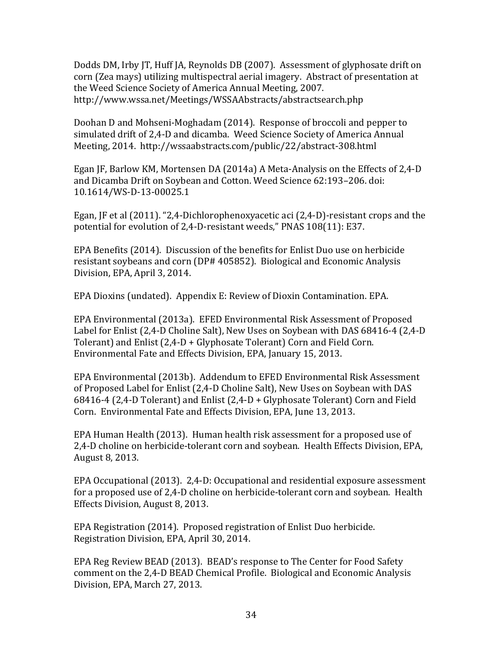Dodds DM, Irby JT, Huff JA, Reynolds DB (2007). Assessment of glyphosate drift on corn (Zea mays) utilizing multispectral aerial imagery. Abstract of presentation at the Weed Science Society of America Annual Meeting, 2007. http://www.wssa.net/Meetings/WSSAAbstracts/abstractsearch.php

Doohan D and Mohseni-Moghadam (2014). Response of broccoli and pepper to simulated drift of 2,4-D and dicamba. Weed Science Society of America Annual Meeting, 2014. http://wssaabstracts.com/public/22/abstract-308.html

Egan JF, Barlow KM, Mortensen DA (2014a) A Meta-Analysis on the Effects of 2,4-D and Dicamba Drift on Soybean and Cotton. Weed Science 62:193-206. doi: 10.1614/WS-D-13-00025.1

Egan, JF et al  $(2011)$ . "2,4-Dichlorophenoxyacetic aci  $(2,4-D)$ -resistant crops and the potential for evolution of 2,4-D-resistant weeds," PNAS 108(11): E37.

EPA Benefits (2014). Discussion of the benefits for Enlist Duo use on herbicide resistant soybeans and corn (DP# 405852). Biological and Economic Analysis Division, EPA, April 3, 2014.

EPA Dioxins (undated). Appendix E: Review of Dioxin Contamination. EPA.

EPA Environmental (2013a). EFED Environmental Risk Assessment of Proposed Label for Enlist (2,4-D Choline Salt), New Uses on Soybean with DAS 68416-4 (2,4-D Tolerant) and Enlist  $(2,4-D + Glyphosate Tolerant)$  Corn and Field Corn. Environmental Fate and Effects Division, EPA, January 15, 2013.

EPA Environmental (2013b). Addendum to EFED Environmental Risk Assessment of Proposed Label for Enlist (2,4-D Choline Salt), New Uses on Soybean with DAS 68416-4 (2,4-D Tolerant) and Enlist  $(2,4-D + Glyphosate Tolerant)$  Corn and Field Corn. Environmental Fate and Effects Division, EPA, June 13, 2013.

EPA Human Health (2013). Human health risk assessment for a proposed use of 2,4-D choline on herbicide-tolerant corn and soybean. Health Effects Division, EPA, August 8, 2013.

EPA Occupational  $(2013)$ . 2,4-D: Occupational and residential exposure assessment for a proposed use of 2,4-D choline on herbicide-tolerant corn and soybean. Health Effects Division, August 8, 2013.

EPA Registration (2014). Proposed registration of Enlist Duo herbicide. Registration Division, EPA, April 30, 2014.

EPA Reg Review BEAD (2013). BEAD's response to The Center for Food Safety comment on the 2,4-D BEAD Chemical Profile. Biological and Economic Analysis Division, EPA, March 27, 2013.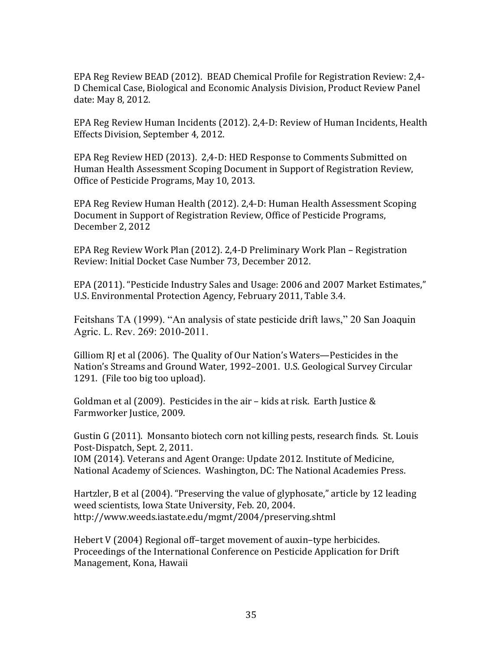EPA Reg Review BEAD (2012). BEAD Chemical Profile for Registration Review: 2,4-D Chemical Case, Biological and Economic Analysis Division, Product Review Panel date: May 8, 2012.

EPA Reg Review Human Incidents (2012). 2,4-D: Review of Human Incidents, Health Effects Division, September 4, 2012.

EPA Reg Review HED (2013). 2,4-D: HED Response to Comments Submitted on Human Health Assessment Scoping Document in Support of Registration Review, Office of Pesticide Programs, May 10, 2013.

EPA Reg Review Human Health (2012). 2,4-D: Human Health Assessment Scoping Document in Support of Registration Review, Office of Pesticide Programs, December 2, 2012

EPA Reg Review Work Plan (2012). 2,4-D Preliminary Work Plan – Registration Review: Initial Docket Case Number 73, December 2012.

EPA (2011). "Pesticide Industry Sales and Usage: 2006 and 2007 Market Estimates," U.S. Environmental Protection Agency, February 2011, Table 3.4.

Feitshans TA (1999). "An analysis of state pesticide drift laws," 20 San Joaquin Agric. L. Rev. 269: 2010-2011.

Gilliom RI et al (2006). The Quality of Our Nation's Waters—Pesticides in the Nation's Streams and Ground Water, 1992–2001. U.S. Geological Survey Circular 1291. (File too big too upload).

Goldman et al (2009). Pesticides in the air – kids at risk. Earth Justice  $&$ Farmworker Justice, 2009.

Gustin G (2011). Monsanto biotech corn not killing pests, research finds. St. Louis Post-Dispatch, Sept. 2, 2011.

IOM (2014). Veterans and Agent Orange: Update 2012. Institute of Medicine, National Academy of Sciences. Washington, DC: The National Academies Press.

Hartzler, B et al  $(2004)$ . "Preserving the value of glyphosate," article by 12 leading weed scientists, Iowa State University, Feb. 20, 2004. http://www.weeds.iastate.edu/mgmt/2004/preserving.shtml

Hebert V (2004) Regional off-target movement of auxin-type herbicides. Proceedings of the International Conference on Pesticide Application for Drift Management, Kona, Hawaii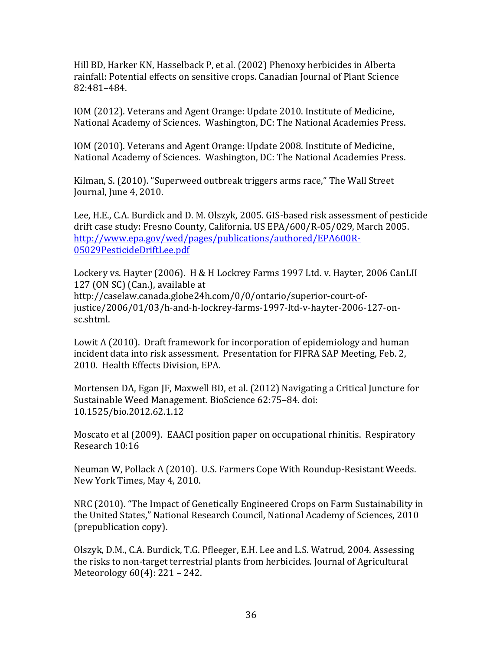Hill BD, Harker KN, Hasselback P, et al. (2002) Phenoxy herbicides in Alberta rainfall: Potential effects on sensitive crops. Canadian Journal of Plant Science 82:481–484.

IOM (2012). Veterans and Agent Orange: Update 2010. Institute of Medicine, National Academy of Sciences. Washington, DC: The National Academies Press.

IOM (2010). Veterans and Agent Orange: Update 2008. Institute of Medicine, National Academy of Sciences. Washington, DC: The National Academies Press.

Kilman, S. (2010). "Superweed outbreak triggers arms race," The Wall Street Journal, June 4, 2010.

Lee, H.E., C.A. Burdick and D. M. Olszyk, 2005. GIS-based risk assessment of pesticide drift case study: Fresno County, California. US EPA/600/R-05/029, March 2005. http://www.epa.gov/wed/pages/publications/authored/EPA600R-05029PesticideDriftLee.pdf

Lockery vs. Hayter (2006). H & H Lockrey Farms 1997 Ltd. v. Hayter, 2006 CanLII 127 (ON SC) (Can.), available at http://caselaw.canada.globe24h.com/0/0/ontario/superior-court-ofjustice/2006/01/03/h-and-h-lockrey-farms-1997-ltd-v-hayter-2006-127-onsc.shtml.

Lowit A (2010). Draft framework for incorporation of epidemiology and human incident data into risk assessment. Presentation for FIFRA SAP Meeting, Feb. 2, 2010. Health Effects Division, EPA.

Mortensen DA, Egan JF, Maxwell BD, et al. (2012) Navigating a Critical Juncture for Sustainable Weed Management. BioScience 62:75-84. doi: 10.1525/bio.2012.62.1.12

Moscato et al (2009). EAACI position paper on occupational rhinitis. Respiratory Research 10:16

Neuman W, Pollack A (2010). U.S. Farmers Cope With Roundup-Resistant Weeds. New York Times, May 4, 2010.

NRC (2010). "The Impact of Genetically Engineered Crops on Farm Sustainability in the United States," National Research Council, National Academy of Sciences, 2010 (prepublication copy).

Olszyk, D.M., C.A. Burdick, T.G. Pfleeger, E.H. Lee and L.S. Watrud, 2004. Assessing the risks to non-target terrestrial plants from herbicides. Journal of Agricultural Meteorology  $60(4)$ : 221 – 242.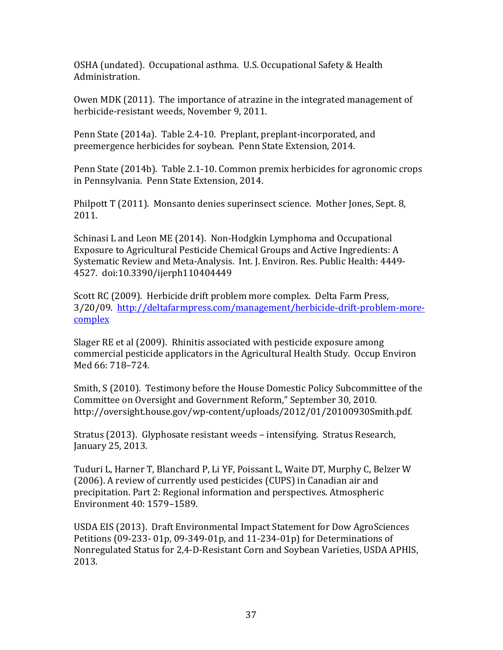OSHA (undated). Occupational asthma. U.S. Occupational Safety & Health Administration. 

Owen MDK (2011). The importance of atrazine in the integrated management of herbicide-resistant weeds, November 9, 2011.

Penn State (2014a). Table 2.4-10. Preplant, preplant-incorporated, and preemergence herbicides for soybean. Penn State Extension, 2014.

Penn State (2014b). Table 2.1-10. Common premix herbicides for agronomic crops in Pennsylvania. Penn State Extension, 2014.

Philpott  $T(2011)$ . Monsanto denies superinsect science. Mother Jones, Sept. 8, 2011.

Schinasi L and Leon ME (2014). Non-Hodgkin Lymphoma and Occupational Exposure to Agricultural Pesticide Chemical Groups and Active Ingredients: A Systematic Review and Meta-Analysis. Int. J. Environ. Res. Public Health: 4449-4527. doi:10.3390/ijerph110404449

Scott RC (2009). Herbicide drift problem more complex. Delta Farm Press, 3/20/09. http://deltafarmpress.com/management/herbicide-drift-problem-morecomplex

Slager RE et al (2009). Rhinitis associated with pesticide exposure among commercial pesticide applicators in the Agricultural Health Study. Occup Environ Med 66: 718–724. 

Smith, S (2010). Testimony before the House Domestic Policy Subcommittee of the Committee on Oversight and Government Reform," September 30, 2010. http://oversight.house.gov/wp-content/uploads/2012/01/20100930Smith.pdf.

Stratus (2013). Glyphosate resistant weeds – intensifying. Stratus Research, January 25, 2013.

Tuduri L, Harner T, Blanchard P, Li YF, Poissant L, Waite DT, Murphy C, Belzer W (2006). A review of currently used pesticides (CUPS) in Canadian air and precipitation. Part 2: Regional information and perspectives. Atmospheric Environment 40: 1579–1589.

USDA EIS (2013). Draft Environmental Impact Statement for Dow AgroSciences Petitions  $(09-233-01p, 09-349-01p,$  and  $11-234-01p$  for Determinations of Nonregulated Status for 2,4-D-Resistant Corn and Soybean Varieties, USDA APHIS, 2013.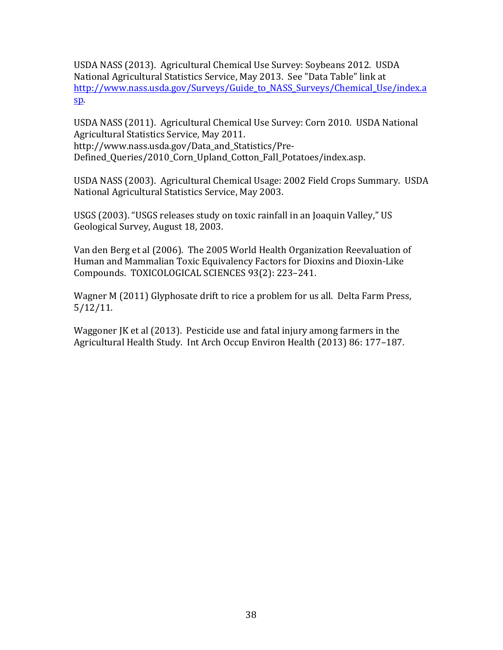USDA NASS (2013). Agricultural Chemical Use Survey: Soybeans 2012. USDA National Agricultural Statistics Service, May 2013. See "Data Table" link at http://www.nass.usda.gov/Surveys/Guide\_to\_NASS\_Surveys/Chemical\_Use/index.a sp.

USDA NASS (2011). Agricultural Chemical Use Survey: Corn 2010. USDA National Agricultural Statistics Service, May 2011. http://www.nass.usda.gov/Data\_and\_Statistics/Pre-Defined\_Queries/2010\_Corn\_Upland\_Cotton\_Fall\_Potatoes/index.asp.

USDA NASS (2003). Agricultural Chemical Usage: 2002 Field Crops Summary. USDA National Agricultural Statistics Service, May 2003.

USGS (2003). "USGS releases study on toxic rainfall in an Joaquin Valley," US Geological Survey, August 18, 2003.

Van den Berg et al (2006). The 2005 World Health Organization Reevaluation of Human and Mammalian Toxic Equivalency Factors for Dioxins and Dioxin-Like Compounds. TOXICOLOGICAL SCIENCES 93(2): 223-241.

Wagner M (2011) Glyphosate drift to rice a problem for us all. Delta Farm Press, 5/12/11.

Waggoner JK et al  $(2013)$ . Pesticide use and fatal injury among farmers in the Agricultural Health Study. Int Arch Occup Environ Health (2013) 86: 177-187.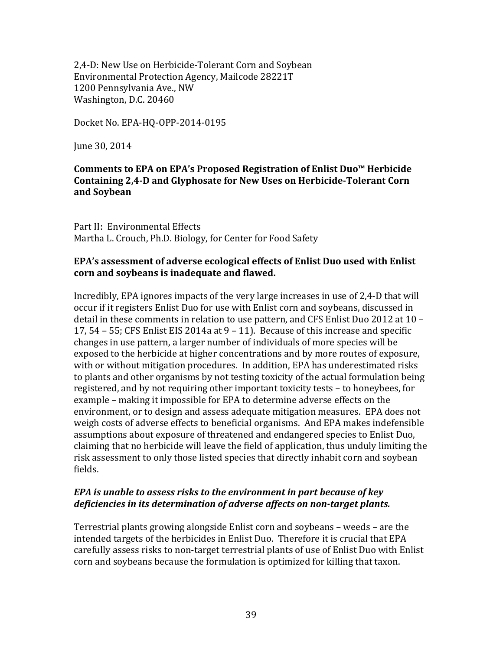2,4-D: New Use on Herbicide-Tolerant Corn and Soybean Environmental Protection Agency, Mailcode 28221T 1200 Pennsylvania Ave., NW Washington, D.C. 20460

Docket No. EPA-HQ-OPP-2014-0195

June 30, 2014

#### **Comments to EPA on EPA's Proposed Registration of Enlist Duo™ Herbicide** Containing 2,4-D and Glyphosate for New Uses on Herbicide-Tolerant Corn **and Soybean**

Part II: Environmental Effects Martha L. Crouch, Ph.D. Biology, for Center for Food Safety

#### **EPA's assessment of adverse ecological effects of Enlist Duo used with Enlist corn and soybeans is inadequate and flawed.**

Incredibly, EPA ignores impacts of the very large increases in use of 2,4-D that will occur if it registers Enlist Duo for use with Enlist corn and soybeans, discussed in detail in these comments in relation to use pattern, and CFS Enlist Duo 2012 at  $10 -$ 17,  $54 - 55$ ; CFS Enlist EIS 2014a at  $9 - 11$ ). Because of this increase and specific changes in use pattern, a larger number of individuals of more species will be exposed to the herbicide at higher concentrations and by more routes of exposure, with or without mitigation procedures. In addition, EPA has underestimated risks to plants and other organisms by not testing toxicity of the actual formulation being registered, and by not requiring other important toxicity tests - to honeybees, for example – making it impossible for EPA to determine adverse effects on the environment, or to design and assess adequate mitigation measures. EPA does not weigh costs of adverse effects to beneficial organisms. And EPA makes indefensible assumptions about exposure of threatened and endangered species to Enlist Duo, claiming that no herbicide will leave the field of application, thus unduly limiting the risk assessment to only those listed species that directly inhabit corn and soybean fields. 

#### *EPA* is unable to assess risks to the environment in part because of key *deficiencies in its determination of adverse affects on non-target plants.*

Terrestrial plants growing alongside Enlist corn and soybeans – weeds – are the intended targets of the herbicides in Enlist Duo. Therefore it is crucial that EPA carefully assess risks to non-target terrestrial plants of use of Enlist Duo with Enlist corn and soybeans because the formulation is optimized for killing that taxon.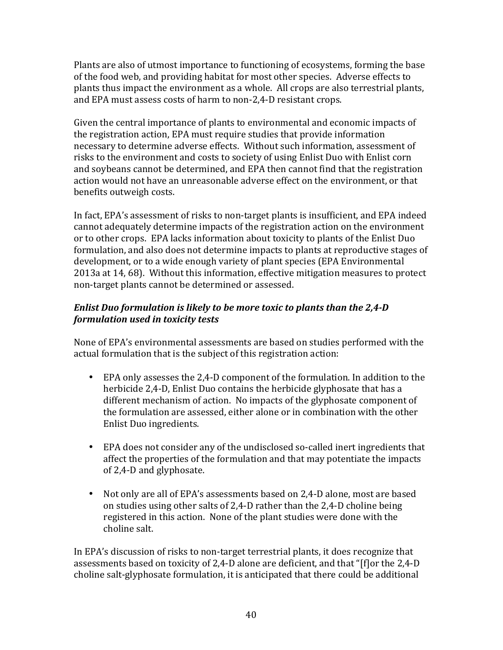Plants are also of utmost importance to functioning of ecosystems, forming the base of the food web, and providing habitat for most other species. Adverse effects to plants thus impact the environment as a whole. All crops are also terrestrial plants, and EPA must assess costs of harm to non-2,4-D resistant crops.

Given the central importance of plants to environmental and economic impacts of the registration action, EPA must require studies that provide information necessary to determine adverse effects. Without such information, assessment of risks to the environment and costs to society of using Enlist Duo with Enlist corn and soybeans cannot be determined, and EPA then cannot find that the registration action would not have an unreasonable adverse effect on the environment, or that benefits outweigh costs.

In fact, EPA's assessment of risks to non-target plants is insufficient, and EPA indeed cannot adequately determine impacts of the registration action on the environment or to other crops. EPA lacks information about toxicity to plants of the Enlist Duo formulation, and also does not determine impacts to plants at reproductive stages of development, or to a wide enough variety of plant species (EPA Environmental 2013a at 14, 68). Without this information, effective mitigation measures to protect non-target plants cannot be determined or assessed.

# *Enlist Duo formulation is likely to be more toxic to plants than the 2,4-D formulation used in toxicity tests*

None of EPA's environmental assessments are based on studies performed with the actual formulation that is the subject of this registration action:

- EPA only assesses the 2,4-D component of the formulation. In addition to the herbicide 2,4-D, Enlist Duo contains the herbicide glyphosate that has a different mechanism of action. No impacts of the glyphosate component of the formulation are assessed, either alone or in combination with the other Enlist Duo ingredients.
- EPA does not consider any of the undisclosed so-called inert ingredients that affect the properties of the formulation and that may potentiate the impacts of 2,4-D and glyphosate.
- Not only are all of EPA's assessments based on 2,4-D alone, most are based on studies using other salts of  $2,4$ -D rather than the  $2,4$ -D choline being registered in this action. None of the plant studies were done with the choline salt.

In EPA's discussion of risks to non-target terrestrial plants, it does recognize that assessments based on toxicity of 2,4-D alone are deficient, and that "[f]or the 2,4-D choline salt-glyphosate formulation, it is anticipated that there could be additional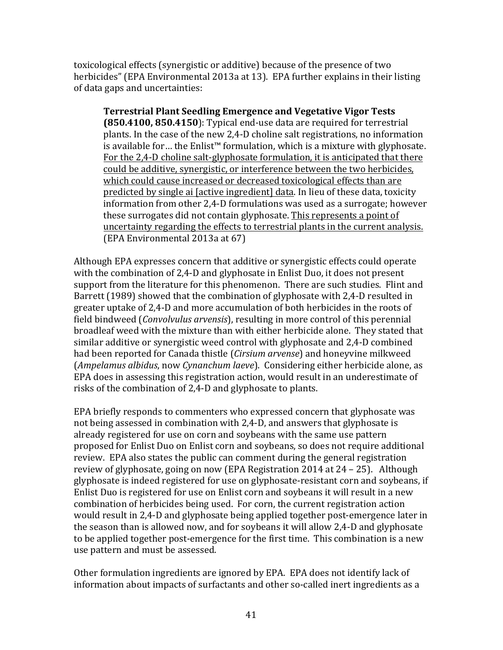toxicological effects (synergistic or additive) because of the presence of two herbicides" (EPA Environmental 2013a at 13). EPA further explains in their listing of data gaps and uncertainties:

**Terrestrial Plant Seedling Emergence and Vegetative Vigor Tests (850.4100, 850.4150):** Typical end-use data are required for terrestrial plants. In the case of the new 2,4-D choline salt registrations, no information is available for… the Enlist™ formulation, which is a mixture with glyphosate. For the 2,4-D choline salt-glyphosate formulation, it is anticipated that there could be additive, synergistic, or interference between the two herbicides, which could cause increased or decreased toxicological effects than are predicted by single ai [active ingredient] data. In lieu of these data, toxicity information from other 2,4-D formulations was used as a surrogate; however these surrogates did not contain glyphosate. This represents a point of uncertainty regarding the effects to terrestrial plants in the current analysis. (EPA Environmental 2013a at 67)

Although EPA expresses concern that additive or synergistic effects could operate with the combination of 2,4-D and glyphosate in Enlist Duo, it does not present support from the literature for this phenomenon. There are such studies. Flint and Barrett (1989) showed that the combination of glyphosate with 2,4-D resulted in greater uptake of 2,4-D and more accumulation of both herbicides in the roots of field bindweed (*Convolvulus arvensis*), resulting in more control of this perennial broadleaf weed with the mixture than with either herbicide alone. They stated that similar additive or synergistic weed control with glyphosate and 2,4-D combined had been reported for Canada thistle (*Cirsium arvense*) and honeyvine milkweed (*Ampelamus albidus*, now *Cynanchum laeve*). Considering either herbicide alone, as EPA does in assessing this registration action, would result in an underestimate of risks of the combination of 2,4-D and glyphosate to plants.

EPA briefly responds to commenters who expressed concern that glyphosate was not being assessed in combination with 2,4-D, and answers that glyphosate is already registered for use on corn and soybeans with the same use pattern proposed for Enlist Duo on Enlist corn and soybeans, so does not require additional review. EPA also states the public can comment during the general registration review of glyphosate, going on now (EPA Registration  $2014$  at  $24 - 25$ ). Although glyphosate is indeed registered for use on glyphosate-resistant corn and soybeans, if Enlist Duo is registered for use on Enlist corn and soybeans it will result in a new combination of herbicides being used. For corn, the current registration action would result in 2,4-D and glyphosate being applied together post-emergence later in the season than is allowed now, and for soybeans it will allow 2,4-D and glyphosate to be applied together post-emergence for the first time. This combination is a new use pattern and must be assessed.

Other formulation ingredients are ignored by EPA. EPA does not identify lack of information about impacts of surfactants and other so-called inert ingredients as a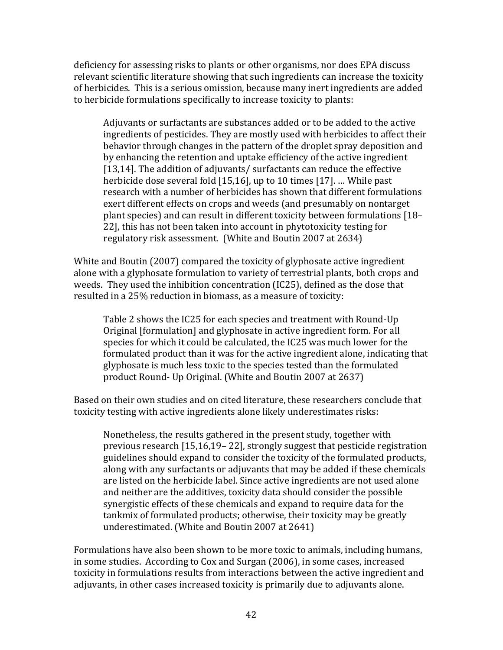deficiency for assessing risks to plants or other organisms, nor does EPA discuss relevant scientific literature showing that such ingredients can increase the toxicity of herbicides. This is a serious omission, because many inert ingredients are added to herbicide formulations specifically to increase toxicity to plants:

Adjuvants or surfactants are substances added or to be added to the active ingredients of pesticides. They are mostly used with herbicides to affect their behavior through changes in the pattern of the droplet spray deposition and by enhancing the retention and uptake efficiency of the active ingredient [13,14]. The addition of adjuvants/ surfactants can reduce the effective herbicide dose several fold  $[15,16]$ , up to 10 times  $[17]$ . ... While past research with a number of herbicides has shown that different formulations exert different effects on crops and weeds (and presumably on nontarget plant species) and can result in different toxicity between formulations [18– 22], this has not been taken into account in phytotoxicity testing for regulatory risk assessment. (White and Boutin 2007 at 2634)

White and Boutin (2007) compared the toxicity of glyphosate active ingredient alone with a glyphosate formulation to variety of terrestrial plants, both crops and weeds. They used the inhibition concentration (IC25), defined as the dose that resulted in a 25% reduction in biomass, as a measure of toxicity:

Table 2 shows the IC25 for each species and treatment with Round-Up Original [formulation] and glyphosate in active ingredient form. For all species for which it could be calculated, the IC25 was much lower for the formulated product than it was for the active ingredient alone, indicating that glyphosate is much less toxic to the species tested than the formulated product Round- Up Original. (White and Boutin 2007 at 2637)

Based on their own studies and on cited literature, these researchers conclude that toxicity testing with active ingredients alone likely underestimates risks:

Nonetheless, the results gathered in the present study, together with previous research  $[15,16,19-22]$ , strongly suggest that pesticide registration guidelines should expand to consider the toxicity of the formulated products, along with any surfactants or adjuvants that may be added if these chemicals are listed on the herbicide label. Since active ingredients are not used alone and neither are the additives, toxicity data should consider the possible synergistic effects of these chemicals and expand to require data for the tankmix of formulated products; otherwise, their toxicity may be greatly underestimated. (White and Boutin 2007 at 2641)

Formulations have also been shown to be more toxic to animals, including humans, in some studies. According to Cox and Surgan (2006), in some cases, increased toxicity in formulations results from interactions between the active ingredient and adjuvants, in other cases increased toxicity is primarily due to adjuvants alone.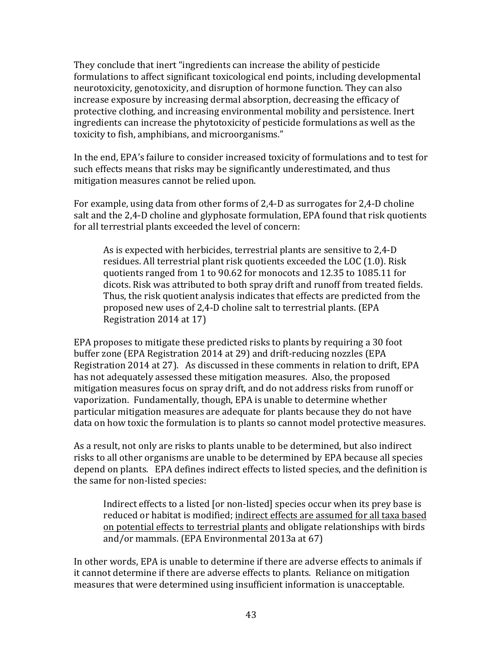They conclude that inert "ingredients can increase the ability of pesticide formulations to affect significant toxicological end points, including developmental neurotoxicity, genotoxicity, and disruption of hormone function. They can also increase exposure by increasing dermal absorption, decreasing the efficacy of protective clothing, and increasing environmental mobility and persistence. Inert ingredients can increase the phytotoxicity of pesticide formulations as well as the toxicity to fish, amphibians, and microorganisms."

In the end, EPA's failure to consider increased toxicity of formulations and to test for such effects means that risks may be significantly underestimated, and thus mitigation measures cannot be relied upon.

For example, using data from other forms of  $2,4$ -D as surrogates for  $2,4$ -D choline salt and the  $2,4$ -D choline and glyphosate formulation, EPA found that risk quotients for all terrestrial plants exceeded the level of concern:

As is expected with herbicides, terrestrial plants are sensitive to 2,4-D residues. All terrestrial plant risk quotients exceeded the LOC (1.0). Risk quotients ranged from 1 to 90.62 for monocots and 12.35 to 1085.11 for dicots. Risk was attributed to both spray drift and runoff from treated fields. Thus, the risk quotient analysis indicates that effects are predicted from the proposed new uses of 2,4-D choline salt to terrestrial plants. (EPA Registration 2014 at 17)

EPA proposes to mitigate these predicted risks to plants by requiring a 30 foot buffer zone (EPA Registration 2014 at 29) and drift-reducing nozzles (EPA Registration 2014 at 27). As discussed in these comments in relation to drift, EPA has not adequately assessed these mitigation measures. Also, the proposed mitigation measures focus on spray drift, and do not address risks from runoff or vaporization. Fundamentally, though, EPA is unable to determine whether particular mitigation measures are adequate for plants because they do not have data on how toxic the formulation is to plants so cannot model protective measures.

As a result, not only are risks to plants unable to be determined, but also indirect risks to all other organisms are unable to be determined by EPA because all species depend on plants. EPA defines indirect effects to listed species, and the definition is the same for non-listed species:

Indirect effects to a listed [or non-listed] species occur when its prey base is reduced or habitat is modified; indirect effects are assumed for all taxa based on potential effects to terrestrial plants and obligate relationships with birds and/or mammals. (EPA Environmental  $2013a$  at  $67$ )

In other words, EPA is unable to determine if there are adverse effects to animals if it cannot determine if there are adverse effects to plants. Reliance on mitigation measures that were determined using insufficient information is unacceptable.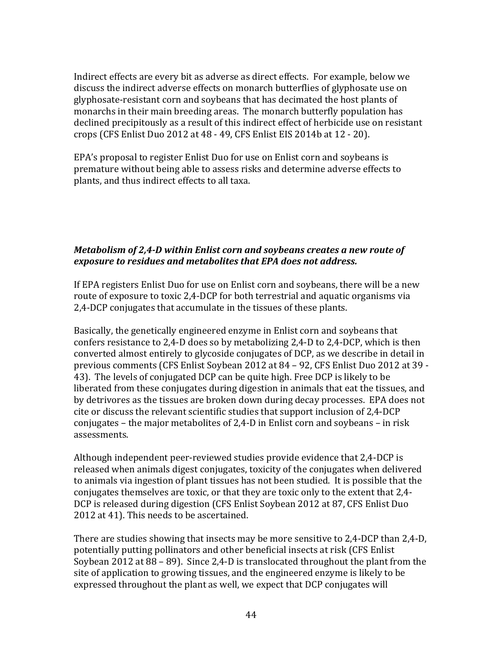Indirect effects are every bit as adverse as direct effects. For example, below we discuss the indirect adverse effects on monarch butterflies of glyphosate use on glyphosate-resistant corn and soybeans that has decimated the host plants of monarchs in their main breeding areas. The monarch butterfly population has declined precipitously as a result of this indirect effect of herbicide use on resistant crops (CFS Enlist Duo 2012 at 48 - 49, CFS Enlist EIS 2014b at 12 - 20). 

EPA's proposal to register Enlist Duo for use on Enlist corn and soybeans is premature without being able to assess risks and determine adverse effects to plants, and thus indirect effects to all taxa.

#### *Metabolism of 2,4-D within Enlist corn and soybeans creates a new route of exposure to residues and metabolites that EPA does not address.*

If EPA registers Enlist Duo for use on Enlist corn and soybeans, there will be a new route of exposure to toxic 2,4-DCP for both terrestrial and aquatic organisms via 2,4-DCP conjugates that accumulate in the tissues of these plants.

Basically, the genetically engineered enzyme in Enlist corn and soybeans that confers resistance to 2,4-D does so by metabolizing  $2,4$ -D to  $2,4$ -DCP, which is then converted almost entirely to glycoside conjugates of DCP, as we describe in detail in previous comments (CFS Enlist Soybean 2012 at 84 – 92, CFS Enlist Duo 2012 at 39 -43). The levels of conjugated DCP can be quite high. Free DCP is likely to be liberated from these conjugates during digestion in animals that eat the tissues, and by detrivores as the tissues are broken down during decay processes. EPA does not cite or discuss the relevant scientific studies that support inclusion of 2.4-DCP conjugates – the major metabolites of 2,4-D in Enlist corn and soybeans – in risk assessments.

Although independent peer-reviewed studies provide evidence that 2,4-DCP is released when animals digest conjugates, toxicity of the conjugates when delivered to animals via ingestion of plant tissues has not been studied. It is possible that the conjugates themselves are toxic, or that they are toxic only to the extent that 2,4-DCP is released during digestion (CFS Enlist Soybean 2012 at 87, CFS Enlist Duo 2012 at 41). This needs to be ascertained.

There are studies showing that insects may be more sensitive to  $2,4$ -DCP than  $2,4$ -D, potentially putting pollinators and other beneficial insects at risk (CFS Enlist Soybean 2012 at 88 – 89). Since 2,4-D is translocated throughout the plant from the site of application to growing tissues, and the engineered enzyme is likely to be expressed throughout the plant as well, we expect that DCP conjugates will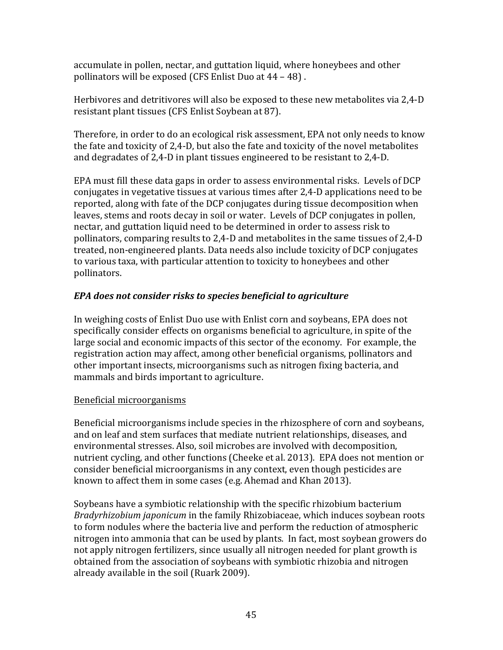accumulate in pollen, nectar, and guttation liquid, where honeybees and other pollinators will be exposed (CFS Enlist Duo at 44 - 48).

Herbivores and detritivores will also be exposed to these new metabolites via 2.4-D resistant plant tissues (CFS Enlist Soybean at 87).

Therefore, in order to do an ecological risk assessment, EPA not only needs to know the fate and toxicity of  $2,4$ -D, but also the fate and toxicity of the novel metabolites and degradates of  $2,4$ -D in plant tissues engineered to be resistant to  $2,4$ -D.

EPA must fill these data gaps in order to assess environmental risks. Levels of DCP conjugates in vegetative tissues at various times after 2,4-D applications need to be reported, along with fate of the DCP conjugates during tissue decomposition when leaves, stems and roots decay in soil or water. Levels of DCP conjugates in pollen, nectar, and guttation liquid need to be determined in order to assess risk to pollinators, comparing results to 2,4-D and metabolites in the same tissues of 2,4-D treated, non-engineered plants. Data needs also include toxicity of DCP conjugates to various taxa, with particular attention to toxicity to honeybees and other pollinators.

# *EPA* does not consider risks to species beneficial to agriculture

In weighing costs of Enlist Duo use with Enlist corn and soybeans, EPA does not specifically consider effects on organisms beneficial to agriculture, in spite of the large social and economic impacts of this sector of the economy. For example, the registration action may affect, among other beneficial organisms, pollinators and other important insects, microorganisms such as nitrogen fixing bacteria, and mammals and birds important to agriculture.

# Beneficial microorganisms

Beneficial microorganisms include species in the rhizosphere of corn and soybeans, and on leaf and stem surfaces that mediate nutrient relationships, diseases, and environmental stresses. Also, soil microbes are involved with decomposition, nutrient cycling, and other functions (Cheeke et al. 2013). EPA does not mention or consider beneficial microorganisms in any context, even though pesticides are known to affect them in some cases (e.g. Ahemad and Khan 2013).

Soybeans have a symbiotic relationship with the specific rhizobium bacterium *Bradyrhizobium japonicum* in the family Rhizobiaceae, which induces soybean roots to form nodules where the bacteria live and perform the reduction of atmospheric nitrogen into ammonia that can be used by plants. In fact, most soybean growers do not apply nitrogen fertilizers, since usually all nitrogen needed for plant growth is obtained from the association of soybeans with symbiotic rhizobia and nitrogen already available in the soil (Ruark 2009).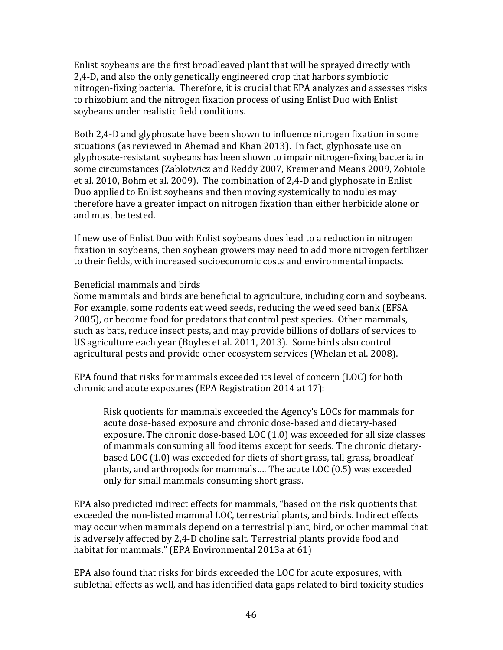Enlist soybeans are the first broadleaved plant that will be sprayed directly with 2,4-D, and also the only genetically engineered crop that harbors symbiotic nitrogen-fixing bacteria. Therefore, it is crucial that EPA analyzes and assesses risks to rhizobium and the nitrogen fixation process of using Enlist Duo with Enlist soybeans under realistic field conditions.

Both 2,4-D and glyphosate have been shown to influence nitrogen fixation in some situations (as reviewed in Ahemad and Khan 2013). In fact, glyphosate use on glyphosate-resistant soybeans has been shown to impair nitrogen-fixing bacteria in some circumstances (Zablotwicz and Reddy 2007, Kremer and Means 2009, Zobiole et al. 2010, Bohm et al. 2009). The combination of 2,4-D and glyphosate in Enlist Duo applied to Enlist soybeans and then moving systemically to nodules may therefore have a greater impact on nitrogen fixation than either herbicide alone or and must be tested.

If new use of Enlist Duo with Enlist soybeans does lead to a reduction in nitrogen fixation in soybeans, then soybean growers may need to add more nitrogen fertilizer to their fields, with increased socioeconomic costs and environmental impacts.

#### Beneficial mammals and birds

Some mammals and birds are beneficial to agriculture, including corn and soybeans. For example, some rodents eat weed seeds, reducing the weed seed bank (EFSA 2005), or become food for predators that control pest species. Other mammals, such as bats, reduce insect pests, and may provide billions of dollars of services to US agriculture each year (Boyles et al. 2011, 2013). Some birds also control agricultural pests and provide other ecosystem services (Whelan et al. 2008).

EPA found that risks for mammals exceeded its level of concern (LOC) for both chronic and acute exposures (EPA Registration 2014 at 17):

Risk quotients for mammals exceeded the Agency's LOCs for mammals for acute dose-based exposure and chronic dose-based and dietary-based exposure. The chronic dose-based LOC (1.0) was exceeded for all size classes of mammals consuming all food items except for seeds. The chronic dietarybased LOC (1.0) was exceeded for diets of short grass, tall grass, broadleaf plants, and arthropods for mammals.... The acute LOC (0.5) was exceeded only for small mammals consuming short grass.

EPA also predicted indirect effects for mammals, "based on the risk quotients that exceeded the non-listed mammal LOC, terrestrial plants, and birds. Indirect effects may occur when mammals depend on a terrestrial plant, bird, or other mammal that is adversely affected by 2,4-D choline salt. Terrestrial plants provide food and habitat for mammals." (EPA Environmental 2013a at 61)

EPA also found that risks for birds exceeded the LOC for acute exposures, with sublethal effects as well, and has identified data gaps related to bird toxicity studies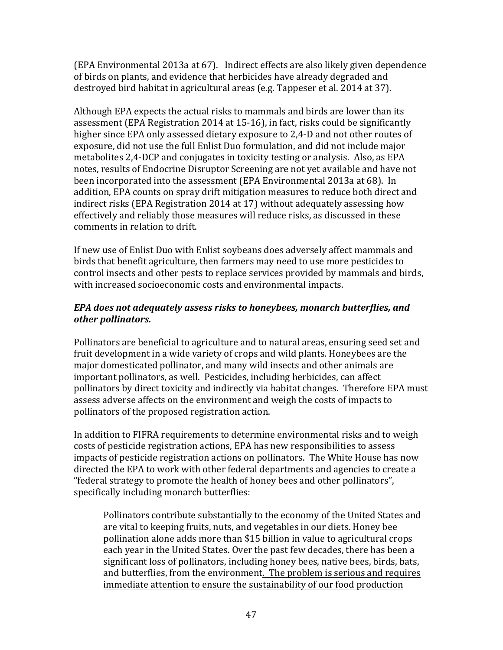(EPA Environmental 2013a at 67). Indirect effects are also likely given dependence of birds on plants, and evidence that herbicides have already degraded and destroyed bird habitat in agricultural areas (e.g. Tappeser et al. 2014 at 37).

Although EPA expects the actual risks to mammals and birds are lower than its assessment (EPA Registration 2014 at 15-16), in fact, risks could be significantly higher since EPA only assessed dietary exposure to 2,4-D and not other routes of exposure, did not use the full Enlist Duo formulation, and did not include major metabolites 2,4-DCP and conjugates in toxicity testing or analysis. Also, as EPA notes, results of Endocrine Disruptor Screening are not yet available and have not been incorporated into the assessment (EPA Environmental 2013a at 68). In addition, EPA counts on spray drift mitigation measures to reduce both direct and indirect risks (EPA Registration 2014 at 17) without adequately assessing how effectively and reliably those measures will reduce risks, as discussed in these comments in relation to drift.

If new use of Enlist Duo with Enlist soybeans does adversely affect mammals and birds that benefit agriculture, then farmers may need to use more pesticides to control insects and other pests to replace services provided by mammals and birds, with increased socioeconomic costs and environmental impacts.

#### *EPA* does not adequately assess risks to honeybees, monarch butterflies, and *other pollinators.*

Pollinators are beneficial to agriculture and to natural areas, ensuring seed set and fruit development in a wide variety of crops and wild plants. Honeybees are the major domesticated pollinator, and many wild insects and other animals are important pollinators, as well. Pesticides, including herbicides, can affect pollinators by direct toxicity and indirectly via habitat changes. Therefore EPA must assess adverse affects on the environment and weigh the costs of impacts to pollinators of the proposed registration action.

In addition to FIFRA requirements to determine environmental risks and to weigh costs of pesticide registration actions, EPA has new responsibilities to assess impacts of pesticide registration actions on pollinators. The White House has now directed the EPA to work with other federal departments and agencies to create a "federal strategy to promote the health of honey bees and other pollinators", specifically including monarch butterflies:

Pollinators contribute substantially to the economy of the United States and are vital to keeping fruits, nuts, and vegetables in our diets. Honey bee pollination alone adds more than \$15 billion in value to agricultural crops each year in the United States. Over the past few decades, there has been a significant loss of pollinators, including honey bees, native bees, birds, bats, and butterflies, from the environment. The problem is serious and requires immediate attention to ensure the sustainability of our food production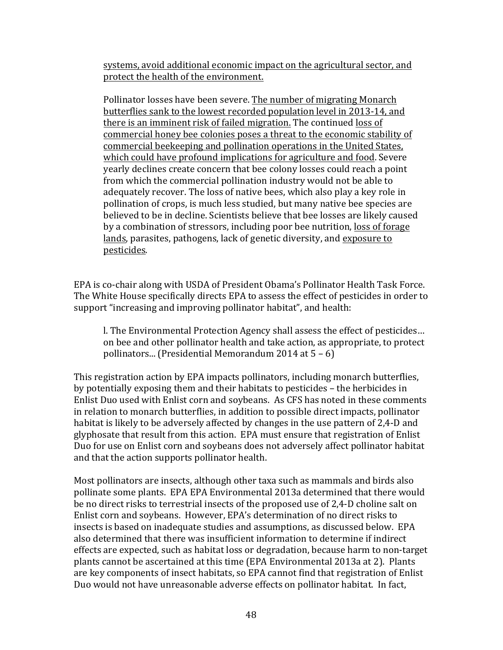systems, avoid additional economic impact on the agricultural sector, and protect the health of the environment.

Pollinator losses have been severe. The number of migrating Monarch butterflies sank to the lowest recorded population level in 2013-14, and there is an imminent risk of failed migration. The continued loss of commercial honey bee colonies poses a threat to the economic stability of commercial beekeeping and pollination operations in the United States, which could have profound implications for agriculture and food. Severe yearly declines create concern that bee colony losses could reach a point from which the commercial pollination industry would not be able to adequately recover. The loss of native bees, which also play a key role in pollination of crops, is much less studied, but many native bee species are believed to be in decline. Scientists believe that bee losses are likely caused by a combination of stressors, including poor bee nutrition, loss of forage lands, parasites, pathogens, lack of genetic diversity, and exposure to pesticides.

EPA is co-chair along with USDA of President Obama's Pollinator Health Task Force. The White House specifically directs EPA to assess the effect of pesticides in order to support "increasing and improving pollinator habitat", and health:

l. The Environmental Protection Agency shall assess the effect of pesticides... on bee and other pollinator health and take action, as appropriate, to protect pollinators... (Presidential Memorandum 2014 at  $5 - 6$ )

This registration action by EPA impacts pollinators, including monarch butterflies, by potentially exposing them and their habitats to pesticides – the herbicides in Enlist Duo used with Enlist corn and soybeans. As CFS has noted in these comments in relation to monarch butterflies, in addition to possible direct impacts, pollinator habitat is likely to be adversely affected by changes in the use pattern of 2,4-D and glyphosate that result from this action. EPA must ensure that registration of Enlist Duo for use on Enlist corn and soybeans does not adversely affect pollinator habitat and that the action supports pollinator health.

Most pollinators are insects, although other taxa such as mammals and birds also pollinate some plants. EPA EPA Environmental 2013a determined that there would be no direct risks to terrestrial insects of the proposed use of 2,4-D choline salt on Enlist corn and soybeans. However, EPA's determination of no direct risks to insects is based on inadequate studies and assumptions, as discussed below. EPA also determined that there was insufficient information to determine if indirect effects are expected, such as habitat loss or degradation, because harm to non-target plants cannot be ascertained at this time (EPA Environmental 2013a at 2). Plants are key components of insect habitats, so EPA cannot find that registration of Enlist Duo would not have unreasonable adverse effects on pollinator habitat. In fact,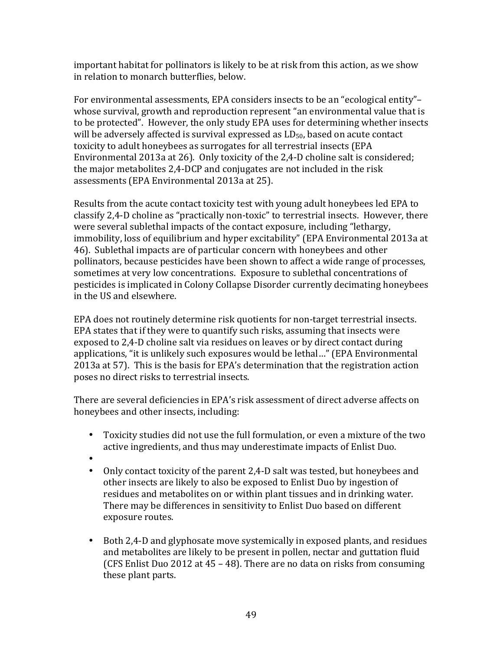important habitat for pollinators is likely to be at risk from this action, as we show in relation to monarch butterflies, below.

For environmental assessments, EPA considers insects to be an "ecological entity"– whose survival, growth and reproduction represent "an environmental value that is to be protected". However, the only study EPA uses for determining whether insects will be adversely affected is survival expressed as  $LD_{50}$ , based on acute contact toxicity to adult honeybees as surrogates for all terrestrial insects (EPA Environmental 2013a at 26). Only toxicity of the 2,4-D choline salt is considered; the major metabolites 2,4-DCP and conjugates are not included in the risk assessments (EPA Environmental 2013a at 25).

Results from the acute contact toxicity test with young adult honeybees led EPA to classify 2,4-D choline as "practically non-toxic" to terrestrial insects. However, there were several sublethal impacts of the contact exposure, including "lethargy, immobility, loss of equilibrium and hyper excitability" (EPA Environmental 2013a at 46). Sublethal impacts are of particular concern with honeybees and other pollinators, because pesticides have been shown to affect a wide range of processes, sometimes at very low concentrations. Exposure to sublethal concentrations of pesticides is implicated in Colony Collapse Disorder currently decimating honeybees in the US and elsewhere.

EPA does not routinely determine risk quotients for non-target terrestrial insects. EPA states that if they were to quantify such risks, assuming that insects were exposed to 2,4-D choline salt via residues on leaves or by direct contact during applications, "it is unlikely such exposures would be lethal..." (EPA Environmental 2013a at 57). This is the basis for EPA's determination that the registration action poses no direct risks to terrestrial insects.

There are several deficiencies in EPA's risk assessment of direct adverse affects on honeybees and other insects, including:

- Toxicity studies did not use the full formulation, or even a mixture of the two active ingredients, and thus may underestimate impacts of Enlist Duo.
- •
- Only contact toxicity of the parent 2,4-D salt was tested, but honeybees and other insects are likely to also be exposed to Enlist Duo by ingestion of residues and metabolites on or within plant tissues and in drinking water. There may be differences in sensitivity to Enlist Duo based on different exposure routes.
- Both 2,4-D and glyphosate move systemically in exposed plants, and residues and metabolites are likely to be present in pollen, nectar and guttation fluid (CFS Enlist Duo 2012 at  $45 - 48$ ). There are no data on risks from consuming these plant parts.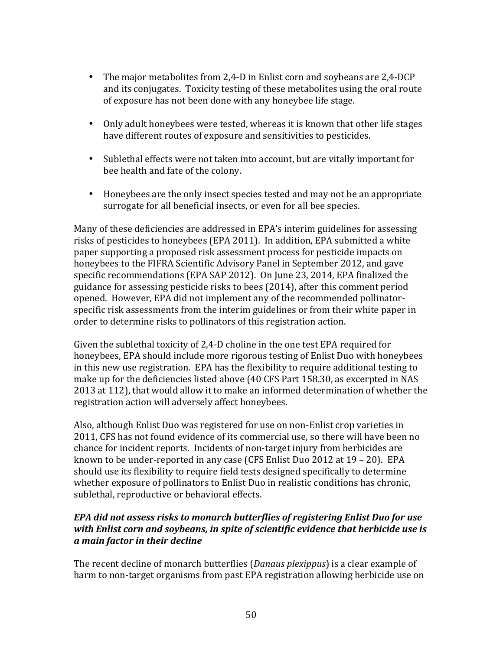- The major metabolites from 2,4-D in Enlist corn and soybeans are 2,4-DCP and its conjugates. Toxicity testing of these metabolites using the oral route of exposure has not been done with any honeybee life stage.
- Only adult honeybees were tested, whereas it is known that other life stages have different routes of exposure and sensitivities to pesticides.
- Sublethal effects were not taken into account, but are vitally important for bee health and fate of the colony.
- Honeybees are the only insect species tested and may not be an appropriate surrogate for all beneficial insects, or even for all bee species.

Many of these deficiencies are addressed in EPA's interim guidelines for assessing risks of pesticides to honeybees (EPA 2011). In addition, EPA submitted a white paper supporting a proposed risk assessment process for pesticide impacts on honeybees to the FIFRA Scientific Advisory Panel in September 2012, and gave specific recommendations (EPA SAP 2012). On June 23, 2014, EPA finalized the guidance for assessing pesticide risks to bees (2014), after this comment period opened. However, EPA did not implement any of the recommended pollinatorspecific risk assessments from the interim guidelines or from their white paper in order to determine risks to pollinators of this registration action.

Given the sublethal toxicity of  $2.4$ -D choline in the one test EPA required for honeybees, EPA should include more rigorous testing of Enlist Duo with honeybees in this new use registration. EPA has the flexibility to require additional testing to make up for the deficiencies listed above (40 CFS Part 158.30, as excerpted in NAS 2013 at 112), that would allow it to make an informed determination of whether the registration action will adversely affect honeybees.

Also, although Enlist Duo was registered for use on non-Enlist crop varieties in 2011, CFS has not found evidence of its commercial use, so there will have been no chance for incident reports. Incidents of non-target injury from herbicides are known to be under-reported in any case (CFS Enlist Duo 2012 at  $19 - 20$ ). EPA should use its flexibility to require field tests designed specifically to determine whether exposure of pollinators to Enlist Duo in realistic conditions has chronic, sublethal, reproductive or behavioral effects.

# *EPA did not assess risks to monarch butterflies of registering Enlist Duo for use* with Enlist corn and soybeans, in spite of scientific evidence that herbicide use is *a main factor in their decline*

The recent decline of monarch butterflies (*Danaus plexippus*) is a clear example of harm to non-target organisms from past EPA registration allowing herbicide use on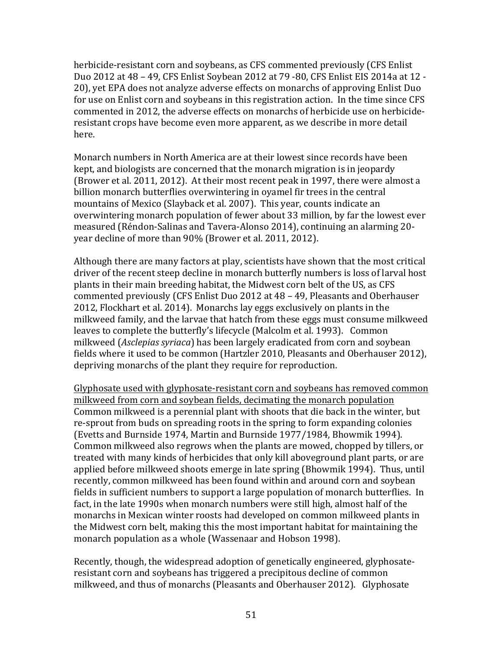herbicide-resistant corn and soybeans, as CFS commented previously (CFS Enlist Duo 2012 at 48 - 49, CFS Enlist Soybean 2012 at 79 -80, CFS Enlist EIS 2014a at 12 -20), yet EPA does not analyze adverse effects on monarchs of approving Enlist Duo for use on Enlist corn and soybeans in this registration action. In the time since CFS commented in 2012, the adverse effects on monarchs of herbicide use on herbicideresistant crops have become even more apparent, as we describe in more detail here.

Monarch numbers in North America are at their lowest since records have been kept, and biologists are concerned that the monarch migration is in jeopardy (Brower et al. 2011, 2012). At their most recent peak in 1997, there were almost a billion monarch butterflies overwintering in ovamel fir trees in the central mountains of Mexico (Slayback et al. 2007). This year, counts indicate an overwintering monarch population of fewer about 33 million, by far the lowest ever measured (Réndon-Salinas and Tavera-Alonso 2014), continuing an alarming 20year decline of more than 90% (Brower et al. 2011, 2012).

Although there are many factors at play, scientists have shown that the most critical driver of the recent steep decline in monarch butterfly numbers is loss of larval host plants in their main breeding habitat, the Midwest corn belt of the US, as CFS commented previously (CFS Enlist Duo 2012 at 48 – 49, Pleasants and Oberhauser 2012, Flockhart et al. 2014). Monarchs lay eggs exclusively on plants in the milkweed family, and the larvae that hatch from these eggs must consume milkweed leaves to complete the butterfly's lifecycle (Malcolm et al. 1993). Common milkweed (*Asclepias syriaca*) has been largely eradicated from corn and soybean fields where it used to be common (Hartzler 2010, Pleasants and Oberhauser 2012), depriving monarchs of the plant they require for reproduction.

Glyphosate used with glyphosate-resistant corn and soybeans has removed common milkweed from corn and soybean fields, decimating the monarch population Common milkweed is a perennial plant with shoots that die back in the winter, but re-sprout from buds on spreading roots in the spring to form expanding colonies (Evetts and Burnside 1974, Martin and Burnside 1977/1984, Bhowmik 1994). Common milkweed also regrows when the plants are mowed, chopped by tillers, or treated with many kinds of herbicides that only kill aboveground plant parts, or are applied before milkweed shoots emerge in late spring (Bhowmik 1994). Thus, until recently, common milkweed has been found within and around corn and soybean fields in sufficient numbers to support a large population of monarch butterflies. In fact, in the late 1990s when monarch numbers were still high, almost half of the monarchs in Mexican winter roosts had developed on common milkweed plants in the Midwest corn belt, making this the most important habitat for maintaining the monarch population as a whole (Wassenaar and Hobson 1998).

Recently, though, the widespread adoption of genetically engineered, glyphosateresistant corn and soybeans has triggered a precipitous decline of common milkweed, and thus of monarchs (Pleasants and Oberhauser 2012). Glyphosate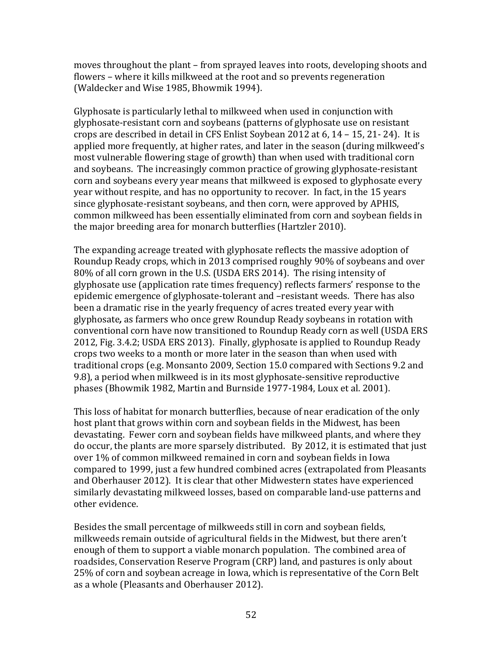moves throughout the plant – from sprayed leaves into roots, developing shoots and flowers – where it kills milkweed at the root and so prevents regeneration (Waldecker and Wise 1985, Bhowmik 1994).

Glyphosate is particularly lethal to milkweed when used in conjunction with glyphosate-resistant corn and soybeans (patterns of glyphosate use on resistant crops are described in detail in CFS Enlist Soybean 2012 at  $6$ ,  $14 - 15$ ,  $21 - 24$ ). It is applied more frequently, at higher rates, and later in the season (during milkweed's most vulnerable flowering stage of growth) than when used with traditional corn and soybeans. The increasingly common practice of growing glyphosate-resistant corn and soybeans every year means that milkweed is exposed to glyphosate every year without respite, and has no opportunity to recover. In fact, in the 15 years since glyphosate-resistant soybeans, and then corn, were approved by APHIS, common milkweed has been essentially eliminated from corn and soybean fields in the major breeding area for monarch butterflies (Hartzler 2010).

The expanding acreage treated with glyphosate reflects the massive adoption of Roundup Ready crops, which in 2013 comprised roughly 90% of soybeans and over 80% of all corn grown in the U.S. (USDA ERS 2014). The rising intensity of glyphosate use (application rate times frequency) reflects farmers' response to the epidemic emergence of glyphosate-tolerant and -resistant weeds. There has also been a dramatic rise in the yearly frequency of acres treated every year with glyphosate, as farmers who once grew Roundup Ready soybeans in rotation with conventional corn have now transitioned to Roundup Ready corn as well (USDA ERS 2012, Fig. 3.4.2; USDA ERS 2013). Finally, glyphosate is applied to Roundup Ready crops two weeks to a month or more later in the season than when used with traditional crops (e.g. Monsanto 2009, Section 15.0 compared with Sections 9.2 and 9.8), a period when milkweed is in its most glyphosate-sensitive reproductive phases (Bhowmik 1982, Martin and Burnside 1977-1984, Loux et al. 2001).

This loss of habitat for monarch butterflies, because of near eradication of the only host plant that grows within corn and soybean fields in the Midwest, has been devastating. Fewer corn and soybean fields have milkweed plants, and where they do occur, the plants are more sparsely distributed. By 2012, it is estimated that just over 1% of common milkweed remained in corn and soybean fields in Iowa compared to 1999, just a few hundred combined acres (extrapolated from Pleasants and Oberhauser 2012). It is clear that other Midwestern states have experienced similarly devastating milkweed losses, based on comparable land-use patterns and other evidence.

Besides the small percentage of milkweeds still in corn and soybean fields, milkweeds remain outside of agricultural fields in the Midwest, but there aren't enough of them to support a viable monarch population. The combined area of roadsides, Conservation Reserve Program (CRP) land, and pastures is only about 25% of corn and soybean acreage in Iowa, which is representative of the Corn Belt as a whole (Pleasants and Oberhauser 2012).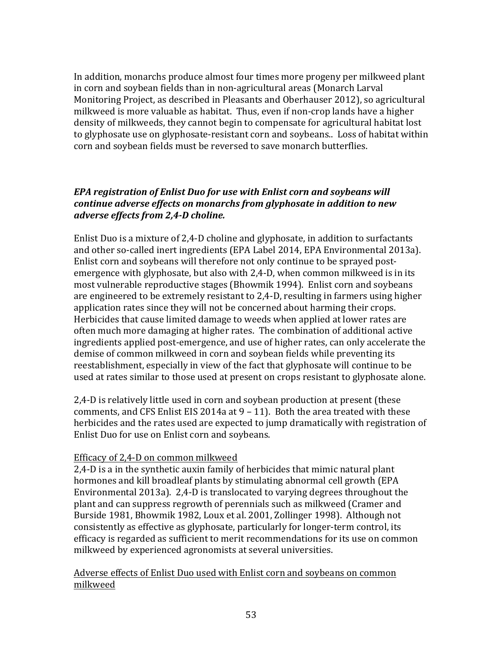In addition, monarchs produce almost four times more progeny per milkweed plant in corn and soybean fields than in non-agricultural areas (Monarch Larval Monitoring Project, as described in Pleasants and Oberhauser 2012), so agricultural milkweed is more valuable as habitat. Thus, even if non-crop lands have a higher density of milkweeds, they cannot begin to compensate for agricultural habitat lost to glyphosate use on glyphosate-resistant corn and soybeans.. Loss of habitat within corn and soybean fields must be reversed to save monarch butterflies.

# *EPA registration of Enlist Duo for use with Enlist corn and soybeans will continue adverse effects on monarchs from glyphosate in addition to new adverse effects from 2,4-D choline.*

Enlist Duo is a mixture of 2,4-D choline and glyphosate, in addition to surfactants and other so-called inert ingredients (EPA Label 2014, EPA Environmental 2013a). Enlist corn and soybeans will therefore not only continue to be sprayed postemergence with glyphosate, but also with 2,4-D, when common milkweed is in its most vulnerable reproductive stages (Bhowmik 1994). Enlist corn and soybeans are engineered to be extremely resistant to 2,4-D, resulting in farmers using higher application rates since they will not be concerned about harming their crops. Herbicides that cause limited damage to weeds when applied at lower rates are often much more damaging at higher rates. The combination of additional active ingredients applied post-emergence, and use of higher rates, can only accelerate the demise of common milkweed in corn and soybean fields while preventing its reestablishment, especially in view of the fact that glyphosate will continue to be used at rates similar to those used at present on crops resistant to glyphosate alone.

2,4-D is relatively little used in corn and soybean production at present (these comments, and CFS Enlist EIS 2014a at  $9 - 11$ . Both the area treated with these herbicides and the rates used are expected to jump dramatically with registration of Enlist Duo for use on Enlist corn and soybeans.

#### Efficacy of 2,4-D on common milkweed

2,4-D is a in the synthetic auxin family of herbicides that mimic natural plant hormones and kill broadleaf plants by stimulating abnormal cell growth (EPA Environmental 2013a). 2,4-D is translocated to varying degrees throughout the plant and can suppress regrowth of perennials such as milkweed (Cramer and Burside 1981, Bhowmik 1982, Loux et al. 2001, Zollinger 1998). Although not consistently as effective as glyphosate, particularly for longer-term control, its efficacy is regarded as sufficient to merit recommendations for its use on common milkweed by experienced agronomists at several universities.

#### Adverse effects of Enlist Duo used with Enlist corn and soybeans on common milkweed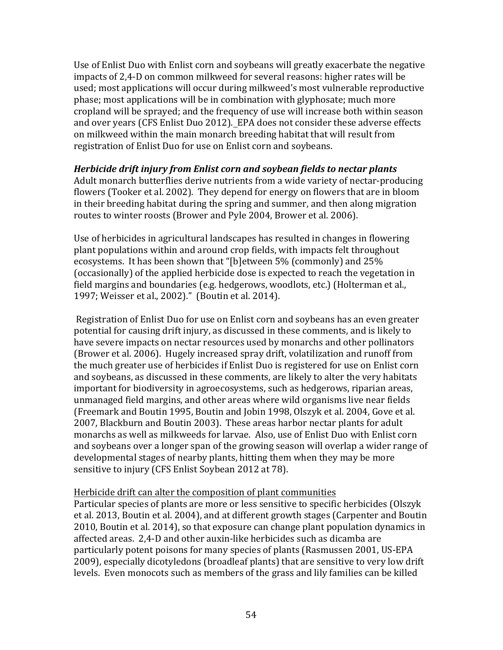Use of Enlist Duo with Enlist corn and soybeans will greatly exacerbate the negative impacts of 2,4-D on common milkweed for several reasons: higher rates will be used; most applications will occur during milkweed's most vulnerable reproductive phase; most applications will be in combination with glyphosate; much more cropland will be sprayed; and the frequency of use will increase both within season and over vears (CFS Enlist Duo 2012). EPA does not consider these adverse effects on milkweed within the main monarch breeding habitat that will result from registration of Enlist Duo for use on Enlist corn and soybeans.

#### *Herbicide drift injury from Enlist corn and soybean fields to nectar plants*

Adult monarch butterflies derive nutrients from a wide variety of nectar-producing flowers (Tooker et al. 2002). They depend for energy on flowers that are in bloom in their breeding habitat during the spring and summer, and then along migration routes to winter roosts (Brower and Pyle 2004, Brower et al. 2006).

Use of herbicides in agricultural landscapes has resulted in changes in flowering plant populations within and around crop fields, with impacts felt throughout ecosystems. It has been shown that "[b]etween 5% (commonly) and 25% (occasionally) of the applied herbicide dose is expected to reach the vegetation in field margins and boundaries (e.g. hedgerows, woodlots, etc.) (Holterman et al., 1997; Weisser et al., 2002)." (Boutin et al. 2014).

Registration of Enlist Duo for use on Enlist corn and soybeans has an even greater potential for causing drift injury, as discussed in these comments, and is likely to have severe impacts on nectar resources used by monarchs and other pollinators (Brower et al. 2006). Hugely increased spray drift, volatilization and runoff from the much greater use of herbicides if Enlist Duo is registered for use on Enlist corn and soybeans, as discussed in these comments, are likely to alter the very habitats important for biodiversity in agroecosystems, such as hedgerows, riparian areas, unmanaged field margins, and other areas where wild organisms live near fields (Freemark and Boutin 1995, Boutin and Jobin 1998, Olszyk et al. 2004, Gove et al. 2007, Blackburn and Boutin 2003). These areas harbor nectar plants for adult monarchs as well as milkweeds for larvae. Also, use of Enlist Duo with Enlist corn and soybeans over a longer span of the growing season will overlap a wider range of developmental stages of nearby plants, hitting them when they may be more sensitive to injury (CFS Enlist Soybean 2012 at 78).

#### Herbicide drift can alter the composition of plant communities

Particular species of plants are more or less sensitive to specific herbicides (Olszyk et al. 2013, Boutin et al. 2004), and at different growth stages (Carpenter and Boutin 2010, Boutin et al. 2014), so that exposure can change plant population dynamics in affected areas. 2,4-D and other auxin-like herbicides such as dicamba are particularly potent poisons for many species of plants (Rasmussen 2001, US-EPA 2009), especially dicotyledons (broadleaf plants) that are sensitive to very low drift levels. Even monocots such as members of the grass and lily families can be killed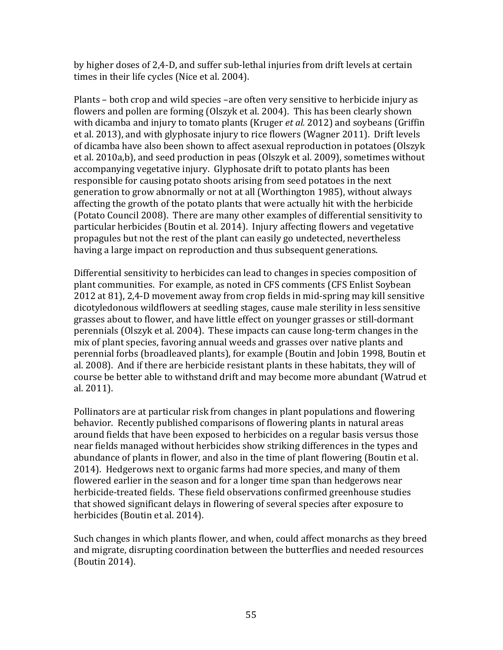by higher doses of 2,4-D, and suffer sub-lethal injuries from drift levels at certain times in their life cycles (Nice et al. 2004).

Plants – both crop and wild species –are often very sensitive to herbicide injury as flowers and pollen are forming (Olszyk et al. 2004). This has been clearly shown with dicamba and injury to tomato plants (Kruger *et al.* 2012) and soybeans (Griffin et al. 2013), and with glyphosate injury to rice flowers (Wagner 2011). Drift levels of dicamba have also been shown to affect asexual reproduction in potatoes (Olszyk et al. 2010a,b), and seed production in peas (Olszyk et al. 2009), sometimes without accompanying vegetative injury. Glyphosate drift to potato plants has been responsible for causing potato shoots arising from seed potatoes in the next generation to grow abnormally or not at all (Worthington 1985), without always affecting the growth of the potato plants that were actually hit with the herbicide (Potato Council 2008). There are many other examples of differential sensitivity to particular herbicides (Boutin et al. 2014). Injury affecting flowers and vegetative propagules but not the rest of the plant can easily go undetected, nevertheless having a large impact on reproduction and thus subsequent generations.

Differential sensitivity to herbicides can lead to changes in species composition of plant communities. For example, as noted in CFS comments (CFS Enlist Soybean 2012 at 81), 2,4-D movement away from crop fields in mid-spring may kill sensitive dicotyledonous wildflowers at seedling stages, cause male sterility in less sensitive grasses about to flower, and have little effect on younger grasses or still-dormant perennials (Olszyk et al. 2004). These impacts can cause long-term changes in the mix of plant species, favoring annual weeds and grasses over native plants and perennial forbs (broadleaved plants), for example (Boutin and Jobin 1998, Boutin et al. 2008). And if there are herbicide resistant plants in these habitats, they will of course be better able to withstand drift and may become more abundant (Watrud et al. 2011).

Pollinators are at particular risk from changes in plant populations and flowering behavior. Recently published comparisons of flowering plants in natural areas around fields that have been exposed to herbicides on a regular basis versus those near fields managed without herbicides show striking differences in the types and abundance of plants in flower, and also in the time of plant flowering (Boutin et al. 2014). Hedgerows next to organic farms had more species, and many of them flowered earlier in the season and for a longer time span than hedgerows near herbicide-treated fields. These field observations confirmed greenhouse studies that showed significant delays in flowering of several species after exposure to herbicides (Boutin et al. 2014).

Such changes in which plants flower, and when, could affect monarchs as they breed and migrate, disrupting coordination between the butterflies and needed resources (Boutin 2014).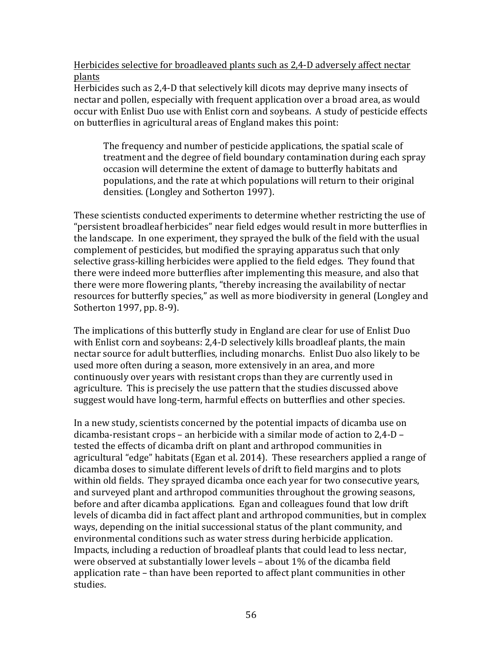Herbicides selective for broadleaved plants such as 2,4-D adversely affect nectar plants 

Herbicides such as 2,4-D that selectively kill dicots may deprive many insects of nectar and pollen, especially with frequent application over a broad area, as would occur with Enlist Duo use with Enlist corn and soybeans. A study of pesticide effects on butterflies in agricultural areas of England makes this point:

The frequency and number of pesticide applications, the spatial scale of treatment and the degree of field boundary contamination during each spray occasion will determine the extent of damage to butterfly habitats and populations, and the rate at which populations will return to their original densities. (Longley and Sotherton 1997).

These scientists conducted experiments to determine whether restricting the use of "persistent broadleaf herbicides" near field edges would result in more butterflies in the landscape. In one experiment, they sprayed the bulk of the field with the usual complement of pesticides, but modified the spraying apparatus such that only selective grass-killing herbicides were applied to the field edges. They found that there were indeed more butterflies after implementing this measure, and also that there were more flowering plants, "thereby increasing the availability of nectar resources for butterfly species," as well as more biodiversity in general (Longley and Sotherton 1997, pp. 8-9).

The implications of this butterfly study in England are clear for use of Enlist Duo with Enlist corn and soybeans: 2,4-D selectively kills broadleaf plants, the main nectar source for adult butterflies, including monarchs. Enlist Duo also likely to be used more often during a season, more extensively in an area, and more continuously over years with resistant crops than they are currently used in agriculture. This is precisely the use pattern that the studies discussed above suggest would have long-term, harmful effects on butterflies and other species.

In a new study, scientists concerned by the potential impacts of dicamba use on dicamba-resistant crops – an herbicide with a similar mode of action to  $2.4$ -D – tested the effects of dicamba drift on plant and arthropod communities in agricultural "edge" habitats (Egan et al. 2014). These researchers applied a range of dicamba doses to simulate different levels of drift to field margins and to plots within old fields. They sprayed dicamba once each year for two consecutive years, and surveyed plant and arthropod communities throughout the growing seasons, before and after dicamba applications. Egan and colleagues found that low drift levels of dicamba did in fact affect plant and arthropod communities, but in complex ways, depending on the initial successional status of the plant community, and environmental conditions such as water stress during herbicide application. Impacts, including a reduction of broadleaf plants that could lead to less nectar, were observed at substantially lower levels  $-$  about  $1\%$  of the dicamba field application rate – than have been reported to affect plant communities in other studies.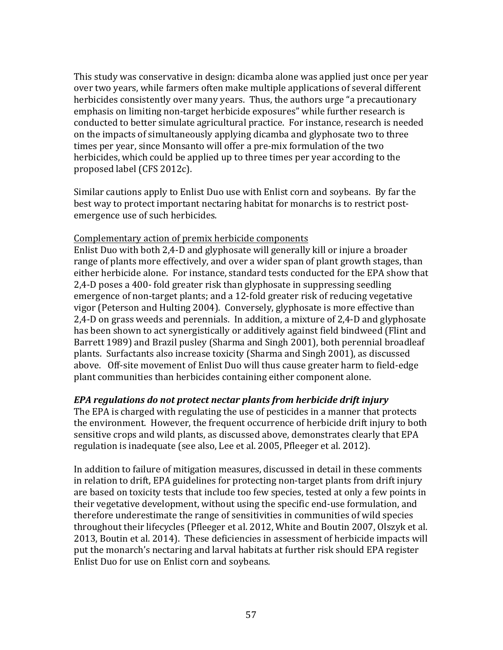This study was conservative in design: dicamba alone was applied just once per year over two vears, while farmers often make multiple applications of several different herbicides consistently over many years. Thus, the authors urge "a precautionary emphasis on limiting non-target herbicide exposures" while further research is conducted to better simulate agricultural practice. For instance, research is needed on the impacts of simultaneously applying dicamba and glyphosate two to three times per year, since Monsanto will offer a pre-mix formulation of the two herbicides, which could be applied up to three times per year according to the proposed label (CFS 2012c).

Similar cautions apply to Enlist Duo use with Enlist corn and soybeans. By far the best way to protect important nectaring habitat for monarchs is to restrict postemergence use of such herbicides.

#### Complementary action of premix herbicide components

Enlist Duo with both 2,4-D and glyphosate will generally kill or injure a broader range of plants more effectively, and over a wider span of plant growth stages, than either herbicide alone. For instance, standard tests conducted for the EPA show that 2,4-D poses a 400- fold greater risk than glyphosate in suppressing seedling emergence of non-target plants; and a 12-fold greater risk of reducing vegetative vigor (Peterson and Hulting 2004). Conversely, glyphosate is more effective than 2,4-D on grass weeds and perennials. In addition, a mixture of 2,4-D and glyphosate has been shown to act synergistically or additively against field bindweed (Flint and Barrett 1989) and Brazil pusley (Sharma and Singh 2001), both perennial broadleaf plants. Surfactants also increase toxicity (Sharma and Singh 2001), as discussed above. Off-site movement of Enlist Duo will thus cause greater harm to field-edge plant communities than herbicides containing either component alone.

#### *EPA regulations do not protect nectar plants from herbicide drift injury*

The EPA is charged with regulating the use of pesticides in a manner that protects the environment. However, the frequent occurrence of herbicide drift injury to both sensitive crops and wild plants, as discussed above, demonstrates clearly that EPA regulation is inadequate (see also, Lee et al. 2005, Pfleeger et al. 2012).

In addition to failure of mitigation measures, discussed in detail in these comments in relation to drift, EPA guidelines for protecting non-target plants from drift injury are based on toxicity tests that include too few species, tested at only a few points in their vegetative development, without using the specific end-use formulation, and therefore underestimate the range of sensitivities in communities of wild species throughout their lifecycles (Pfleeger et al. 2012, White and Boutin 2007, Olszyk et al. 2013, Boutin et al. 2014). These deficiencies in assessment of herbicide impacts will put the monarch's nectaring and larval habitats at further risk should EPA register Enlist Duo for use on Enlist corn and soybeans.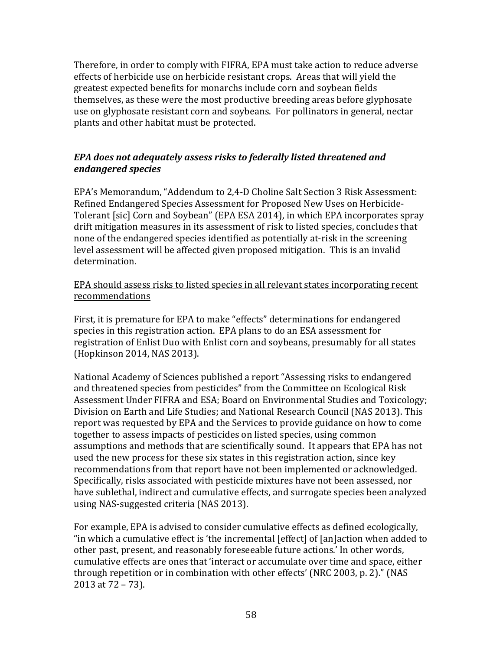Therefore, in order to comply with FIFRA, EPA must take action to reduce adverse effects of herbicide use on herbicide resistant crops. Areas that will yield the greatest expected benefits for monarchs include corn and soybean fields themselves, as these were the most productive breeding areas before glyphosate use on glyphosate resistant corn and soybeans. For pollinators in general, nectar plants and other habitat must be protected.

# *EPA* does not adequately assess risks to federally listed threatened and *endangered species*

EPA's Memorandum, "Addendum to 2,4-D Choline Salt Section 3 Risk Assessment: Refined Endangered Species Assessment for Proposed New Uses on Herbicide-Tolerant [sic] Corn and Soybean" (EPA ESA 2014), in which EPA incorporates spray drift mitigation measures in its assessment of risk to listed species, concludes that none of the endangered species identified as potentially at-risk in the screening level assessment will be affected given proposed mitigation. This is an invalid determination.

EPA should assess risks to listed species in all relevant states incorporating recent recommendations

First, it is premature for EPA to make "effects" determinations for endangered species in this registration action. EPA plans to do an ESA assessment for registration of Enlist Duo with Enlist corn and soybeans, presumably for all states (Hopkinson 2014, NAS 2013).

National Academy of Sciences published a report "Assessing risks to endangered and threatened species from pesticides" from the Committee on Ecological Risk Assessment Under FIFRA and ESA; Board on Environmental Studies and Toxicology; Division on Earth and Life Studies; and National Research Council (NAS 2013). This report was requested by EPA and the Services to provide guidance on how to come together to assess impacts of pesticides on listed species, using common assumptions and methods that are scientifically sound. It appears that EPA has not used the new process for these six states in this registration action, since key recommendations from that report have not been implemented or acknowledged. Specifically, risks associated with pesticide mixtures have not been assessed, nor have sublethal, indirect and cumulative effects, and surrogate species been analyzed using NAS-suggested criteria (NAS 2013).

For example, EPA is advised to consider cumulative effects as defined ecologically, "in which a cumulative effect is 'the incremental [effect] of [an]action when added to other past, present, and reasonably foreseeable future actions.' In other words, cumulative effects are ones that 'interact or accumulate over time and space, either through repetition or in combination with other effects' (NRC 2003, p. 2)." (NAS 2013 at  $72 - 73$ ).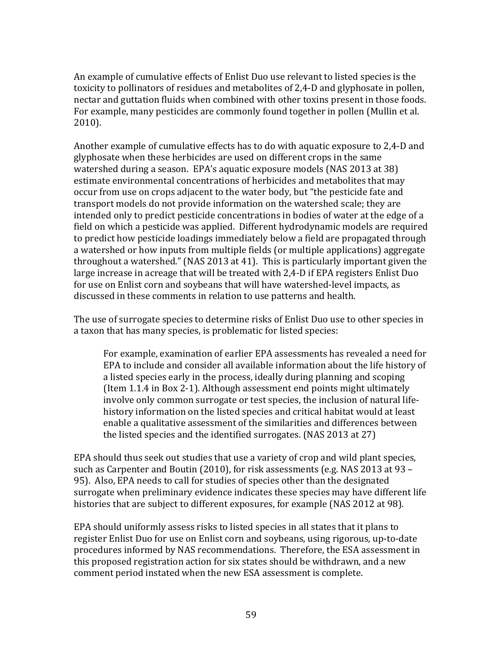An example of cumulative effects of Enlist Duo use relevant to listed species is the toxicity to pollinators of residues and metabolites of 2,4-D and glyphosate in pollen, nectar and guttation fluids when combined with other toxins present in those foods. For example, many pesticides are commonly found together in pollen (Mullin et al.) 2010).

Another example of cumulative effects has to do with aquatic exposure to  $2,4$ -D and glyphosate when these herbicides are used on different crops in the same watershed during a season. EPA's aquatic exposure models (NAS 2013 at 38) estimate environmental concentrations of herbicides and metabolites that may occur from use on crops adjacent to the water body, but "the pesticide fate and transport models do not provide information on the watershed scale; they are intended only to predict pesticide concentrations in bodies of water at the edge of a field on which a pesticide was applied. Different hydrodynamic models are required to predict how pesticide loadings immediately below a field are propagated through a watershed or how inputs from multiple fields (or multiple applications) aggregate throughout a watershed." (NAS 2013 at 41). This is particularly important given the large increase in acreage that will be treated with 2,4-D if EPA registers Enlist Duo for use on Enlist corn and soybeans that will have watershed-level impacts, as discussed in these comments in relation to use patterns and health.

The use of surrogate species to determine risks of Enlist Duo use to other species in a taxon that has many species, is problematic for listed species:

For example, examination of earlier EPA assessments has revealed a need for EPA to include and consider all available information about the life history of a listed species early in the process, ideally during planning and scoping (Item 1.1.4 in Box 2-1). Although assessment end points might ultimately involve only common surrogate or test species, the inclusion of natural lifehistory information on the listed species and critical habitat would at least enable a qualitative assessment of the similarities and differences between the listed species and the identified surrogates.  $(NAS 2013 at 27)$ 

EPA should thus seek out studies that use a variety of crop and wild plant species, such as Carpenter and Boutin (2010), for risk assessments (e.g. NAS 2013 at 93 – 95). Also, EPA needs to call for studies of species other than the designated surrogate when preliminary evidence indicates these species may have different life histories that are subject to different exposures, for example (NAS 2012 at 98).

EPA should uniformly assess risks to listed species in all states that it plans to register Enlist Duo for use on Enlist corn and soybeans, using rigorous, up-to-date procedures informed by NAS recommendations. Therefore, the ESA assessment in this proposed registration action for six states should be withdrawn, and a new comment period instated when the new ESA assessment is complete.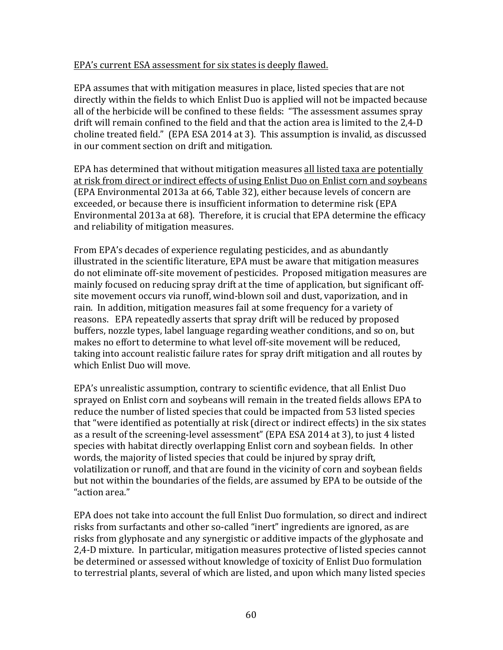#### EPA's current ESA assessment for six states is deeply flawed.

EPA assumes that with mitigation measures in place, listed species that are not directly within the fields to which Enlist Duo is applied will not be impacted because all of the herbicide will be confined to these fields: "The assessment assumes spray drift will remain confined to the field and that the action area is limited to the  $2.4$ -D choline treated field." (EPA ESA 2014 at 3). This assumption is invalid, as discussed in our comment section on drift and mitigation.

EPA has determined that without mitigation measures all listed taxa are potentially at risk from direct or indirect effects of using Enlist Duo on Enlist corn and soybeans (EPA Environmental 2013a at 66, Table 32), either because levels of concern are exceeded, or because there is insufficient information to determine risk (EPA Environmental 2013a at  $68$ ). Therefore, it is crucial that EPA determine the efficacy and reliability of mitigation measures.

From EPA's decades of experience regulating pesticides, and as abundantly illustrated in the scientific literature, EPA must be aware that mitigation measures do not eliminate off-site movement of pesticides. Proposed mitigation measures are mainly focused on reducing spray drift at the time of application, but significant offsite movement occurs via runoff, wind-blown soil and dust, vaporization, and in rain. In addition, mitigation measures fail at some frequency for a variety of reasons. EPA repeatedly asserts that spray drift will be reduced by proposed buffers, nozzle types, label language regarding weather conditions, and so on, but makes no effort to determine to what level off-site movement will be reduced, taking into account realistic failure rates for spray drift mitigation and all routes by which Enlist Duo will move.

EPA's unrealistic assumption, contrary to scientific evidence, that all Enlist Duo sprayed on Enlist corn and soybeans will remain in the treated fields allows EPA to reduce the number of listed species that could be impacted from 53 listed species that "were identified as potentially at risk (direct or indirect effects) in the six states as a result of the screening-level assessment" (EPA ESA 2014 at 3), to just 4 listed species with habitat directly overlapping Enlist corn and soybean fields. In other words, the majority of listed species that could be injured by spray drift, volatilization or runoff, and that are found in the vicinity of corn and soybean fields but not within the boundaries of the fields, are assumed by EPA to be outside of the "action area." 

EPA does not take into account the full Enlist Duo formulation, so direct and indirect risks from surfactants and other so-called "inert" ingredients are ignored, as are risks from glyphosate and any synergistic or additive impacts of the glyphosate and 2,4-D mixture. In particular, mitigation measures protective of listed species cannot be determined or assessed without knowledge of toxicity of Enlist Duo formulation to terrestrial plants, several of which are listed, and upon which many listed species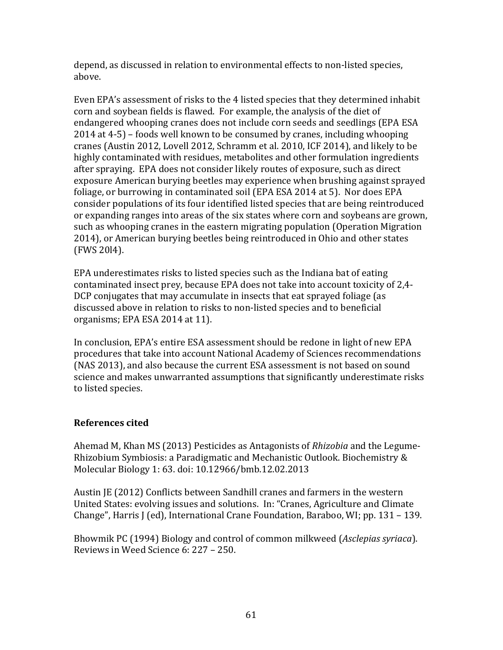depend, as discussed in relation to environmental effects to non-listed species, above.

Even EPA's assessment of risks to the 4 listed species that they determined inhabit corn and soybean fields is flawed. For example, the analysis of the diet of endangered whooping cranes does not include corn seeds and seedlings (EPA ESA)  $2014$  at  $4-5$ ) – foods well known to be consumed by cranes, including whooping cranes (Austin 2012, Lovell 2012, Schramm et al. 2010, ICF 2014), and likely to be highly contaminated with residues, metabolites and other formulation ingredients after spraying. EPA does not consider likely routes of exposure, such as direct exposure American burying beetles may experience when brushing against sprayed foliage, or burrowing in contaminated soil (EPA ESA 2014 at 5). Nor does EPA consider populations of its four identified listed species that are being reintroduced or expanding ranges into areas of the six states where corn and soybeans are grown, such as whooping cranes in the eastern migrating population (Operation Migration 2014), or American burying beetles being reintroduced in Ohio and other states (FWS 20l4). 

EPA underestimates risks to listed species such as the Indiana bat of eating contaminated insect prey, because EPA does not take into account toxicity of 2,4-DCP conjugates that may accumulate in insects that eat sprayed foliage (as discussed above in relation to risks to non-listed species and to beneficial organisms; EPA ESA 2014 at 11).

In conclusion, EPA's entire ESA assessment should be redone in light of new EPA procedures that take into account National Academy of Sciences recommendations (NAS 2013), and also because the current ESA assessment is not based on sound science and makes unwarranted assumptions that significantly underestimate risks to listed species.

# **References cited**

Ahemad M, Khan MS (2013) Pesticides as Antagonists of *Rhizobia* and the Legume-Rhizobium Symbiosis: a Paradigmatic and Mechanistic Outlook. Biochemistry & Molecular Biology 1: 63. doi: 10.12966/bmb.12.02.2013

Austin JE (2012) Conflicts between Sandhill cranes and farmers in the western United States: evolving issues and solutions. In: "Cranes, Agriculture and Climate Change", Harris J (ed), International Crane Foundation, Baraboo, WI; pp.  $131 - 139$ .

Bhowmik PC (1994) Biology and control of common milkweed (*Asclepias syriaca*). Reviews in Weed Science 6: 227 - 250.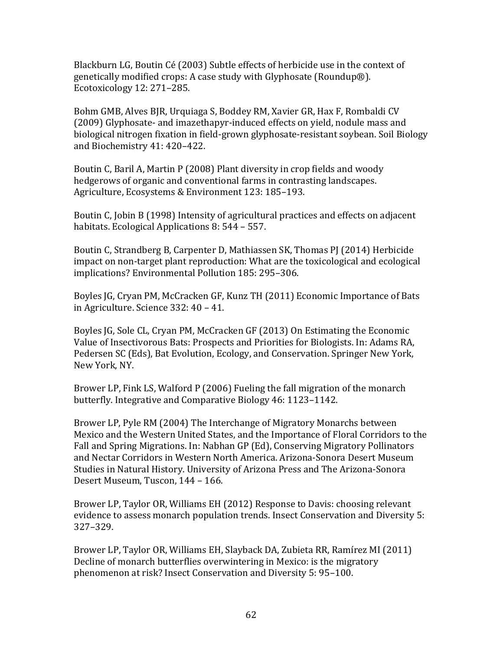Blackburn LG, Boutin Cé (2003) Subtle effects of herbicide use in the context of genetically modified crops: A case study with Glyphosate (Roundup®). Ecotoxicology 12: 271-285.

Bohm GMB, Alves BJR, Urquiaga S, Boddey RM, Xavier GR, Hax F, Rombaldi CV (2009) Glyphosate- and imazethapyr-induced effects on yield, nodule mass and biological nitrogen fixation in field-grown glyphosate-resistant soybean. Soil Biology and Biochemistry 41: 420-422.

Boutin C, Baril A, Martin P (2008) Plant diversity in crop fields and woody hedgerows of organic and conventional farms in contrasting landscapes. Agriculture, Ecosystems & Environment 123: 185-193.

Boutin C, Jobin B (1998) Intensity of agricultural practices and effects on adjacent habitats. Ecological Applications 8: 544 - 557.

Boutin C, Strandberg B, Carpenter D, Mathiassen SK, Thomas PJ (2014) Herbicide impact on non-target plant reproduction: What are the toxicological and ecological implications? Environmental Pollution 185: 295-306.

Boyles JG, Cryan PM, McCracken GF, Kunz TH (2011) Economic Importance of Bats in Agriculture. Science  $332:40 - 41$ .

Boyles IG, Sole CL, Cryan PM, McCracken GF (2013) On Estimating the Economic Value of Insectivorous Bats: Prospects and Priorities for Biologists. In: Adams RA, Pedersen SC (Eds), Bat Evolution, Ecology, and Conservation. Springer New York, New York, NY.

Brower LP, Fink LS, Walford P (2006) Fueling the fall migration of the monarch butterfly. Integrative and Comparative Biology 46: 1123–1142.

Brower LP, Pyle RM (2004) The Interchange of Migratory Monarchs between Mexico and the Western United States, and the Importance of Floral Corridors to the Fall and Spring Migrations. In: Nabhan GP (Ed), Conserving Migratory Pollinators and Nectar Corridors in Western North America. Arizona-Sonora Desert Museum Studies in Natural History. University of Arizona Press and The Arizona-Sonora Desert Museum, Tuscon, 144 - 166.

Brower LP, Taylor OR, Williams EH (2012) Response to Davis: choosing relevant evidence to assess monarch population trends. Insect Conservation and Diversity 5: 327–329. 

Brower LP, Taylor OR, Williams EH, Slayback DA, Zubieta RR, Ramírez MI (2011) Decline of monarch butterflies overwintering in Mexico: is the migratory phenomenon at risk? Insect Conservation and Diversity 5: 95-100.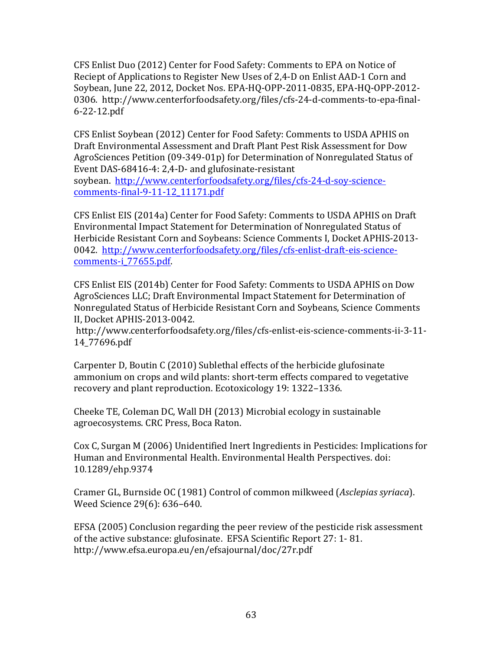CFS Enlist Duo (2012) Center for Food Safety: Comments to EPA on Notice of Reciept of Applications to Register New Uses of 2,4-D on Enlist AAD-1 Corn and Soybean, June 22, 2012, Docket Nos. EPA-HO-OPP-2011-0835, EPA-HO-OPP-2012-0306. http://www.centerforfoodsafety.org/files/cfs-24-d-comments-to-epa-final-6-22-12.pdf

CFS Enlist Soybean (2012) Center for Food Safety: Comments to USDA APHIS on Draft Environmental Assessment and Draft Plant Pest Risk Assessment for Dow AgroSciences Petition (09-349-01p) for Determination of Nonregulated Status of Event DAS-68416-4: 2,4-D- and glufosinate-resistant soybean. http://www.centerforfoodsafety.org/files/cfs-24-d-soy-sciencecomments-final-9-11-12\_11171.pdf

CFS Enlist EIS (2014a) Center for Food Safety: Comments to USDA APHIS on Draft Environmental Impact Statement for Determination of Nonregulated Status of Herbicide Resistant Corn and Soybeans: Science Comments I, Docket APHIS-2013-0042. http://www.centerforfoodsafety.org/files/cfs-enlist-draft-eis-sciencecomments-i\_77655.pdf.

CFS Enlist EIS (2014b) Center for Food Safety: Comments to USDA APHIS on Dow AgroSciences LLC; Draft Environmental Impact Statement for Determination of Nonregulated Status of Herbicide Resistant Corn and Soybeans, Science Comments II, Docket APHIS-2013-0042.

http://www.centerforfoodsafety.org/files/cfs-enlist-eis-science-comments-ii-3-11- 14\_77696.pdf

Carpenter D, Boutin C (2010) Sublethal effects of the herbicide glufosinate ammonium on crops and wild plants: short-term effects compared to vegetative recovery and plant reproduction. Ecotoxicology 19: 1322-1336.

Cheeke TE, Coleman DC, Wall DH (2013) Microbial ecology in sustainable agroecosystems. CRC Press, Boca Raton.

Cox C, Surgan M (2006) Unidentified Inert Ingredients in Pesticides: Implications for Human and Environmental Health. Environmental Health Perspectives. doi: 10.1289/ehp.9374 

Cramer GL, Burnside OC (1981) Control of common milkweed (*Asclepias syriaca*). Weed Science 29(6): 636-640.

EFSA (2005) Conclusion regarding the peer review of the pesticide risk assessment of the active substance: glufosinate. EFSA Scientific Report 27: 1-81. http://www.efsa.europa.eu/en/efsajournal/doc/27r.pdf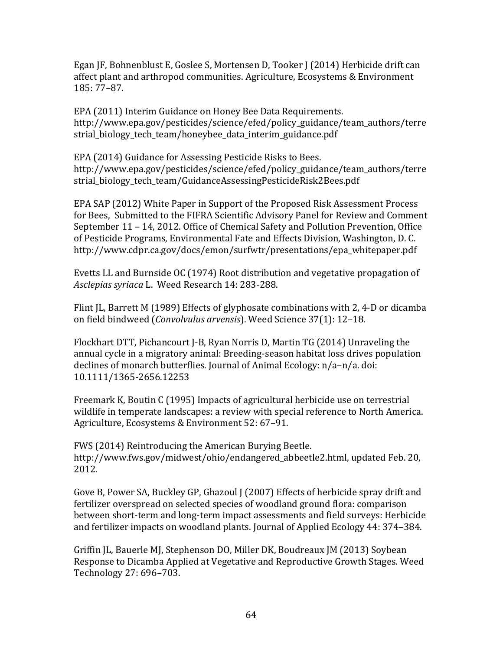Egan JF, Bohnenblust E, Goslee S, Mortensen D, Tooker J (2014) Herbicide drift can affect plant and arthropod communities. Agriculture, Ecosystems & Environment 185: 77–87. 

EPA (2011) Interim Guidance on Honey Bee Data Requirements. http://www.epa.gov/pesticides/science/efed/policy\_guidance/team\_authors/terre strial\_biology\_tech\_team/honeybee\_data\_interim\_guidance.pdf

EPA (2014) Guidance for Assessing Pesticide Risks to Bees. http://www.epa.gov/pesticides/science/efed/policy\_guidance/team\_authors/terre strial\_biology\_tech\_team/GuidanceAssessingPesticideRisk2Bees.pdf

EPA SAP (2012) White Paper in Support of the Proposed Risk Assessment Process for Bees, Submitted to the FIFRA Scientific Advisory Panel for Review and Comment September  $11 - 14$ , 2012. Office of Chemical Safety and Pollution Prevention, Office of Pesticide Programs, Environmental Fate and Effects Division, Washington, D. C. http://www.cdpr.ca.gov/docs/emon/surfwtr/presentations/epa\_whitepaper.pdf

Evetts LL and Burnside OC (1974) Root distribution and vegetative propagation of Asclepias syriaca L. Weed Research 14: 283-288.

Flint JL, Barrett M (1989) Effects of glyphosate combinations with 2, 4-D or dicamba on field bindweed (*Convolvulus arvensis*). Weed Science 37(1): 12-18.

Flockhart DTT, Pichancourt I-B, Ryan Norris D, Martin TG (2014) Unraveling the annual cycle in a migratory animal: Breeding-season habitat loss drives population declines of monarch butterflies. Journal of Animal Ecology:  $n/a-n/a$ . doi: 10.1111/1365-2656.12253 

Freemark K, Boutin C (1995) Impacts of agricultural herbicide use on terrestrial wildlife in temperate landscapes: a review with special reference to North America. Agriculture, Ecosystems & Environment 52: 67-91.

FWS (2014) Reintroducing the American Burying Beetle. http://www.fws.gov/midwest/ohio/endangered abbeetle2.html, updated Feb. 20, 2012.

Gove B, Power SA, Buckley GP, Ghazoul J (2007) Effects of herbicide spray drift and fertilizer overspread on selected species of woodland ground flora: comparison between short-term and long-term impact assessments and field surveys: Herbicide and fertilizer impacts on woodland plants. Journal of Applied Ecology 44: 374–384.

Griffin JL, Bauerle MJ, Stephenson DO, Miller DK, Boudreaux JM (2013) Soybean Response to Dicamba Applied at Vegetative and Reproductive Growth Stages. Weed Technology 27: 696-703.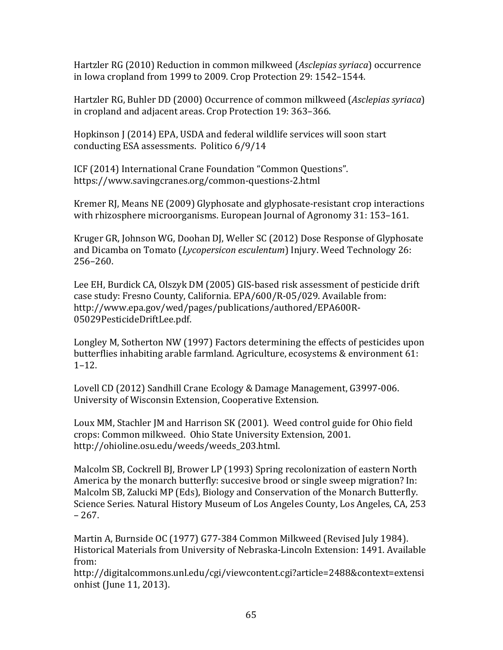Hartzler RG (2010) Reduction in common milkweed (*Asclepias syriaca*) occurrence in Iowa cropland from 1999 to 2009. Crop Protection 29: 1542–1544.

Hartzler RG, Buhler DD (2000) Occurrence of common milkweed (*Asclepias syriaca*) in cropland and adjacent areas. Crop Protection 19: 363-366.

Hopkinson J (2014) EPA, USDA and federal wildlife services will soon start conducting ESA assessments. Politico 6/9/14

ICF (2014) International Crane Foundation "Common Questions". https://www.savingcranes.org/common-questions-2.html

Kremer RI, Means NE (2009) Glyphosate and glyphosate-resistant crop interactions with rhizosphere microorganisms. European Journal of Agronomy 31: 153-161.

Kruger GR, Johnson WG, Doohan DJ, Weller SC (2012) Dose Response of Glyphosate and Dicamba on Tomato (*Lycopersicon esculentum*) Injury. Weed Technology 26: 256–260. 

Lee EH, Burdick CA, Olszyk DM (2005) GIS-based risk assessment of pesticide drift case study: Fresno County, California. EPA/600/R-05/029. Available from: http://www.epa.gov/wed/pages/publications/authored/EPA600R-05029PesticideDriftLee.pdf. 

Longley M, Sotherton NW (1997) Factors determining the effects of pesticides upon butterflies inhabiting arable farmland. Agriculture, ecosystems  $&$  environment  $61:$ 1–12. 

Lovell CD (2012) Sandhill Crane Ecology & Damage Management, G3997-006. University of Wisconsin Extension, Cooperative Extension.

Loux MM, Stachler JM and Harrison SK (2001). Weed control guide for Ohio field crops: Common milkweed. Ohio State University Extension, 2001. http://ohioline.osu.edu/weeds/weeds\_203.html.

Malcolm SB, Cockrell BJ, Brower LP (1993) Spring recolonization of eastern North America by the monarch butterfly: succesive brood or single sweep migration? In: Malcolm SB, Zalucki MP (Eds), Biology and Conservation of the Monarch Butterfly. Science Series. Natural History Museum of Los Angeles County, Los Angeles, CA, 253 – 267. 

Martin A, Burnside OC (1977) G77-384 Common Milkweed (Revised July 1984). Historical Materials from University of Nebraska-Lincoln Extension: 1491. Available from: 

http://digitalcommons.unl.edu/cgi/viewcontent.cgi?article=2488&context=extensi onhist (June 11, 2013).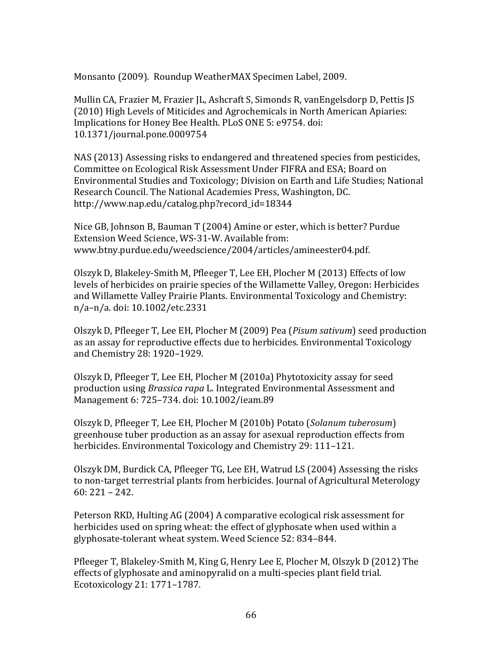Monsanto (2009). Roundup WeatherMAX Specimen Label, 2009.

Mullin CA, Frazier M, Frazier JL, Ashcraft S, Simonds R, vanEngelsdorp D, Pettis JS (2010) High Levels of Miticides and Agrochemicals in North American Apiaries: Implications for Honey Bee Health. PLoS ONE 5: e9754. doi: 10.1371/journal.pone.0009754 

NAS (2013) Assessing risks to endangered and threatened species from pesticides, Committee on Ecological Risk Assessment Under FIFRA and ESA; Board on Environmental Studies and Toxicology; Division on Earth and Life Studies; National Research Council. The National Academies Press, Washington, DC. http://www.nap.edu/catalog.php?record\_id=18344

Nice GB, Johnson B, Bauman T (2004) Amine or ester, which is better? Purdue Extension Weed Science, WS-31-W. Available from: www.btny.purdue.edu/weedscience/2004/articles/amineester04.pdf.

Olszyk D, Blakeley-Smith M, Pfleeger T, Lee EH, Plocher M (2013) Effects of low levels of herbicides on prairie species of the Willamette Valley, Oregon: Herbicides and Willamette Valley Prairie Plants. Environmental Toxicology and Chemistry: n/a-n/a. doi: 10.1002/etc.2331

Olszyk D, Pfleeger T, Lee EH, Plocher M (2009) Pea (*Pisum sativum*) seed production as an assay for reproductive effects due to herbicides. Environmental Toxicology and Chemistry 28: 1920-1929.

Olszyk D, Pfleeger T, Lee EH, Plocher M (2010a) Phytotoxicity assay for seed production using *Brassica rapa* L. Integrated Environmental Assessment and Management 6: 725–734. doi: 10.1002/ieam.89

Olszyk D, Pfleeger T, Lee EH, Plocher M (2010b) Potato (*Solanum tuberosum*) greenhouse tuber production as an assay for asexual reproduction effects from herbicides. Environmental Toxicology and Chemistry 29: 111–121.

Olszyk DM, Burdick CA, Pfleeger TG, Lee EH, Watrud LS (2004) Assessing the risks to non-target terrestrial plants from herbicides. Journal of Agricultural Meterology  $60:221 - 242.$ 

Peterson RKD, Hulting AG (2004) A comparative ecological risk assessment for herbicides used on spring wheat: the effect of glyphosate when used within a glyphosate-tolerant wheat system. Weed Science 52: 834-844.

Pfleeger T, Blakeley-Smith M, King G, Henry Lee E, Plocher M, Olszyk D (2012) The effects of glyphosate and aminopyralid on a multi-species plant field trial. Ecotoxicology 21: 1771-1787.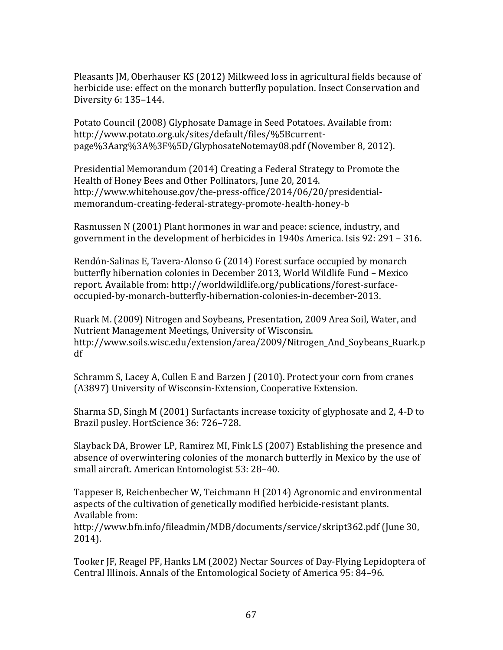Pleasants JM, Oberhauser KS (2012) Milkweed loss in agricultural fields because of herbicide use: effect on the monarch butterfly population. Insect Conservation and Diversity 6: 135–144. 

Potato Council (2008) Glyphosate Damage in Seed Potatoes. Available from: http://www.potato.org.uk/sites/default/files/%5Bcurrentpage%3Aarg%3A%3F%5D/GlyphosateNotemay08.pdf (November 8, 2012).

Presidential Memorandum (2014) Creating a Federal Strategy to Promote the Health of Honey Bees and Other Pollinators, June 20, 2014. http://www.whitehouse.gov/the-press-office/2014/06/20/presidentialmemorandum-creating-federal-strategy-promote-health-honey-b

Rasmussen N (2001) Plant hormones in war and peace: science, industry, and government in the development of herbicides in  $1940s$  America. Isis  $92:291 - 316$ .

Rendón-Salinas E, Tavera-Alonso G (2014) Forest surface occupied by monarch butterfly hibernation colonies in December 2013, World Wildlife Fund - Mexico report. Available from: http://worldwildlife.org/publications/forest-surfaceoccupied-by-monarch-butterfly-hibernation-colonies-in-december-2013. 

Ruark M. (2009) Nitrogen and Soybeans, Presentation, 2009 Area Soil, Water, and Nutrient Management Meetings, University of Wisconsin. http://www.soils.wisc.edu/extension/area/2009/Nitrogen\_And\_Soybeans\_Ruark.p df

Schramm S, Lacey A, Cullen E and Barzen J (2010). Protect your corn from cranes (A3897) University of Wisconsin-Extension, Cooperative Extension.

Sharma SD, Singh M (2001) Surfactants increase toxicity of glyphosate and 2, 4-D to Brazil pusley. HortScience 36: 726-728.

Slayback DA, Brower LP, Ramirez MI, Fink LS (2007) Establishing the presence and absence of overwintering colonies of the monarch butterfly in Mexico by the use of small aircraft. American Entomologist 53: 28-40.

Tappeser B, Reichenbecher W, Teichmann H (2014) Agronomic and environmental aspects of the cultivation of genetically modified herbicide-resistant plants. Available from:

http://www.bfn.info/fileadmin/MDB/documents/service/skript362.pdf (June 30, 2014). 

Tooker JF, Reagel PF, Hanks LM (2002) Nectar Sources of Day-Flying Lepidoptera of Central Illinois. Annals of the Entomological Society of America 95: 84-96.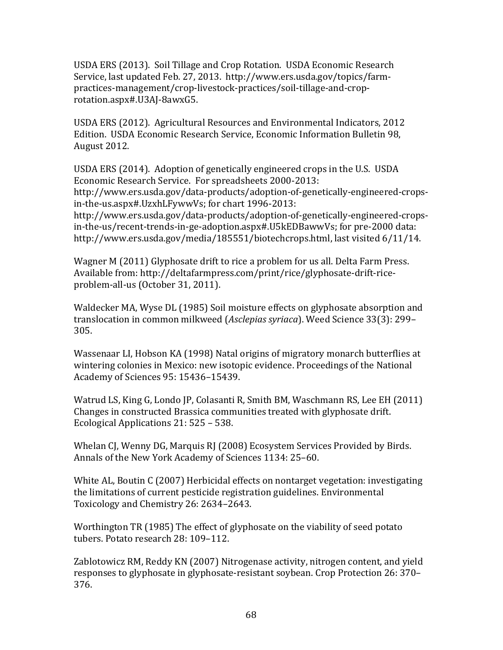USDA ERS (2013). Soil Tillage and Crop Rotation. USDA Economic Research Service, last updated Feb. 27, 2013. http://www.ers.usda.gov/topics/farmpractices-management/crop-livestock-practices/soil-tillage-and-croprotation.aspx#.U3AJ-8awxG5.

USDA ERS (2012). Agricultural Resources and Environmental Indicators, 2012 Edition. USDA Economic Research Service, Economic Information Bulletin 98, August 2012.

USDA ERS (2014). Adoption of genetically engineered crops in the U.S. USDA Economic Research Service. For spreadsheets 2000-2013: http://www.ers.usda.gov/data-products/adoption-of-genetically-engineered-crops-

in-the-us.aspx#.UzxhLFywwVs; for chart 1996-2013:

http://www.ers.usda.gov/data-products/adoption-of-genetically-engineered-crops $in$ -the-us/recent-trends-in-ge-adoption.aspx#.U5kEDBawwVs; for pre-2000 data: http://www.ers.usda.gov/media/185551/biotechcrops.html, last visited 6/11/14.

Wagner M (2011) Glyphosate drift to rice a problem for us all. Delta Farm Press. Available from: http://deltafarmpress.com/print/rice/glyphosate-drift-riceproblem-all-us (October 31, 2011).

Waldecker MA, Wyse DL (1985) Soil moisture effects on glyphosate absorption and translocation in common milkweed (*Asclepias syriaca*). Weed Science 33(3): 299– 305. 

Wassenaar LI, Hobson KA (1998) Natal origins of migratory monarch butterflies at wintering colonies in Mexico: new isotopic evidence. Proceedings of the National Academy of Sciences 95: 15436–15439. 

Watrud LS, King G, Londo JP, Colasanti R, Smith BM, Waschmann RS, Lee EH (2011) Changes in constructed Brassica communities treated with glyphosate drift. Ecological Applications 21: 525 - 538.

Whelan CJ, Wenny DG, Marquis RJ (2008) Ecosystem Services Provided by Birds. Annals of the New York Academy of Sciences 1134: 25-60.

White AL, Boutin C (2007) Herbicidal effects on nontarget vegetation: investigating the limitations of current pesticide registration guidelines. Environmental Toxicology and Chemistry 26: 2634–2643.

Worthington TR (1985) The effect of glyphosate on the viability of seed potato tubers. Potato research 28: 109-112.

Zablotowicz RM, Reddy KN (2007) Nitrogenase activity, nitrogen content, and yield responses to glyphosate in glyphosate-resistant soybean. Crop Protection 26: 370– 376.